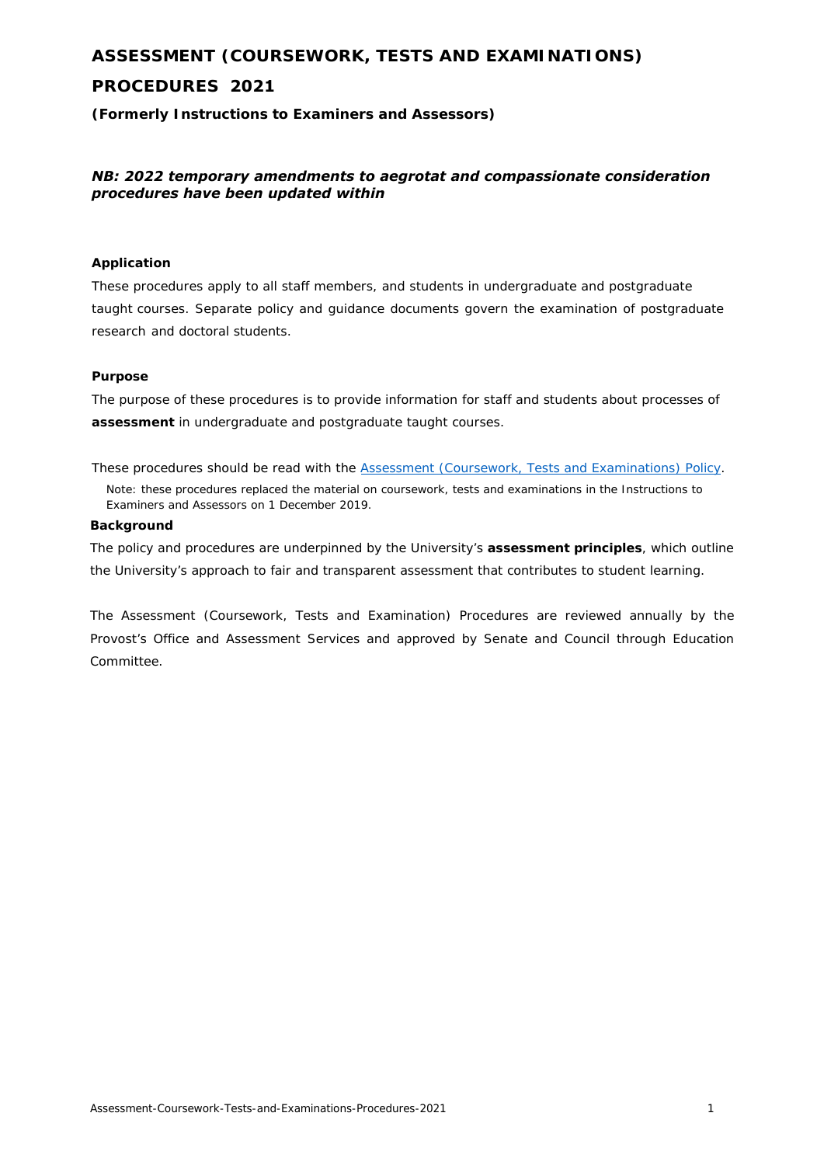# **ASSESSMENT (COURSEWORK, TESTS AND EXAMINATIONS)**

# **PROCEDURES 2021**

**(Formerly** *Instructions to Examiners and Assessors***)** 

# *NB: 2022 temporary amendments to aegrotat and compassionate consideration procedures have been updated within*

# **Application**

These procedures apply to all staff members, and students in undergraduate and postgraduate taught courses. Separate policy and guidance documents govern the examination of postgraduate research and doctoral students.

### **Purpose**

The purpose of these procedures is to provide information for staff and students about processes of **assessment** in undergraduate and postg[raduate taught courses.](https://www.auckland.ac.nz/en/about/the-university/how-university-works/policy-and-administration/teaching-and-learning/assessment/assessment--coursework--tests-and-examinations--policy--from-jan.html) 

These procedures should be read with the **Assessment (Coursework, Tests and Examinations)** Policy. Note: these procedures replaced the material on coursework, tests and examinations in the *Instructions to Examiners and Assessors* on 1 December 2019.

#### **Background**

The policy and procedures are underpinned by the University's **assessment principles**, which outline the University's approach to fair and transparent assessment that contributes to student learning.

The Assessment (Coursework, Tests and Examination) Procedures are reviewed annually by the Provost's Office and Assessment Services and approved by Senate and Council through Education Committee.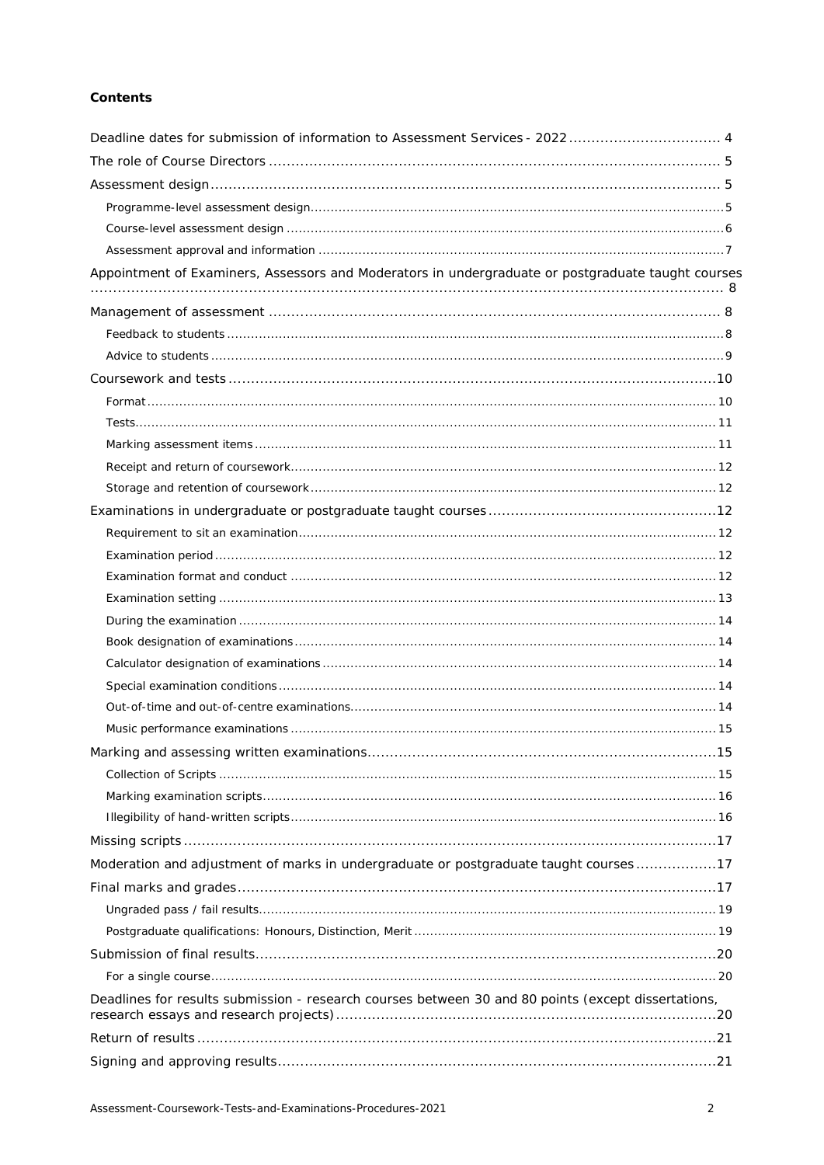# **Contents**

| Deadline dates for submission of information to Assessment Services - 2022 4                        |  |
|-----------------------------------------------------------------------------------------------------|--|
|                                                                                                     |  |
|                                                                                                     |  |
|                                                                                                     |  |
|                                                                                                     |  |
|                                                                                                     |  |
| Appointment of Examiners, Assessors and Moderators in undergraduate or postgraduate taught courses  |  |
|                                                                                                     |  |
|                                                                                                     |  |
|                                                                                                     |  |
|                                                                                                     |  |
|                                                                                                     |  |
|                                                                                                     |  |
|                                                                                                     |  |
|                                                                                                     |  |
|                                                                                                     |  |
|                                                                                                     |  |
|                                                                                                     |  |
|                                                                                                     |  |
|                                                                                                     |  |
|                                                                                                     |  |
|                                                                                                     |  |
|                                                                                                     |  |
|                                                                                                     |  |
|                                                                                                     |  |
|                                                                                                     |  |
|                                                                                                     |  |
|                                                                                                     |  |
|                                                                                                     |  |
|                                                                                                     |  |
|                                                                                                     |  |
|                                                                                                     |  |
| Moderation and adjustment of marks in undergraduate or postgraduate taught courses 17               |  |
|                                                                                                     |  |
|                                                                                                     |  |
|                                                                                                     |  |
|                                                                                                     |  |
|                                                                                                     |  |
| Deadlines for results submission - research courses between 30 and 80 points (except dissertations, |  |
|                                                                                                     |  |
|                                                                                                     |  |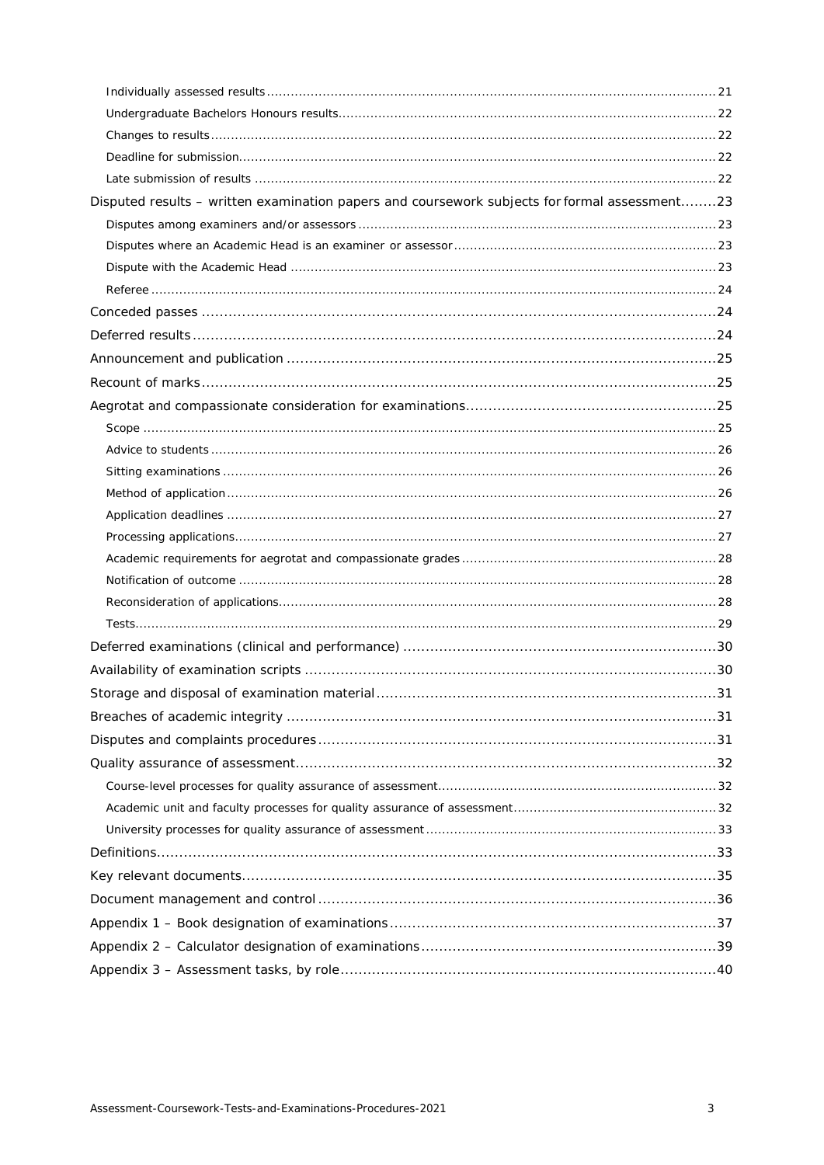| Disputed results - written examination papers and coursework subjects for formal assessment23 |  |
|-----------------------------------------------------------------------------------------------|--|
|                                                                                               |  |
|                                                                                               |  |
|                                                                                               |  |
|                                                                                               |  |
|                                                                                               |  |
|                                                                                               |  |
|                                                                                               |  |
|                                                                                               |  |
|                                                                                               |  |
|                                                                                               |  |
|                                                                                               |  |
|                                                                                               |  |
|                                                                                               |  |
|                                                                                               |  |
|                                                                                               |  |
|                                                                                               |  |
|                                                                                               |  |
|                                                                                               |  |
|                                                                                               |  |
|                                                                                               |  |
|                                                                                               |  |
|                                                                                               |  |
|                                                                                               |  |
|                                                                                               |  |
|                                                                                               |  |
|                                                                                               |  |
|                                                                                               |  |
|                                                                                               |  |
|                                                                                               |  |
|                                                                                               |  |
|                                                                                               |  |
|                                                                                               |  |
|                                                                                               |  |
|                                                                                               |  |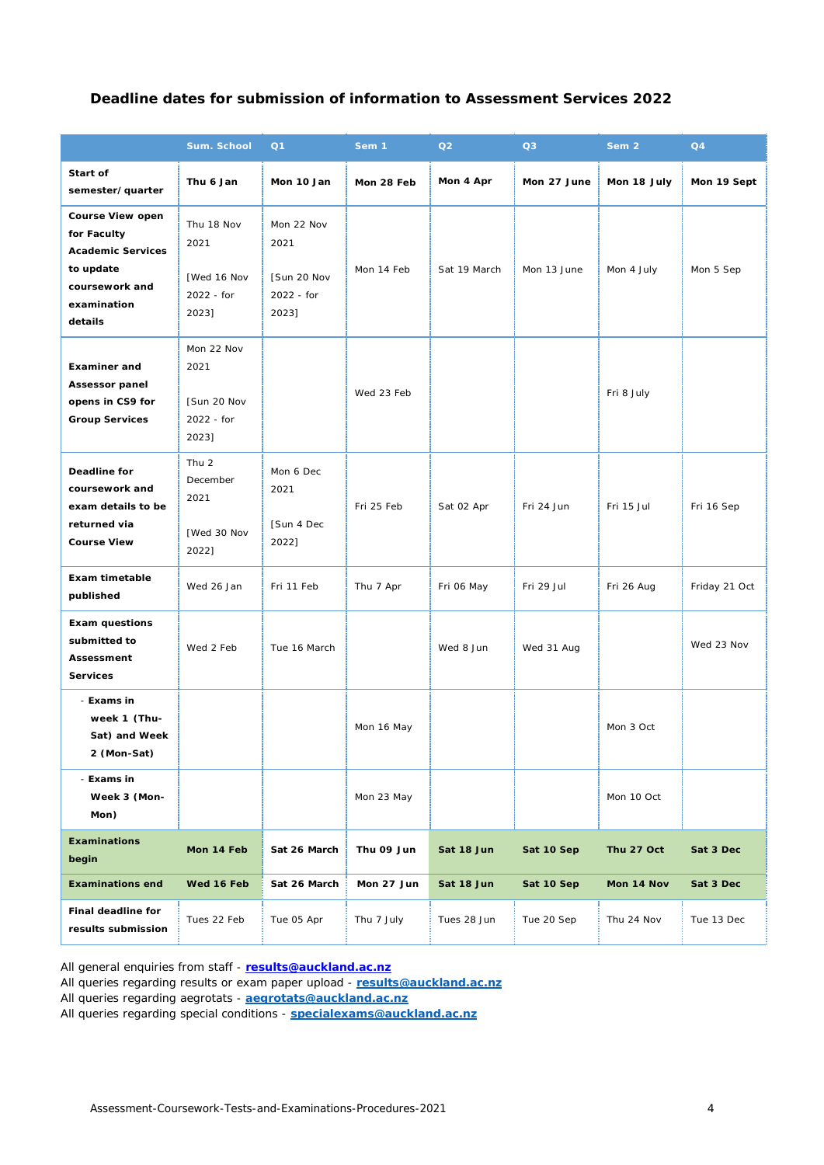# **Deadline dates for submission of information to Assessment Services 2022**

|                                                                                                                      | Sum. School                                                  | Q1                                                       | Sem 1      | Q2           | Q3          | Sem <sub>2</sub> | Q4            |
|----------------------------------------------------------------------------------------------------------------------|--------------------------------------------------------------|----------------------------------------------------------|------------|--------------|-------------|------------------|---------------|
| Start of<br>semester/quarter                                                                                         | Thu 6 Jan                                                    | Mon 10 Jan                                               | Mon 28 Feb | Mon 4 Apr    | Mon 27 June | Mon 18 July      | Mon 19 Sept   |
| Course View open<br>for Faculty<br><b>Academic Services</b><br>to update<br>coursework and<br>examination<br>details | Thu 18 Nov<br>2021<br>[Wed 16 Nov<br>2022 - for<br>2023]     | Mon 22 Nov<br>2021<br>[Sun 20 Nov<br>2022 - for<br>2023] | Mon 14 Feb | Sat 19 March | Mon 13 June | Mon 4 July       | Mon 5 Sep     |
| <b>Examiner and</b><br>Assessor panel<br>opens in CS9 for<br><b>Group Services</b>                                   | Mon 22 Nov<br>2021<br>[Sun 20 Nov<br>2022 - for<br>2023]     |                                                          | Wed 23 Feb |              |             | Fri 8 July       |               |
| <b>Deadline for</b><br>coursework and<br>exam details to be<br>returned via<br><b>Course View</b>                    | Thu <sub>2</sub><br>December<br>2021<br>[Wed 30 Nov<br>2022] | Mon 6 Dec<br>2021<br>[Sun 4 Dec<br>2022]                 | Fri 25 Feb | Sat 02 Apr   | Fri 24 Jun  | Fri 15 Jul       | Fri 16 Sep    |
| Exam timetable<br>published                                                                                          | Wed 26 Jan                                                   | Fri 11 Feb                                               | Thu 7 Apr  | Fri 06 May   | Fri 29 Jul  | Fri 26 Aug       | Friday 21 Oct |
| <b>Exam questions</b><br>submitted to<br>Assessment<br><b>Services</b>                                               | Wed 2 Feb                                                    | Tue 16 March                                             |            | Wed 8 Jun    | Wed 31 Aug  |                  | Wed 23 Nov    |
| - Exams in<br>week 1 (Thu-<br>Sat) and Week<br>2 (Mon-Sat)                                                           |                                                              |                                                          | Mon 16 May |              |             | Mon 3 Oct        |               |
| - Exams in<br>Week 3 (Mon-<br>Mon)                                                                                   |                                                              |                                                          | Mon 23 May |              |             | Mon 10 Oct       |               |
| <b>Examinations</b><br>begin                                                                                         | Mon 14 Feb                                                   | Sat 26 March                                             | Thu 09 Jun | Sat 18 Jun   | Sat 10 Sep  | Thu 27 Oct       | Sat 3 Dec     |
| <b>Examinations end</b>                                                                                              | Wed 16 Feb                                                   | Sat 26 March                                             | Mon 27 Jun | Sat 18 Jun   | Sat 10 Sep  | Mon 14 Nov       | Sat 3 Dec     |
| Final deadline for<br>results submission                                                                             | Tues 22 Feb                                                  | Tue 05 Apr                                               | Thu 7 July | Tues 28 Jun  | Tue 20 Sep  | Thu 24 Nov       | Tue 13 Dec    |

All general enquiries from staff - **[results@auckland.ac.nz](mailto:results@auckland.ac.nz)**

All queries regarding results or exam paper upload - **[results@auckland.ac.nz](mailto:results@auckland.ac.nz)**

All queries regarding aegrotats - **[aegrotats@auckland.ac.nz](mailto:aegrotats@auckland.ac.nz)**

<span id="page-3-0"></span>All queries regarding special conditions - **[specialexams@auckland.ac.nz](mailto:specialexams@auckland.ac.nz)**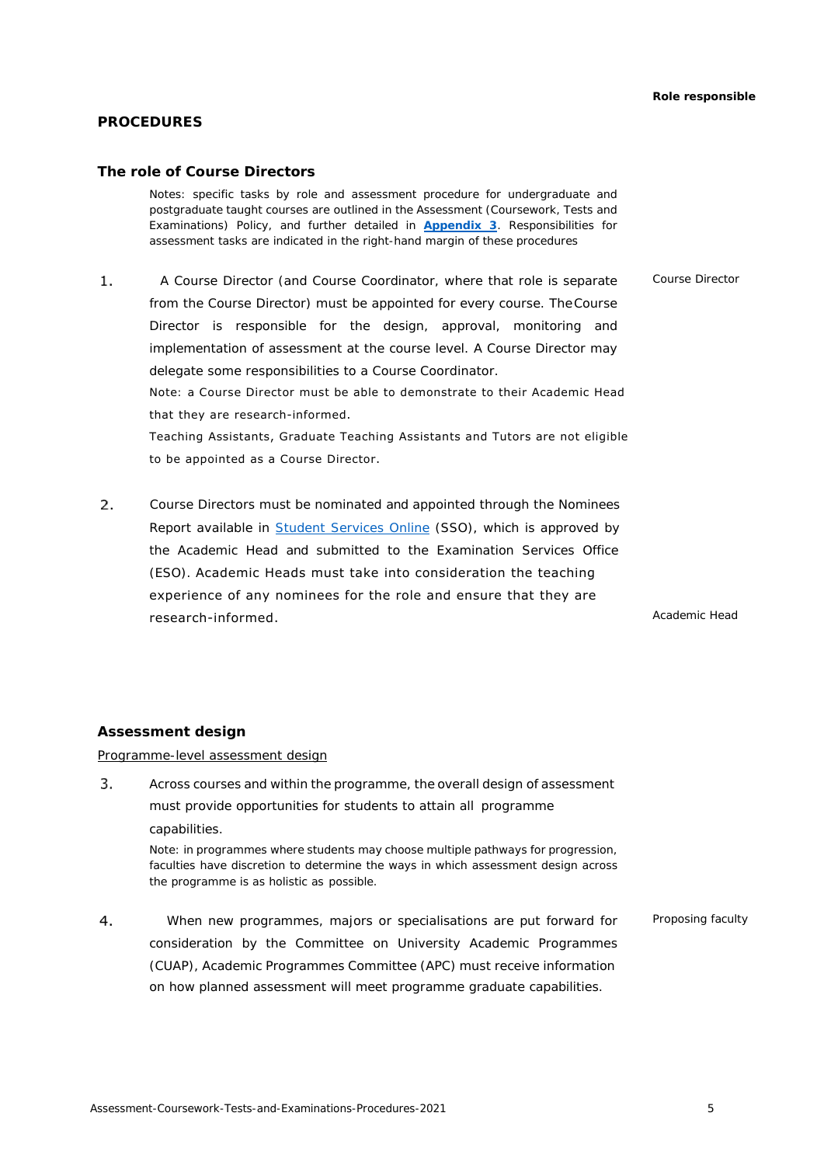# **PROCEDURES**

### <span id="page-4-0"></span>**The role of Course Directors**

Notes: specific tasks by role and assessment procedure for undergraduate and postgraduate taught courses are outlined in the Assessment (Coursework, Tests and Examinations) Policy, and further detailed in **[Appendix 3](#page-40-0)**. Responsibilities for assessment tasks are indicated in the right-hand margin of these procedures

 $1.$ A Course Director (and Course Coordinator, where that role is separate *Course Director* from the Course Director) must be appointed for every course. TheCourse Director is responsible for the design, approval, monitoring and implementation of assessment at the course level. A Course Director may delegate some responsibilities to a Course Coordinator. Note: a Course Director must be able to demonstrate to their Academic Head that they are research-informed. Teaching Assistants, Graduate Teaching Assistants and Tutors are not eligible to be appointed as a Course Director.

 $2.$  Course Directors must be nominated and appointed through the *Nominees Report* available i[n Student Services](https://www.auckland.ac.nz/en/students/my-tools/sso.html) Online (SSO), which is approved by the Academic Head and submitted to the Examination Services Office (ESO). Academic Heads must take into consideration the teaching experience of any nominees for the role and ensure that they are research-informed. *Academic Head*

### <span id="page-4-1"></span>**Assessment design**

<span id="page-4-2"></span>Programme-level assessment design

 $3.$ Across courses and within the programme, the overall design of assessment must provide opportunities for students to attain all programme capabilities.

Note: in programmes where students may choose multiple pathways for progression, faculties have discretion to determine the ways in which assessment design across the programme is as holistic as possible.

 $4.$  When new programmes, majors or specialisations are put forward for *Proposing faculty*consideration by the Committee on University Academic Programmes (CUAP), Academic Programmes Committee (APC) must receive information on how planned assessment will meet programme graduate capabilities.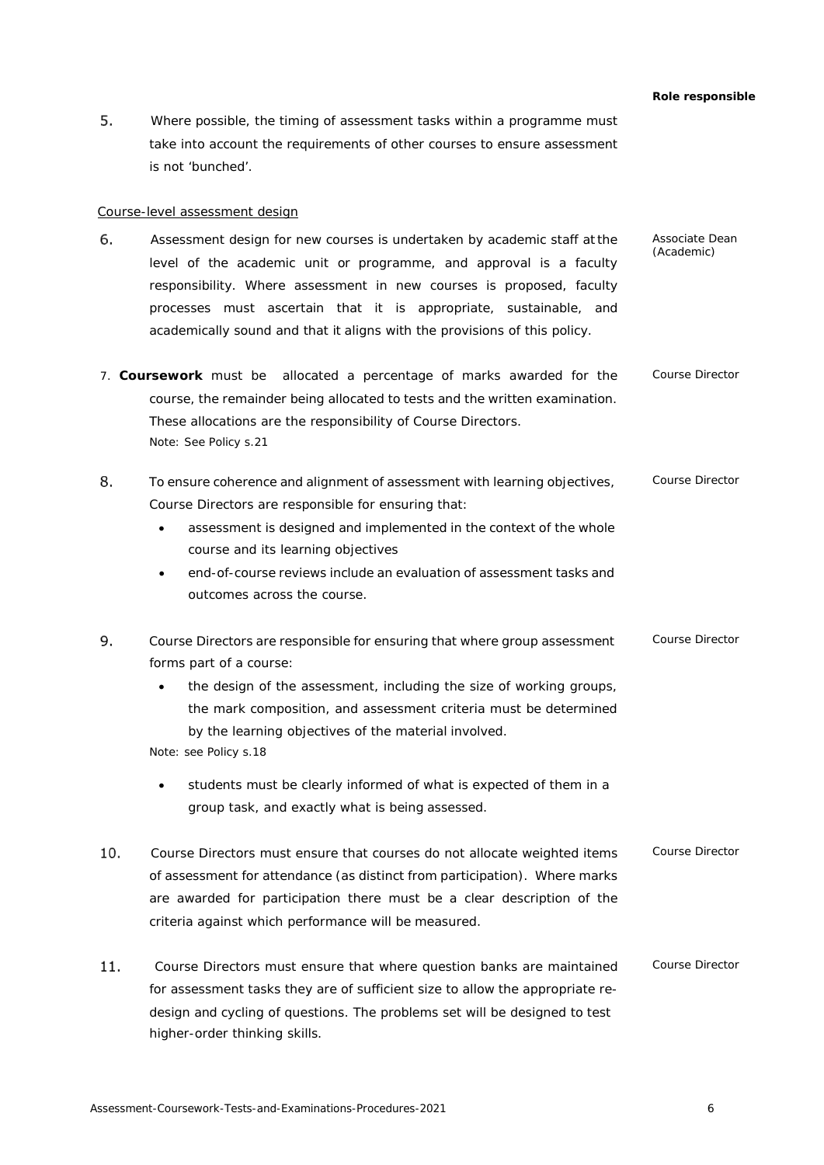5. Where possible, the timing of assessment tasks within a programme must take into account the requirements of other courses to ensure assessment is not 'bunched'.

### <span id="page-5-0"></span>Course-level assessment design

- 6. Assessment design for new courses is undertaken by academic staff atthe *Associate Dean (Academic)* level of the academic unit or programme, and approval is a faculty responsibility. Where assessment in new courses is proposed, faculty processes must ascertain that it is appropriate, sustainable, and academically sound and that it aligns with the provisions of this policy.
- 7. **Coursework** must be allocated a percentage of marks awarded for the course, the remainder being allocated to tests and the written examination. These allocations are the responsibility of Course Directors. Note: See Policy s.21 *Course Director*
- 8. To ensure coherence and alignment of assessment with learning objectives, *Course Director* Course Directors are responsible for ensuring that:
	- assessment is designed and implemented in the context of the whole course and its learning objectives
	- end-of-course reviews include an evaluation of assessment tasks and outcomes across the course.
- 9. *Course Director* Course Directors are responsible for ensuring that where group assessment forms part of a course:
	- the design of the assessment, including the size of working groups, the mark composition, and assessment criteria must be determined by the learning objectives of the material involved.

Note: see Policy s.18

- students must be clearly informed of what is expected of them in a group task, and exactly what is being assessed.
- $10.$ *Course Director* Course Directors must ensure that courses do not allocate weighted items of assessment for attendance (as distinct from participation). Where marks are awarded for participation there must be a clear description of the criteria against which performance will be measured.
- 11. Course Directors must ensure that where question banks are maintained for assessment tasks they are of sufficient size to allow the appropriate redesign and cycling of questions. The problems set will be designed to test higher-order thinking skills. *Course Director*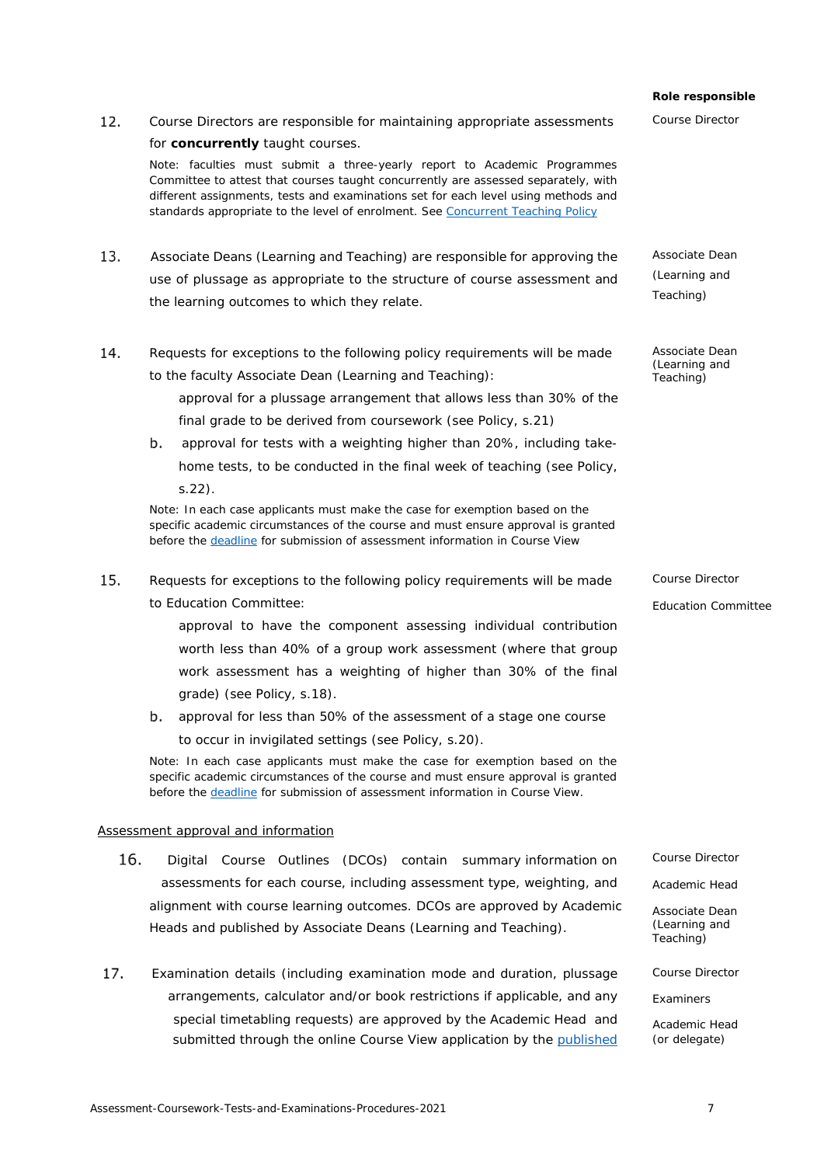# *Role responsible Course Director*

for **concurrently** taught courses. Note: faculties must submit a three-yearly report to Academic Programmes Committee to attest that courses taught concurrently are assessed separately, with different assignments, tests and examinations set for each level using methods and standards appropriate to the level of enrolment. Se[e Concurrent Teaching Policy](https://www.auckland.ac.nz/en/about/the-university/how-university-works/policy-and-administration/teaching-and-learning/general/concurrent-teaching-policy.html) Associate Deans (Learning and Teaching) are responsible for approving the

use of plussage as appropriate to the structure of course assessment and the learning outcomes to which they relate.

12. Course Directors are responsible for maintaining appropriate assessments

14. Requests for exceptions to the following policy requirements will be made to the faculty Associate Dean (Learning and Teaching):

> approval for a plussage arrangement that allows less than 30% of the final grade to be derived from coursework (see Policy, s.21)

 approval for tests with a weighting higher than 20%, including takehome tests, to be conducted in the final week of teaching (see Policy, s.22).

Note: In each case applicants must make the case for exemption based on the specific academic circumstances of the course and must ensure approval is granted before the [deadline](#page-3-0) for submission of assessment information in Course View

15. Requests for exceptions to the following policy requirements will be made to Education Committee:

> approval to have the component assessing individual contribution worth less than 40% of a group work assessment (where that group work assessment has a weighting of higher than 30% of the final grade) (see Policy, s.18).

 approval for less than 50% of the assessment of a stage one course to occur in invigilated settings (see Policy, s.20).

Note: In each case applicants must make the case for exemption based on the specific academic circumstances of the course and must ensure approval is granted before the [deadline](#page-3-0) for submission of assessment information in Course View.

#### <span id="page-6-0"></span>Assessment approval and information

- 16. Digital Course Outlines (DCOs) contain summary information on *Course Director* assessments for each course, including assessment type, weighting, and *Academic Head* alignment with course learning outcomes. DCOs are approved by Academic Heads and published by Associate Deans (Learning and Teaching).
- Examination details (including examination mode and duration, plussage *Course Director* arrangements, calculator and/or book restrictions if applicable, and any *Examiners* special timetabling requests) are approved by the Academic Head and *Academic Head* submitted through the online Course View application by the [published](#page-3-0) *(or delegate)*

*Associate Dean (Learning and Teaching)*

*Associate Dean (Learning and Teaching)*

*Course Director Education Committee*

*Associate Dean (Learning and Teaching)*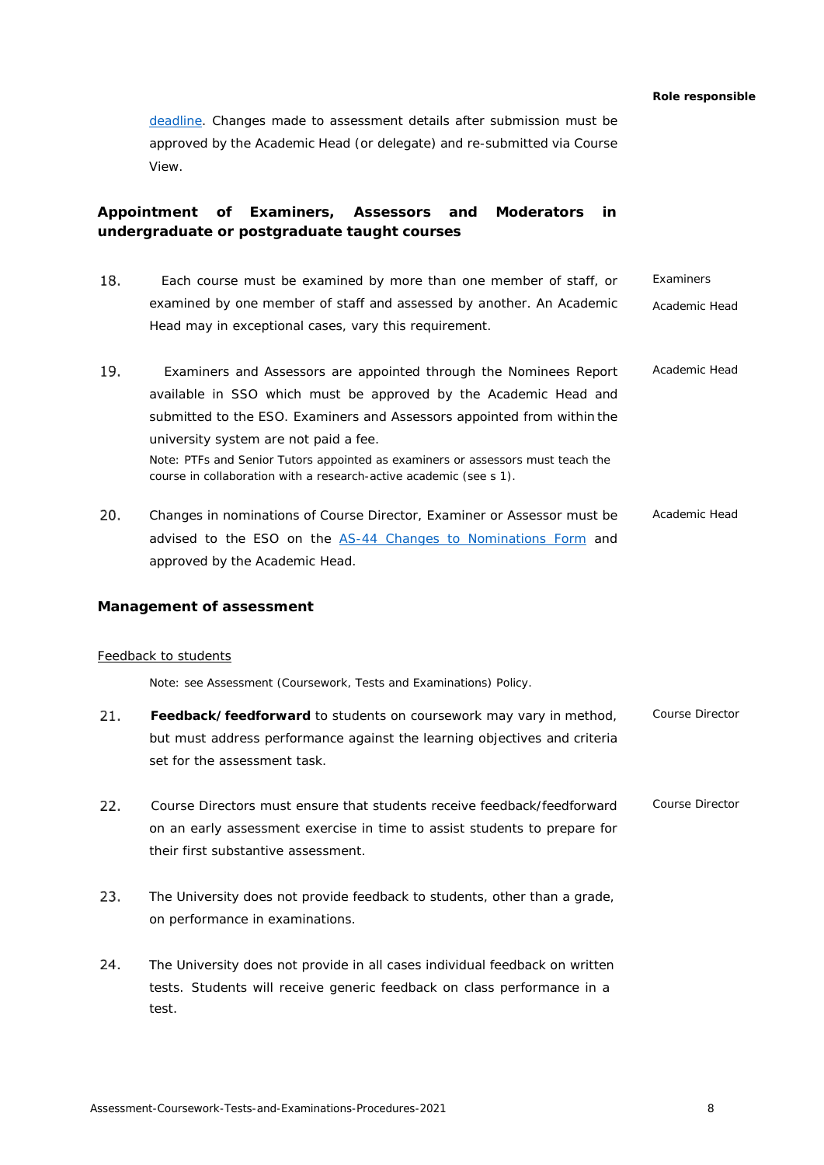[deadline.](#page-3-0) Changes made to assessment details after submission must be approved by the Academic Head (or delegate) and re-submitted via Course View.

# <span id="page-7-0"></span>**Appointment of Examiners, Assessors and Moderators in undergraduate or postgraduate taught courses**

- 18. Each course must be examined by more than one member of staff, or examined by one member of staff and assessed by another. An Academic Head may in exceptional cases, vary this requirement. *Examiners Academic Head*
- Examiners and Assessors are appointed through the Nominees Report available in SSO which must be approved by the Academic Head and submitted to the ESO. Examiners and Assessors appointed from within the university system are not paid a fee. Note: PTFs and Senior Tutors appointed as examiners or assessors must teach the course in collaboration with a research-active academic (see s 1). *Academic Head*
- 20. Changes in nominations of Course Director, Examiner or Assessor must be advised to the ESO on the [AS-44 Changes to Nominations Form](https://formspace.auckland.ac.nz/staff-forms/as-44.pdf) and approved by the Academic Head. *Academic Head*

# <span id="page-7-1"></span>**Management of assessment**

#### <span id="page-7-2"></span>Feedback to students

Note: see Assessment (Coursework, Tests and Examinations) Policy.

- **Feedback/feedforward** to students on coursework may vary in method, but must address performance against the learning objectives and criteria set for the assessment task. *Course Director*
- 22. Course Directors must ensure that students receive feedback/feedforward on an early assessment exercise in time to assist students to prepare for their first substantive assessment. *Course Director*
- 23. The University does not provide feedback to students, other than a grade, on performance in examinations.
- 24. The University does not provide in all cases individual feedback on written tests. Students will receive generic feedback on class performance in a test.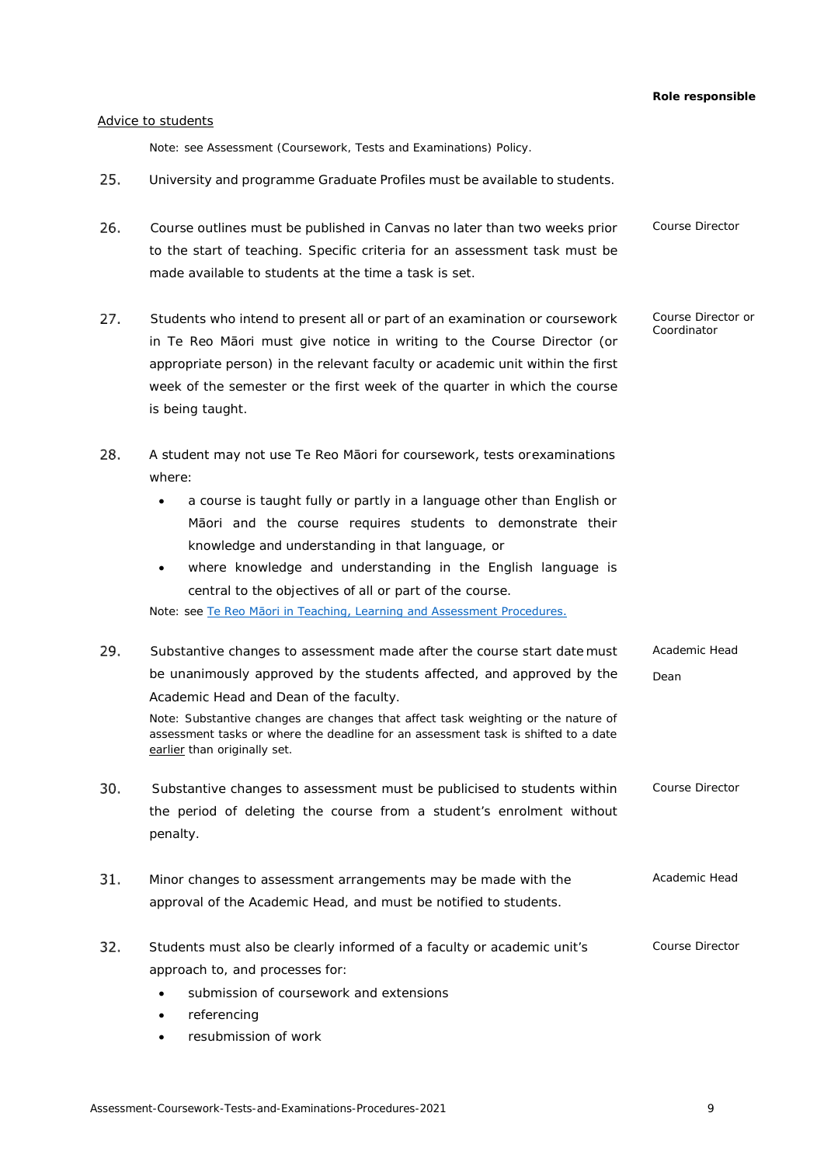*Course Director or Coordinator*

# <span id="page-8-0"></span>Advice to students

Note: see Assessment (Coursework, Tests and Examinations) Policy.

- 25. University and programme Graduate Profiles must be available to students.
- 26. *Course Director* Course outlines must be published in Canvas no later than two weeks prior to the start of teaching. Specific criteria for an assessment task must be made available to students at the time a task is set.
- 27. Students who intend to present all or part of an examination or coursework in Te Reo Māori must give notice in writing to the Course Director (or appropriate person) in the relevant faculty or academic unit within the first week of the semester or the first week of the quarter in which the course is being taught.
- 28. A student may not use Te Reo Māori for coursework, tests orexaminations where:
	- a course is taught fully or partly in a language other than English or Māori and the course requires students to demonstrate their knowledge and understanding in that language, or
	- where knowledge and understanding in the English language is central to the objectives of all or part of the course.

Note: see Te Reo [Māori in Teaching, Learning and Assessment Procedures.](https://www.auckland.ac.nz/en/about/the-university/how-university-works/policy-and-administration/teaching-and-learning/assessment/te-reo-maori-policy.html)

- 29. *Academic Head*  Substantive changes to assessment made after the course start date must be unanimously approved by the students affected, and approved by the *Dean* Academic Head and Dean of the faculty. Note: Substantive changes are changes that affect task weighting or the nature of assessment tasks or where the deadline for an assessment task is shifted to a date earlier than originally set. Substantive changes to assessment must be publicised to students within *Course Director* the period of deleting the course from a student's enrolment without penalty. *Academic Head* 31. Minor changes to assessment arrangements may be made with the approval of the Academic Head, and must be notified to students. 32. Students must also be clearly informed of a faculty or academic unit's *Course Director*approach to, and processes for:
	- submission of coursework and extensions
	- referencing
	- resubmission of work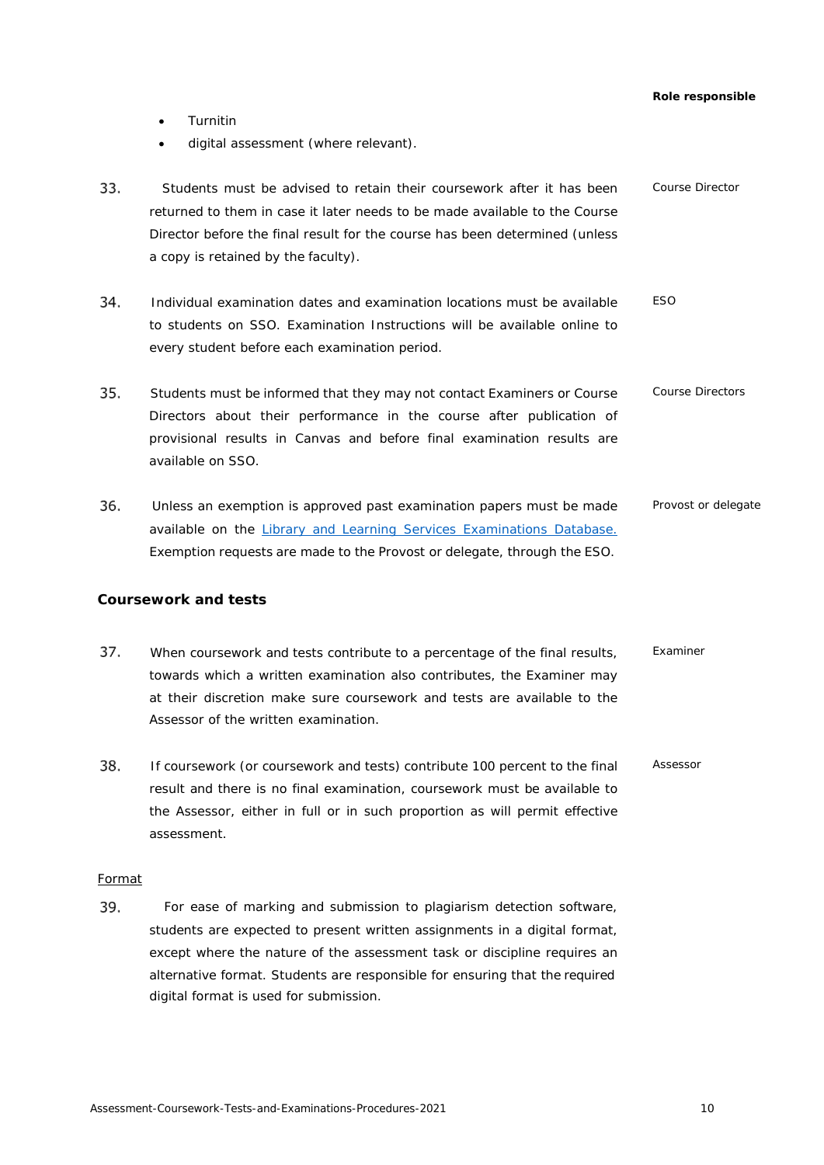- Turnitin
- digital assessment (where relevant).
- 33. *Course Director* Students must be advised to retain their coursework after it has been returned to them in case it later needs to be made available to the Course Director before the final result for the course has been determined (unless a copy is retained by the faculty).
- 34. *ESO* Individual examination dates and examination locations must be available to students on SSO. *Examination Instructions* will be available online to every student before each examination period.
- 35. Students must be informed that they may not contact Examiners or Course *Course Directors* Directors about their performance in the course after publication of provisional results in Canvas and before final examination results are available on SSO.
- 36. Unless an exemption is approved past examination papers must be made *Provost or delegate* available on the [Library and Learning Services Examinations Database.](https://www.library.auckland.ac.nz/exam-papers/) Exemption requests are made to the Provost or delegate, through the ESO.

# <span id="page-9-0"></span>**Coursework and tests**

- 37. When coursework and tests contribute to a percentage of the final results, *Examiner* towards which a written examination also contributes, the Examiner may at their discretion make sure coursework and tests are available to the Assessor of the written examination.
- 38. If coursework (or coursework and tests) contribute 100 percent to the final *Assessor* result and there is no final examination, coursework must be available to the Assessor, either in full or in such proportion as will permit effective assessment.

# <span id="page-9-1"></span>Format

39. For ease of marking and submission to plagiarism detection software, students are expected to present written assignments in a digital format, except where the nature of the assessment task or discipline requires an alternative format. Students are responsible for ensuring that the required digital format is used for submission.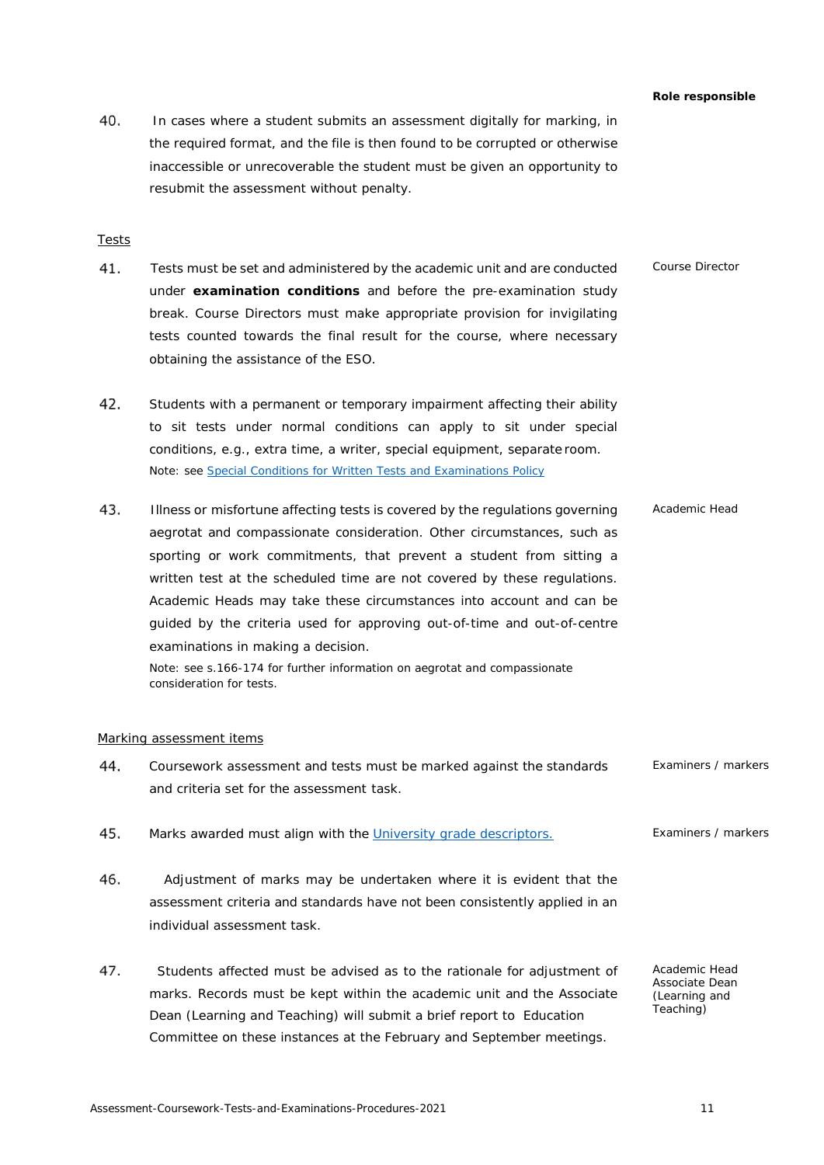In cases where a student submits an assessment digitally for marking, in the required format, and the file is then found to be corrupted or otherwise inaccessible or unrecoverable the student must be given an opportunity to resubmit the assessment without penalty.

# <span id="page-10-0"></span>Tests

- Tests must be set and administered by the academic unit and are conducted under **examination conditions** and before the pre-examination study break. Course Directors must make appropriate provision for invigilating tests counted towards the final result for the course, where necessary obtaining the assistance of the ESO. *Course Director*
- 42. Students with a permanent or temporary impairment affecting their ability to sit tests under normal conditions can apply to sit under special conditions, e.g., extra time, a writer, special equipment, separate room. Note: see [Special Conditions for Written Tests and Examinations Policy](https://cdn.auckland.ac.nz/assets/auckland/students/academic-information/exams-and-final-results/before-your-exams/special-conditions-for-written-tests-and-examinations-policy.pdf)
- 43. Illness or misfortune affecting tests is covered by the regulations governing aegrotat and compassionate consideration. Other circumstances, such as sporting or work commitments, that prevent a student from sitting a written test at the scheduled time are not covered by these regulations. Academic Heads may take these circumstances into account and can be guided by the criteria used for approving out-of-time and out-of-centre examinations in making a decision. *Academic Head*

Note: see s.166-174 for further information on aegrotat and compassionate consideration for tests.

#### <span id="page-10-1"></span>Marking assessment items

- 44. Coursework assessment and tests must be marked against the standards and criteria set for the assessment task. *Examiners / markers*
- 45. Marks awarded must align with the [University grade](#page-17-0) descriptors. *Examiners / markers*
- Adjustment of marks may be undertaken where it is evident that the assessment criteria and standards have not been consistently applied in an individual assessment task.
- Students affected must be advised as to the rationale for adjustment of marks. Records must be kept within the academic unit and the Associate Dean (Learning and Teaching) will submit a brief report to Education Committee on these instances at the February and September meetings.

*Academic Head Associate Dean (Learning and Teaching)*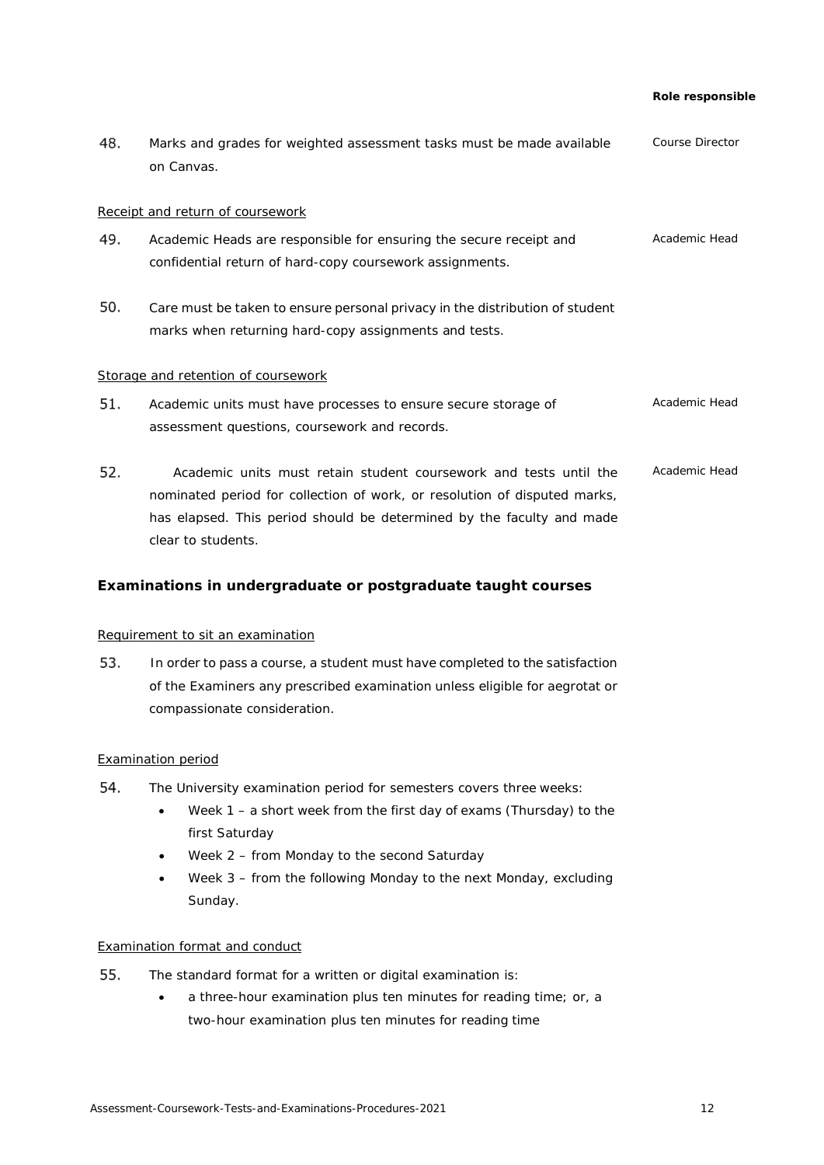<span id="page-11-0"></span>

| 48. | Marks and grades for weighted assessment tasks must be made available<br>on Canvas.                                                                                                                                                           | Course Director |
|-----|-----------------------------------------------------------------------------------------------------------------------------------------------------------------------------------------------------------------------------------------------|-----------------|
|     | Receipt and return of coursework                                                                                                                                                                                                              |                 |
| 49. | Academic Heads are responsible for ensuring the secure receipt and<br>confidential return of hard-copy coursework assignments.                                                                                                                | Academic Head   |
| 50. | Care must be taken to ensure personal privacy in the distribution of student<br>marks when returning hard-copy assignments and tests.                                                                                                         |                 |
|     | Storage and retention of coursework                                                                                                                                                                                                           |                 |
| 51. | Academic units must have processes to ensure secure storage of<br>assessment questions, coursework and records.                                                                                                                               | Academic Head   |
| 52. | Academic units must retain student coursework and tests until the<br>nominated period for collection of work, or resolution of disputed marks,<br>has elapsed. This period should be determined by the faculty and made<br>clear to students. | Academic Head   |

# <span id="page-11-2"></span><span id="page-11-1"></span>**Examinations in undergraduate or postgraduate taught courses**

# <span id="page-11-3"></span>Requirement to sit an examination

53. In order to pass a course, a student must have completed to the satisfaction of the Examiners any prescribed examination unless eligible for aegrotat or compassionate consideration.

# <span id="page-11-4"></span>Examination period

- The University examination period for semesters covers three weeks:
	- Week 1 a short week from the first day of exams (Thursday) to the first Saturday
	- Week 2 from Monday to the second Saturday
	- Week 3 from the following Monday to the next Monday, excluding Sunday.

# <span id="page-11-5"></span>Examination format and conduct

- 55. The standard format for a written or digital examination is:
	- a three-hour examination plus ten minutes for reading time; or, a two-hour examination plus ten minutes for reading time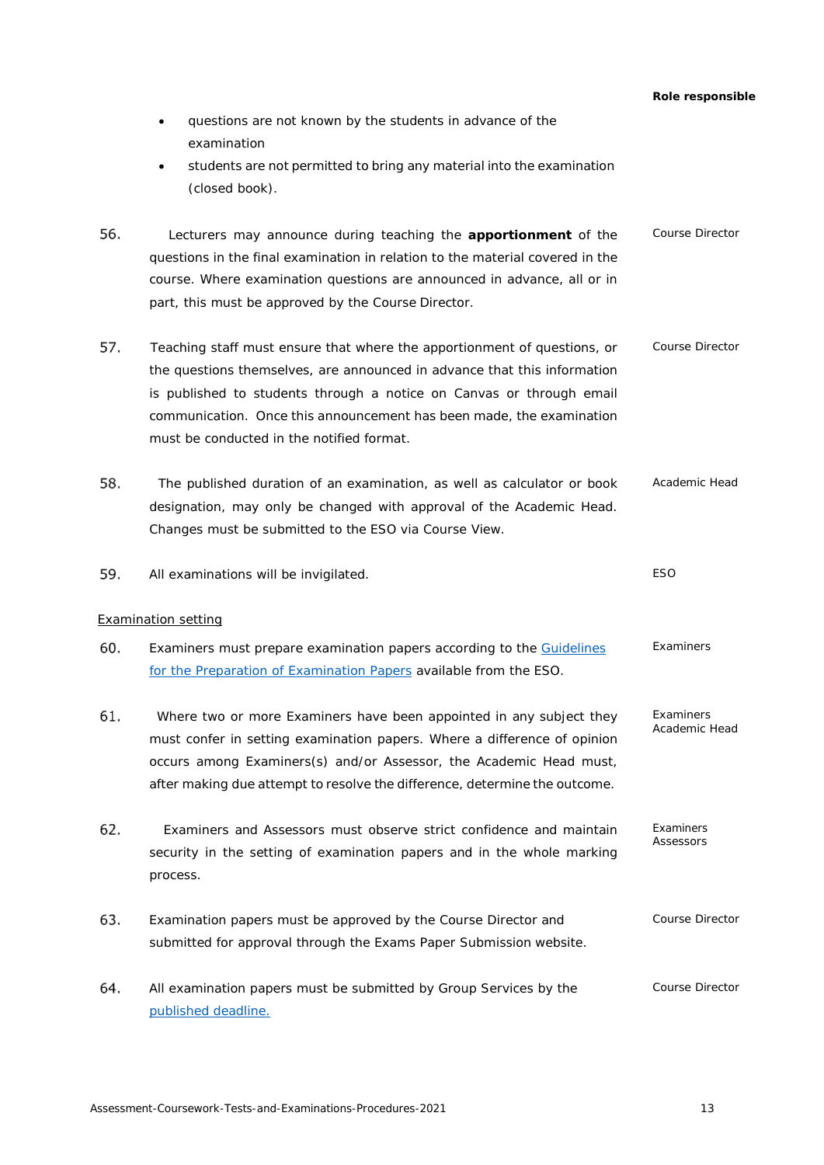<span id="page-12-0"></span>*Role responsible* • questions are not known by the students in advance of the examination students are not permitted to bring any material into the examination (closed book). Lecturers may announce during teaching the **apportionment** of the questions in the final examination in relation to the material covered in the course. Where examination questions are announced in advance, all or in part, this must be approved by the Course Director. *Course Director* 57. Teaching staff must ensure that where the apportionment of questions, or the questions themselves, are announced in advance that this information is published to students through a notice on Canvas or through email communication. Once this announcement has been made, the examination must be conducted in the notified format. *Course Director* The published duration of an examination, as well as calculator or book designation, may only be changed with approval of the Academic Head. Changes must be submitted to the ESO via Course View. *Academic Head* All examinations will be invigilated. *ESO* Examination setting 60. Examiners must prepare examination papers according to the [Guidelines](https://www.staff.auckland.ac.nz/en/teaching-and-students/services-for-students/examinations/exam-papers-and-completed-scripts.html) [for the Preparation of Examination Papers](https://www.staff.auckland.ac.nz/en/teaching-and-students/services-for-students/examinations/exam-papers-and-completed-scripts.html) available from the ESO. *Examiners* Where two or more Examiners have been appointed in any subject they must confer in setting examination papers. Where a difference of opinion occurs among Examiners(s) and/or Assessor, the Academic Head must, after making due attempt to resolve the difference, determine the outcome. *Examiners Academic Head* Examiners and Assessors must observe strict confidence and maintain security in the setting of examination papers and in the whole marking process. *Examiners Assessors* Examination papers must be approved by the Course Director and submitted for approval through the Exams Paper Submission website. *Course Director* 64. All examination papers must be submitted by Group Services by the [published](#page-3-0) deadline. *Course Director*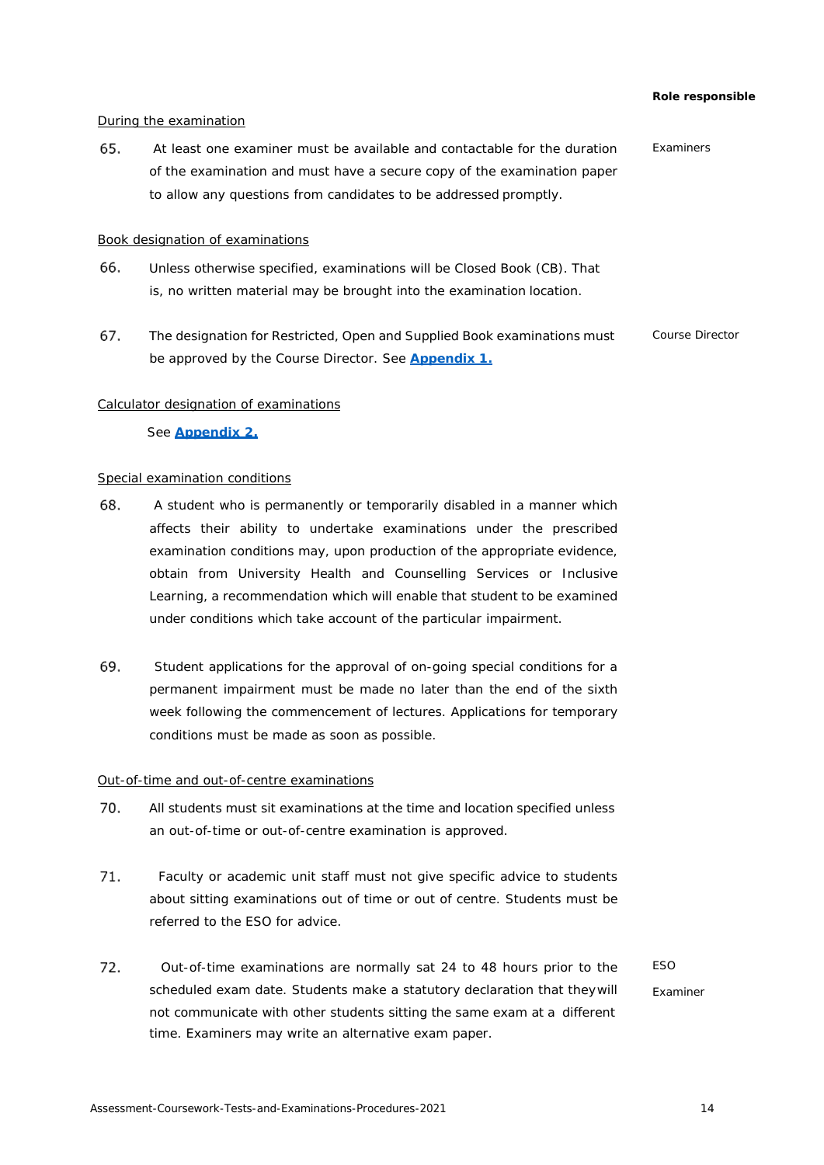# <span id="page-13-0"></span>During the examination

 At least one examiner must be available and contactable for the duration of the examination and must have a secure copy of the examination paper to allow any questions from candidates to be addressed promptly. *Examiners*

### <span id="page-13-1"></span>Book designation of examinations

- 66. Unless otherwise specified, examinations will be Closed Book (CB). That is, no written material may be brought into the examination location.
- 67. *Course Director* The designation for Restricted, Open and Supplied Book examinations must be approved by the Course Director. See **[Appendix 1.](#page-36-0)**

### <span id="page-13-2"></span>Calculator designation of examinations

### See **[Appendix 2.](#page-38-0)**

# <span id="page-13-3"></span>Special examination conditions

- 68. A student who is permanently or temporarily disabled in a manner which affects their ability to undertake examinations under the prescribed examination conditions may, upon production of the appropriate evidence, obtain from University Health and Counselling Services or Inclusive Learning, a recommendation which will enable that student to be examined under conditions which take account of the particular impairment.
- 69. Student applications for the approval of on-going special conditions for a permanent impairment must be made no later than the end of the sixth week following the commencement of lectures. Applications for temporary conditions must be made as soon as possible.

#### <span id="page-13-4"></span>Out-of-time and out-of-centre examinations

- 70. All students must sit examinations at the time and location specified unless an out-of-time or out-of-centre examination is approved.
- Faculty or academic unit staff must not give specific advice to students about sitting examinations out of time or out of centre. Students must be referred to the ESO for advice.
- Out-of-time examinations are normally sat 24 to 48 hours prior to the scheduled exam date. Students make a statutory declaration that theywill not communicate with other students sitting the same exam at a different time. Examiners may write an alternative exam paper. *ESO Examiner*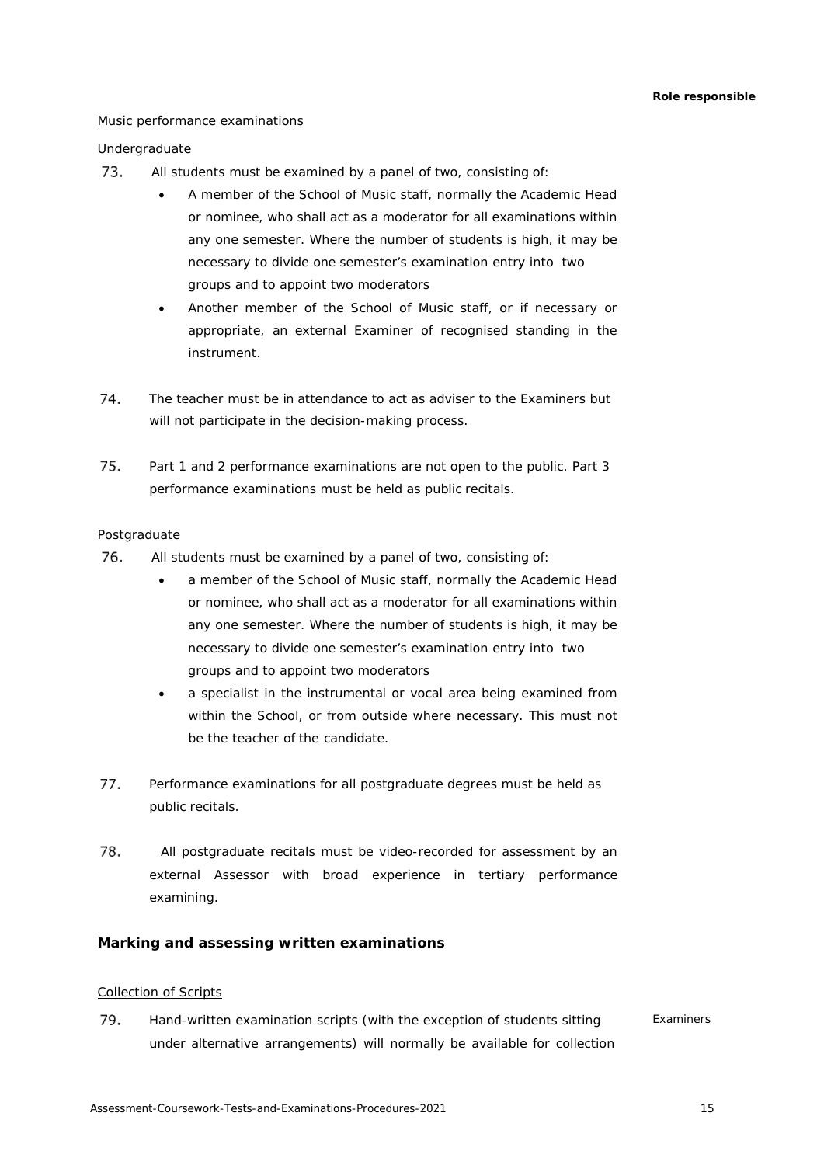# <span id="page-14-0"></span>Music performance examinations

# *Undergraduate*

- 73. All students must be examined by a panel of two, consisting of:
	- A member of the School of Music staff, normally the Academic Head or nominee, who shall act as a moderator for all examinations within any one semester. Where the number of students is high, it may be necessary to divide one semester's examination entry into two groups and to appoint two moderators
	- Another member of the School of Music staff, or if necessary or appropriate, an external Examiner of recognised standing in the instrument.
- The teacher must be in attendance to act as adviser to the Examiners but will not participate in the decision-making process.
- 75. Part 1 and 2 performance examinations are not open to the public. Part 3 performance examinations must be held as public recitals.

# *Postgraduate*

- All students must be examined by a panel of two, consisting of:
	- a member of the School of Music staff, normally the Academic Head or nominee, who shall act as a moderator for all examinations within any one semester. Where the number of students is high, it may be necessary to divide one semester's examination entry into two groups and to appoint two moderators
	- a specialist in the instrumental or vocal area being examined from within the School, or from outside where necessary. This must not be the teacher of the candidate.
- 77. Performance examinations for all postgraduate degrees must be held as public recitals.
- 78. All postgraduate recitals must be video-recorded for assessment by an external Assessor with broad experience in tertiary performance examining.

# <span id="page-14-1"></span>**Marking and assessing written examinations**

# <span id="page-14-2"></span>Collection of Scripts

79. Hand-written examination scripts (with the exception of students sitting under alternative arrangements) will normally be available for collection *Examiners*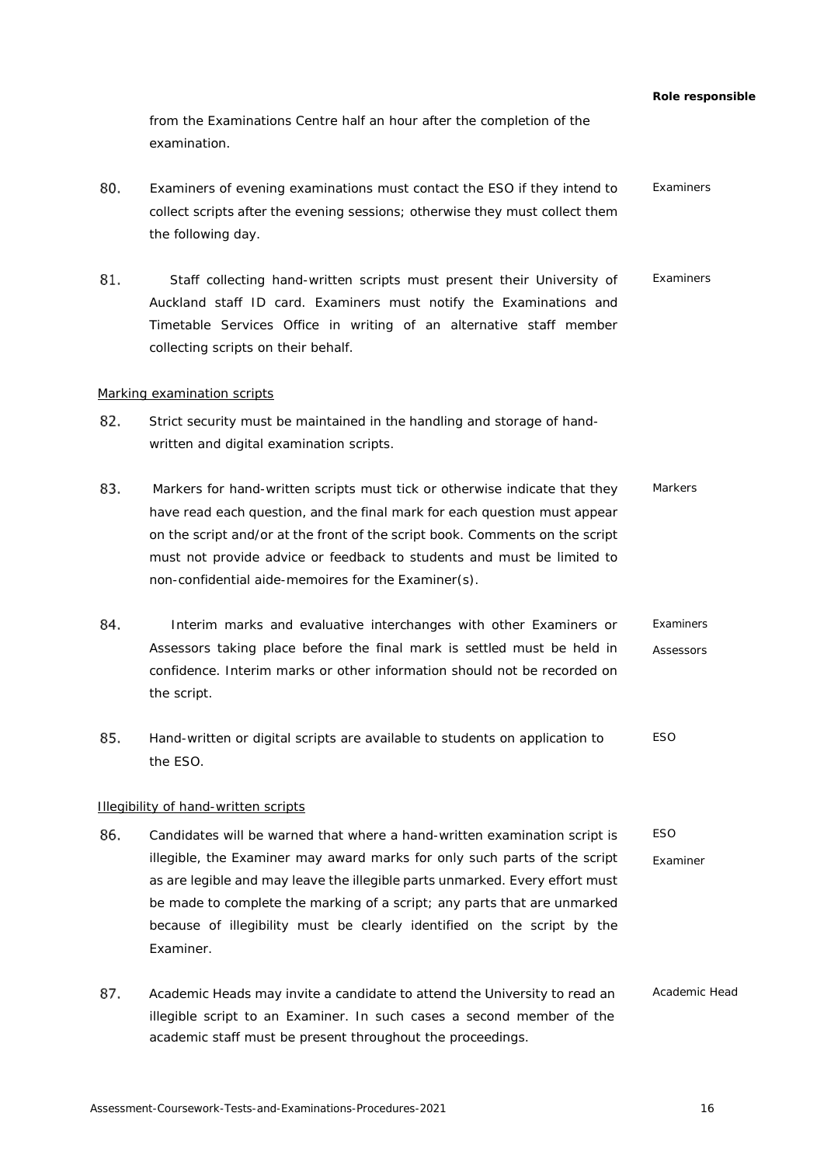from the Examinations Centre half an hour after the completion of the examination.

- Examiners of evening examinations must contact the ESO if they intend to collect scripts after the evening sessions; otherwise they must collect them the following day. *Examiners*
- Staff collecting hand-written scripts must present their University of Auckland staff ID card. Examiners must notify the Examinations and Timetable Services Office in writing of an alternative staff member collecting scripts on their behalf. *Examiners*

#### <span id="page-15-0"></span>Marking examination scripts

- 82. Strict security must be maintained in the handling and storage of handwritten and digital examination scripts.
- 83. Markers for hand-written scripts must tick or otherwise indicate that they have read each question, and the final mark for each question must appear on the script and/or at the front of the script book. Comments on the script must not provide advice or feedback to students and must be limited to non-confidential aide-memoires for the Examiner(s). *Markers*
- 84. Interim marks and evaluative interchanges with other Examiners or Assessors taking place before the final mark is settled must be held in confidence. Interim marks or other information should not be recorded on the script. *Examiners Assessors*
- 85. Hand-written or digital scripts are available to students on application to the ESO. *ESO*

# <span id="page-15-1"></span>Illegibility of hand-written scripts

- Candidates will be warned that where a hand-written examination script is illegible, the Examiner may award marks for only such parts of the script as are legible and may leave the illegible parts unmarked. Every effort must be made to complete the marking of a script; any parts that are unmarked because of illegibility must be clearly identified on the script by the Examiner. *ESO Examiner*
- Academic Heads may invite a candidate to attend the University to read an illegible script to an Examiner. In such cases a second member of the academic staff must be present throughout the proceedings. *Academic Head*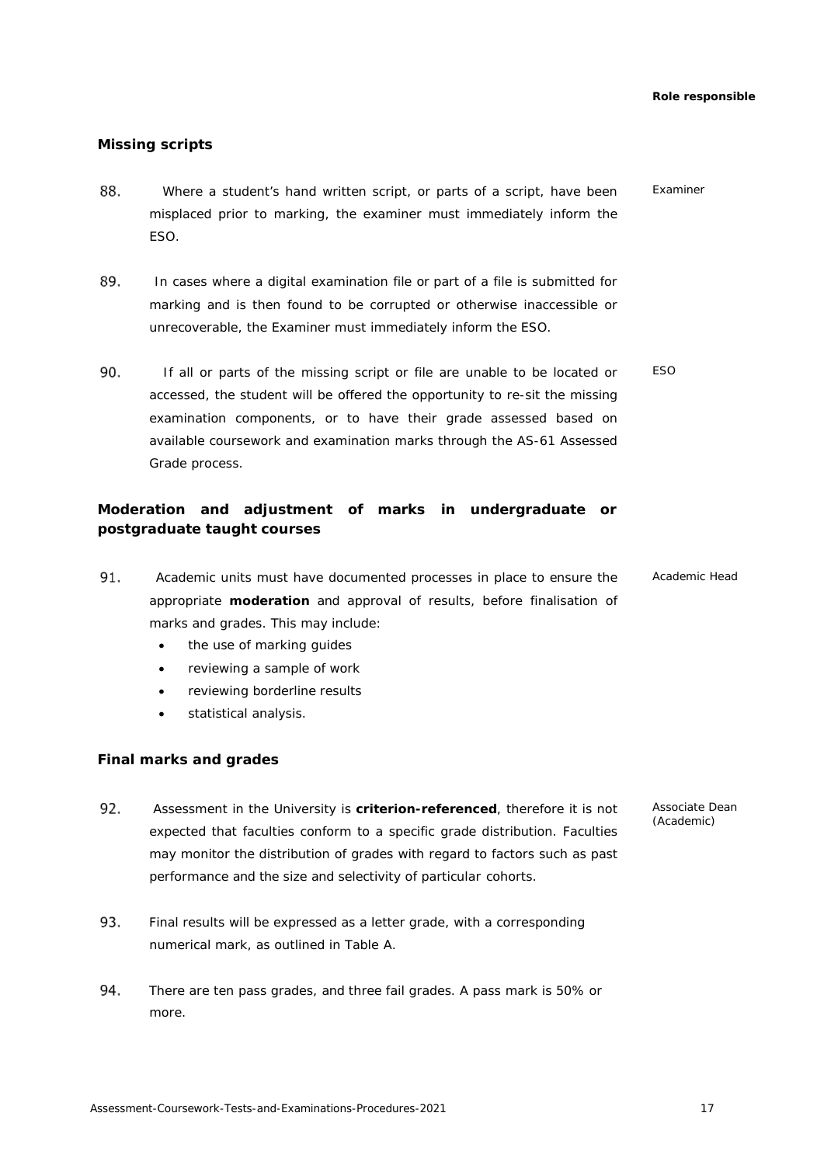# <span id="page-16-0"></span>**Missing scripts**

- 88. Where a student's hand written script, or parts of a script, have been misplaced prior to marking, the examiner must immediately inform the ESO. *Examiner*
- 89. In cases where a digital examination file or part of a file is submitted for marking and is then found to be corrupted or otherwise inaccessible or unrecoverable, the Examiner must immediately inform the ESO.
- 90. If all or parts of the missing script or file are unable to be located or accessed, the student will be offered the opportunity to re-sit the missing examination components, or to have their grade assessed based on available coursework and examination marks through the AS-61 Assessed Grade process. *ESO*

# <span id="page-16-1"></span>**Moderation and adjustment of marks in undergraduate or postgraduate taught courses**

- Academic units must have documented processes in place to ensure the appropriate **moderation** and approval of results, before finalisation of marks and grades. This may include: *Academic Head*
	- the use of marking guides
	- reviewing a sample of work
	- reviewing borderline results
	- statistical analysis.

# <span id="page-16-2"></span>**Final marks and grades**

- Assessment in the University is **criterion-referenced**, therefore it is not expected that faculties conform to a specific grade distribution. Faculties may monitor the distribution of grades with regard to factors such as past performance and the size and selectivity of particular cohorts.
- 93. Final results will be expressed as a letter grade, with a corresponding numerical mark, as outlined in Table A.
- There are ten pass grades, and three fail grades. A pass mark is 50% or more.

*Associate Dean (Academic)*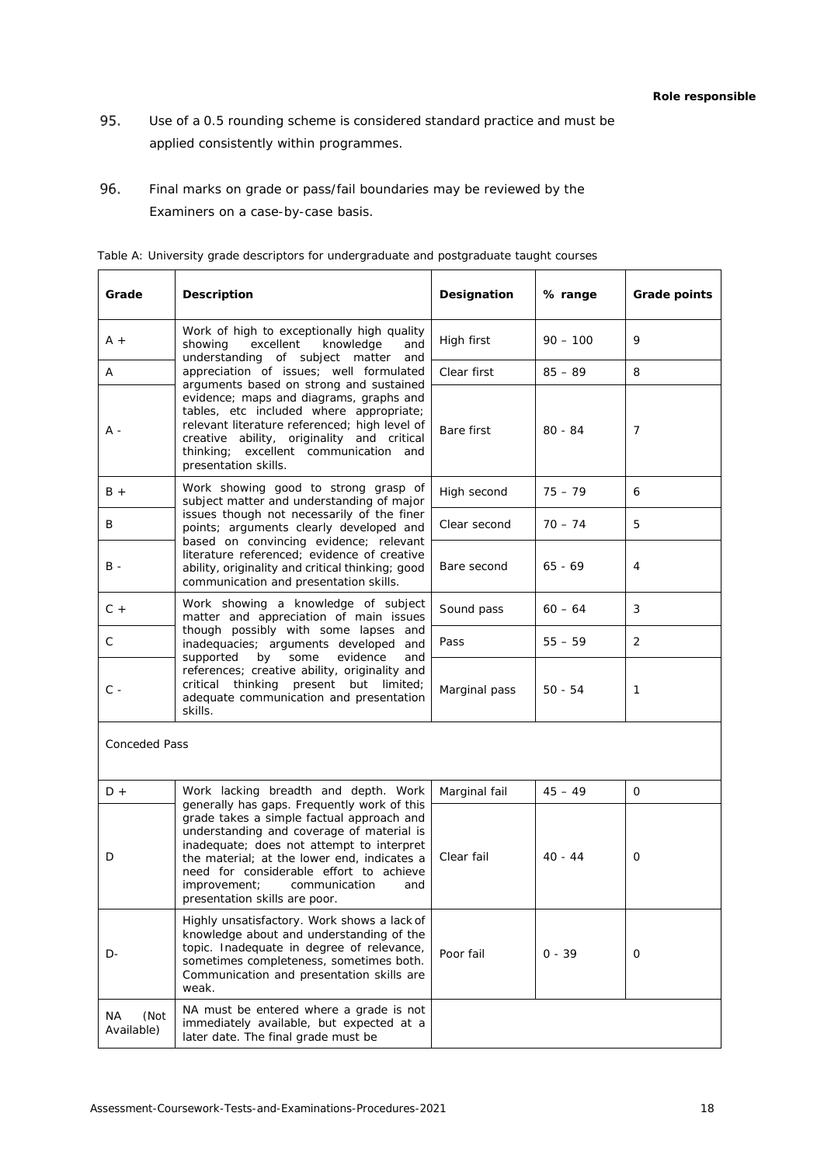- Use of a 0.5 rounding scheme is considered standard practice and must be applied consistently within programmes.
- 96. Final marks on grade or pass/fail boundaries may be reviewed by the Examiners on a case-by-case basis.

| Grade                    | <b>Description</b>                                                                                                                                                                                                                                                                                     | Designation   | % range    | Grade points |
|--------------------------|--------------------------------------------------------------------------------------------------------------------------------------------------------------------------------------------------------------------------------------------------------------------------------------------------------|---------------|------------|--------------|
| $A +$                    | Work of high to exceptionally high quality<br>excellent<br>showing<br>knowledge<br>and<br>understanding of subject matter<br>and                                                                                                                                                                       | High first    | $90 - 100$ | 9            |
| Α                        | appreciation of issues; well formulated<br>arguments based on strong and sustained                                                                                                                                                                                                                     | Clear first   | $85 - 89$  | 8            |
| A -                      | evidence; maps and diagrams, graphs and<br>tables, etc included where appropriate;<br>relevant literature referenced; high level of<br>creative ability, originality and critical<br>thinking; excellent communication and<br>presentation skills.                                                     | Bare first    | $80 - 84$  | 7            |
| $B +$                    | Work showing good to strong grasp of<br>subject matter and understanding of major                                                                                                                                                                                                                      | High second   | $75 - 79$  | 6            |
| B                        | issues though not necessarily of the finer<br>points; arguments clearly developed and                                                                                                                                                                                                                  | Clear second  | $70 - 74$  | 5            |
| В -                      | based on convincing evidence; relevant<br>literature referenced; evidence of creative<br>ability, originality and critical thinking; good<br>communication and presentation skills.                                                                                                                    | Bare second   | $65 - 69$  | 4            |
| $C +$                    | Work showing a knowledge of subject<br>matter and appreciation of main issues                                                                                                                                                                                                                          | Sound pass    | $60 - 64$  | 3            |
| C                        | though possibly with some lapses and<br>inadequacies; arguments developed and                                                                                                                                                                                                                          | Pass          | $55 - 59$  | 2            |
| $C -$                    | supported<br>by<br>some<br>evidence<br>and<br>references; creative ability, originality and<br>critical thinking<br>present but limited;<br>adequate communication and presentation<br>skills.                                                                                                         | Marginal pass | $50 - 54$  | 1            |
| <b>Conceded Pass</b>     |                                                                                                                                                                                                                                                                                                        |               |            |              |
| $D +$                    | Work lacking breadth and depth. Work<br>generally has gaps. Frequently work of this                                                                                                                                                                                                                    | Marginal fail | $45 - 49$  | 0            |
| D                        | grade takes a simple factual approach and<br>understanding and coverage of material is<br>inadequate; does not attempt to interpret<br>the material; at the lower end, indicates a<br>need for considerable effort to achieve<br>improvement;<br>communication<br>and<br>presentation skills are poor. | Clear fail    | 40 - 44    | 0            |
| D-                       | Highly unsatisfactory. Work shows a lack of<br>knowledge about and understanding of the<br>topic. Inadequate in degree of relevance,<br>sometimes completeness, sometimes both.<br>Communication and presentation skills are<br>weak.                                                                  | Poor fail     | $0 - 39$   | 0            |
| ΝA<br>(Not<br>Available) | NA must be entered where a grade is not<br>immediately available, but expected at a<br>later date. The final grade must be                                                                                                                                                                             |               |            |              |

<span id="page-17-0"></span>*Table A: University grade descriptors for undergraduate and postgraduate taught courses*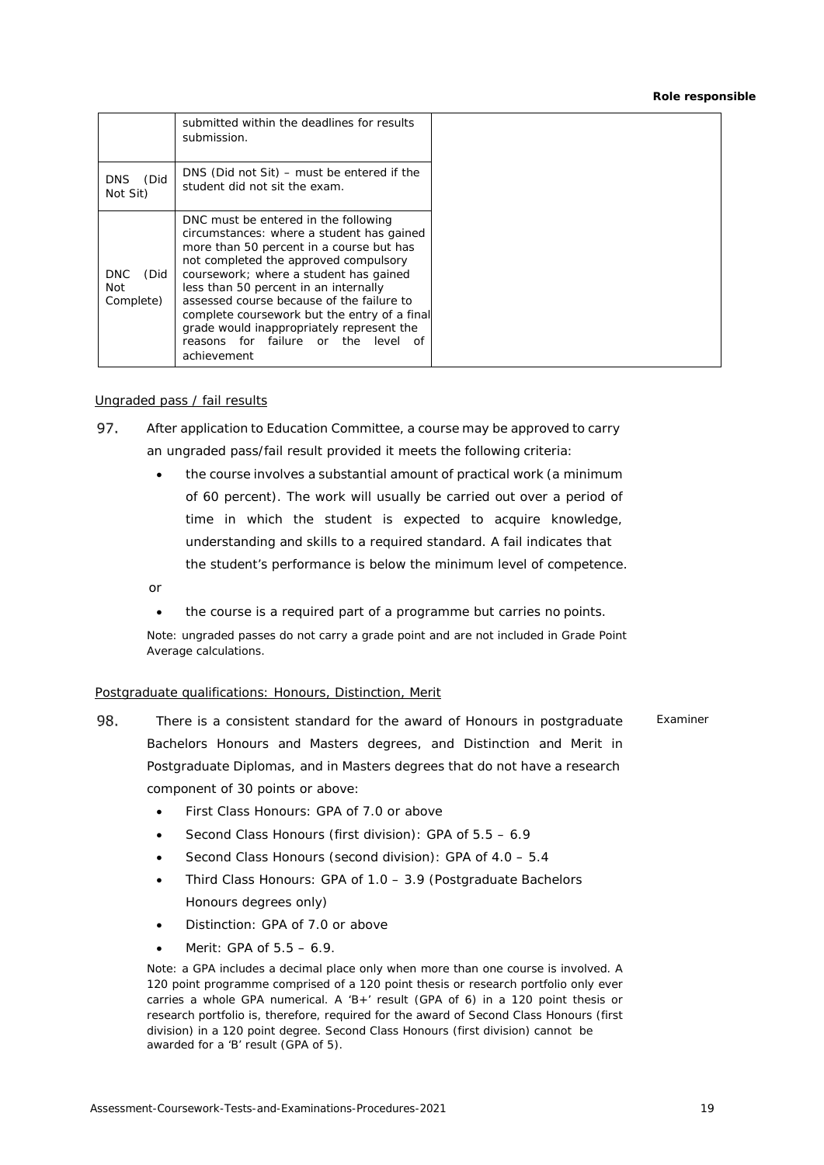|                                 | submitted within the deadlines for results<br>submission.                                                                                                                                                                                                                                                                                                                                                                                                    |
|---------------------------------|--------------------------------------------------------------------------------------------------------------------------------------------------------------------------------------------------------------------------------------------------------------------------------------------------------------------------------------------------------------------------------------------------------------------------------------------------------------|
| (Did<br><b>DNS</b><br>Not Sit)  | DNS (Did not Sit) – must be entered if the<br>student did not sit the exam.                                                                                                                                                                                                                                                                                                                                                                                  |
| (Did<br>DNC<br>Not<br>Complete) | DNC must be entered in the following<br>circumstances: where a student has gained<br>more than 50 percent in a course but has<br>not completed the approved compulsory<br>coursework; where a student has gained<br>less than 50 percent in an internally<br>assessed course because of the failure to<br>complete coursework but the entry of a final<br>grade would inappropriately represent the<br>reasons for failure or the<br>level of<br>achievement |

# <span id="page-18-0"></span>Ungraded pass / fail results

- 97. After application to Education Committee, a course may be approved to carry an ungraded pass/fail result provided it meets the following criteria:
	- the course involves a substantial amount of practical work (a minimum of 60 percent). The work will usually be carried out over a period of time in which the student is expected to acquire knowledge, understanding and skills to a required standard. A fail indicates that the student's performance is below the minimum level of competence.

or

• the course is a required part of a programme but carries no points.

Note: ungraded passes do not carry a grade point and are not included in Grade Point Average calculations.

# <span id="page-18-1"></span>Postgraduate qualifications: Honours, Distinction, Merit

- 98. There is a consistent standard for the award of Honours in postgraduate Bachelors Honours and Masters degrees, and Distinction and Merit in Postgraduate Diplomas, and in Masters degrees that do not have a research component of 30 points or above: *Examiner*
	- First Class Honours: GPA of 7.0 or above
	- Second Class Honours (first division): GPA of  $5.5 6.9$
	- Second Class Honours (second division): GPA of 4.0 5.4
	- Third Class Honours: GPA of 1.0 3.9 (Postgraduate Bachelors Honours degrees only)
	- Distinction: GPA of 7.0 or above
	- Merit: GPA of  $5.5 6.9$ .

Note: a GPA includes a decimal place only when more than one course is involved. A 120 point programme comprised of a 120 point thesis or research portfolio only ever carries a whole GPA numerical. A 'B+' result (GPA of 6) in a 120 point thesis or research portfolio is, therefore, required for the award of Second Class Honours (first division) in a 120 point degree. Second Class Honours (first division) cannot be awarded for a 'B' result (GPA of 5).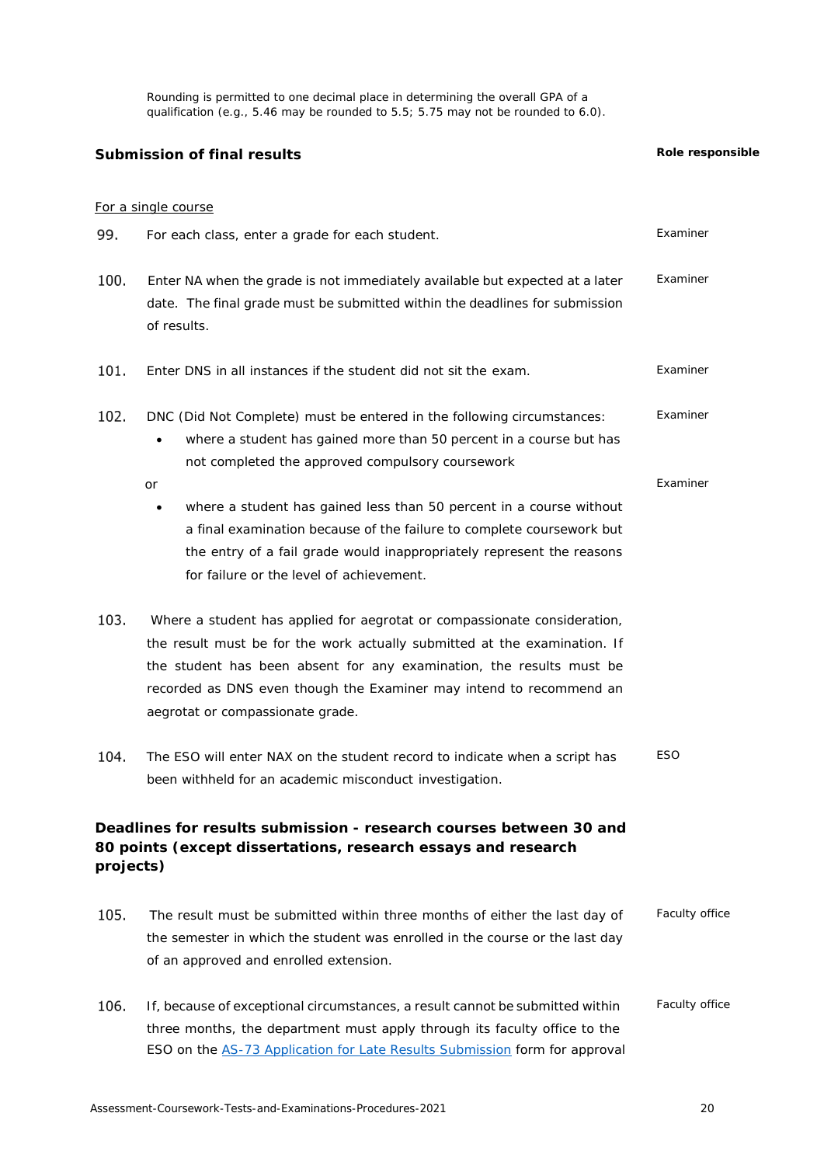Rounding is permitted to one decimal place in determining the overall GPA of a qualification (e.g.,  $5.46$  may be rounded to  $5.5$ ;  $5.75$  may not be rounded to  $6.0$ ).

<span id="page-19-0"></span>**Submission of final results** *Role responsible*

# <span id="page-19-1"></span>For a single course For each class, enter a grade for each student. *Examiner* 100. Enter NA when the grade is not immediately available but expected at a later date. The final grade must be submitted within the deadlines for submission of results. *Examiner* Enter DNS in all instances if the student did not sit the exam. *Examiner* DNC (Did Not Complete) must be entered in the following circumstances: *Examiner* where a student has gained more than 50 percent in a course but has not completed the approved compulsory coursework or *Examiner* • where a student has gained less than 50 percent in a course without a final examination because of the failure to complete coursework but the entry of a fail grade would inappropriately represent the reasons for failure or the level of achievement. 103. Where a student has applied for aegrotat or compassionate consideration, the result must be for the work actually submitted at the examination. If the student has been absent for any examination, the results must be recorded as DNS even though the Examiner may intend to recommend an aegrotat or compassionate grade. 104. The ESO will enter NAX on the student record to indicate when a script has been withheld for an academic misconduct investigation. *ESO* **Deadlines for results submission - research courses between 30 and 80 points (except dissertations, research essays and research projects)** 105. The result must be submitted within three months of either the last day of the semester in which the student was enrolled in the course or the last day of an approved and enrolled extension. *Faculty office* 106. If, because of exceptional circumstances, a result cannot be submitted within *Faculty office*

<span id="page-19-2"></span>three months, the department must apply through its faculty office to the ESO on the [AS-73 Application for Late Results Submission](https://formspace.auckland.ac.nz/staff-forms/as-73.pdf) form for approval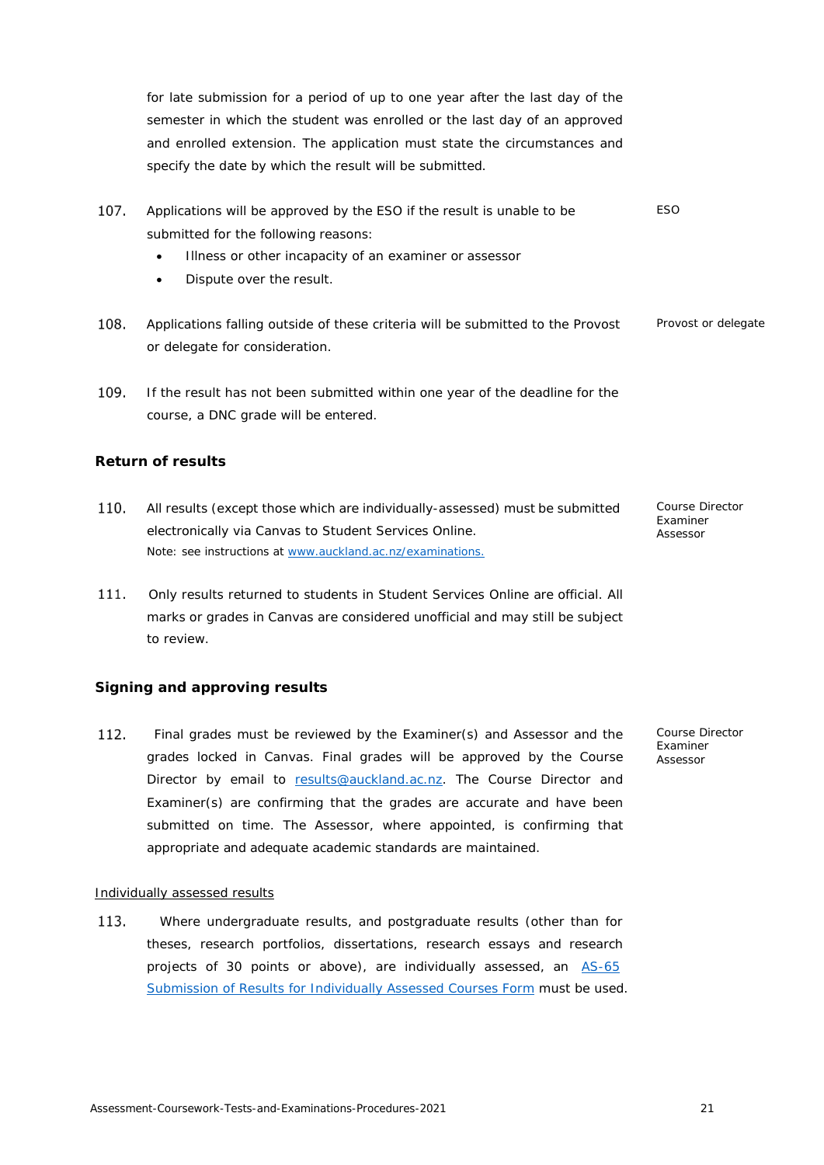for late submission for a period of up to one year after the last day of the semester in which the student was enrolled or the last day of an approved and enrolled extension. The application must state the circumstances and specify the date by which the result will be submitted.

- $107.$ *ESO* Applications will be approved by the ESO if the result is unable to be submitted for the following reasons:
	- Illness or other incapacity of an examiner or assessor
	- Dispute over the result.
- 108. Applications falling outside of these criteria will be submitted to the Provost *Provost or delegate* or delegate for consideration.
- 109. If the result has not been submitted within one year of the deadline for the course, a DNC grade will be entered.

# <span id="page-20-0"></span>**Return of results**

- 110. All results (except those which are individually-assessed) must be submitted electronically via Canvas to Student Services Online. Note: see instructions at [www.auckland.ac.nz/examinations.](http://www.auckland.ac.nz/examinations)
- Only results returned to students in Student Services Online are official. All marks or grades in Canvas are considered unofficial and may still be subject to review.

# <span id="page-20-1"></span>**Signing and approving results**

 $112.$  Final grades must be reviewed by the Examiner(s) and Assessor and the grades locked in Canvas. Final grades will be approved by the Course Director by email to [results@auckland.ac.nz.](mailto:results@auckland.ac.nz) The Course Director and Examiner(s) are confirming that the grades are accurate and have been submitted on time. The Assessor, where appointed, is confirming that appropriate and adequate academic standards are maintained.

# <span id="page-20-2"></span>Individually assessed results

 Where undergraduate results, and postgraduate results (other than for theses, research portfolios, dissertations, research essays and research projects of 30 points or above), are individually assessed, an [AS-65](https://formspace.auckland.ac.nz/staff-forms/as-65.pdf) [Submission of Results for Individually Assessed Courses Form](https://formspace.auckland.ac.nz/staff-forms/as-65.pdf) must be used. *Course Director Examiner Assessor*

*Course Director Examiner Assessor*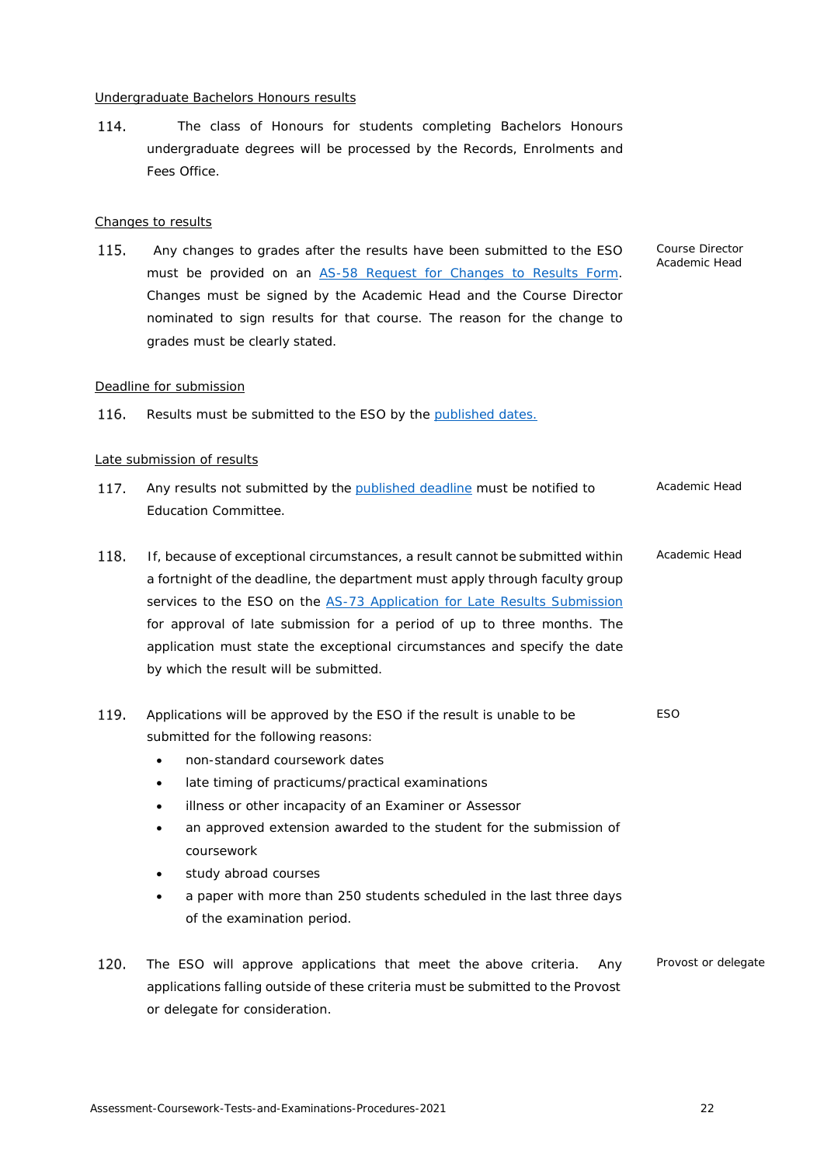### <span id="page-21-0"></span>Undergraduate Bachelors Honours results

114. The class of Honours for students completing Bachelors Honours undergraduate degrees will be processed by the Records, Enrolments and Fees Office.

### <span id="page-21-1"></span>Changes to results

 Any changes to grades after the results have been submitted to the ESO must be provided on an [AS-58 Request for Changes to Results Form.](https://formspace.auckland.ac.nz/staff-forms/as-58.pdf) Changes must be signed by the Academic Head and the Course Director nominated to sign results for that course. The reason for the change to grades must be clearly stated.

#### <span id="page-21-2"></span>Deadline for submission

116. Results must be submitted to the ESO by the [published dates.](#page-3-0)

### <span id="page-21-3"></span>Late submission of results

- 117. Any results not submitted by the [published deadline](#page-3-0) must be notified to Education Committee. *Academic Head*
- 118. If, because of exceptional circumstances, a result cannot be submitted within a fortnight of the deadline, the department must apply through faculty group services to the ESO on the [AS-73 Application for Late Results Submission](https://formspace.auckland.ac.nz/staff-forms/as-73.pdf) for approval of late submission for a period of up to three months. The application must state the exceptional circumstances and specify the date by which the result will be submitted. *Academic Head*
- Applications will be approved by the ESO if the result is unable to be submitted for the following reasons: *ESO*
	- non-standard coursework dates
	- late timing of practicums/practical examinations
	- illness or other incapacity of an Examiner or Assessor
	- an approved extension awarded to the student for the submission of coursework
	- study abroad courses
	- a paper with more than 250 students scheduled in the last three days of the examination period.
- 120. The ESO will approve applications that meet the above criteria. Any applications falling outside of these criteria must be submitted to the Provost or delegate for consideration. *Provost or delegate*

*Course Director Academic Head*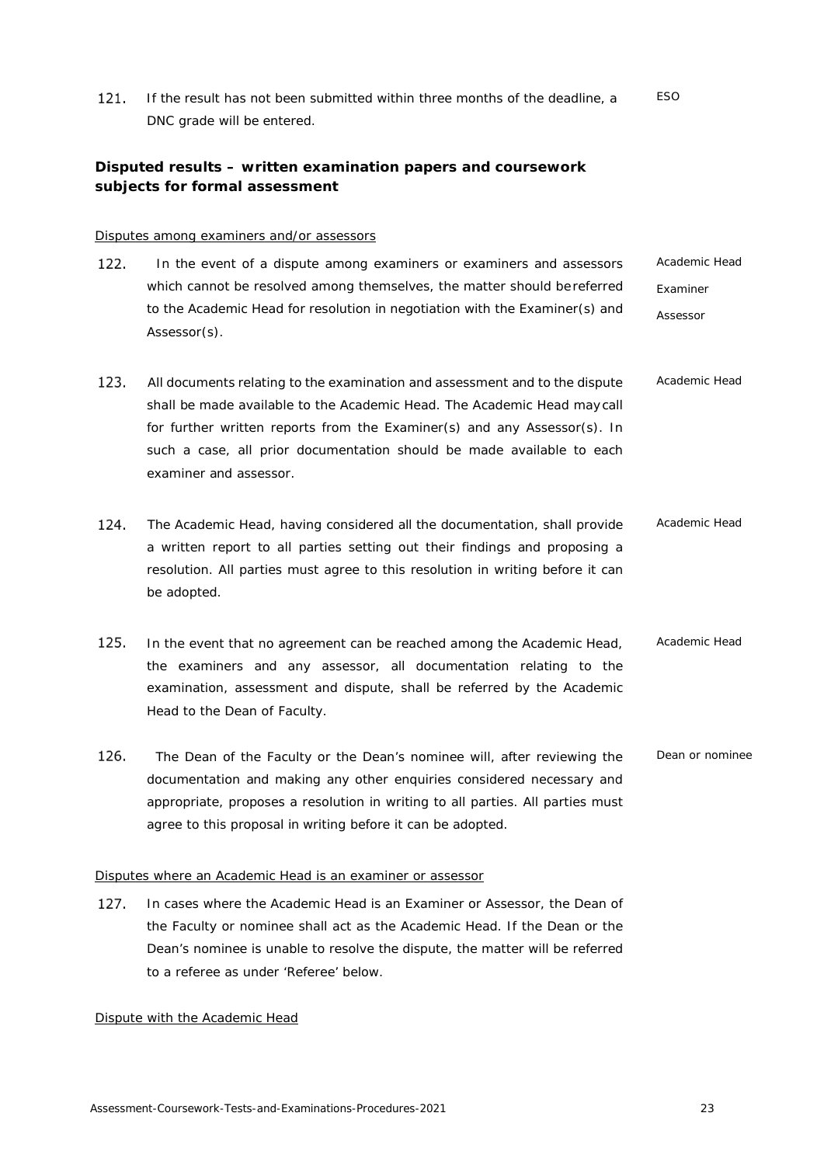121. If the result has not been submitted within three months of the deadline, a DNC grade will be entered. *ESO*

# <span id="page-22-0"></span>**Disputed results – written examination papers and coursework subjects for formal assessment**

### <span id="page-22-1"></span>Disputes among examiners and/or assessors

- 122. In the event of a dispute among examiners or examiners and assessors which cannot be resolved among themselves, the matter should bereferred to the Academic Head for resolution in negotiation with the Examiner(s) and Assessor(s). *Academic Head Examiner Assessor*
- 123. All documents relating to the examination and assessment and to the dispute shall be made available to the Academic Head. The Academic Head maycall for further written reports from the Examiner(s) and any Assessor(s). In such a case, all prior documentation should be made available to each examiner and assessor. *Academic Head*
- 124. The Academic Head, having considered all the documentation, shall provide a written report to all parties setting out their findings and proposing a resolution. All parties must agree to this resolution in writing before it can be adopted. *Academic Head*
- 125. In the event that no agreement can be reached among the Academic Head, the examiners and any assessor, all documentation relating to the examination, assessment and dispute, shall be referred by the Academic Head to the Dean of Faculty. *Academic Head*
- 126. The Dean of the Faculty or the Dean's nominee will, after reviewing the documentation and making any other enquiries considered necessary and appropriate, proposes a resolution in writing to all parties. All parties must agree to this proposal in writing before it can be adopted. *Dean or nominee*

# <span id="page-22-2"></span>Disputes where an Academic Head is an examiner or assessor

127. In cases where the Academic Head is an Examiner or Assessor, the Dean of the Faculty or nominee shall act as the Academic Head. If the Dean or the Dean's nominee is unable to resolve the dispute, the matter will be referred to a referee as under 'Referee' below.

#### <span id="page-22-3"></span>Dispute with the Academic Head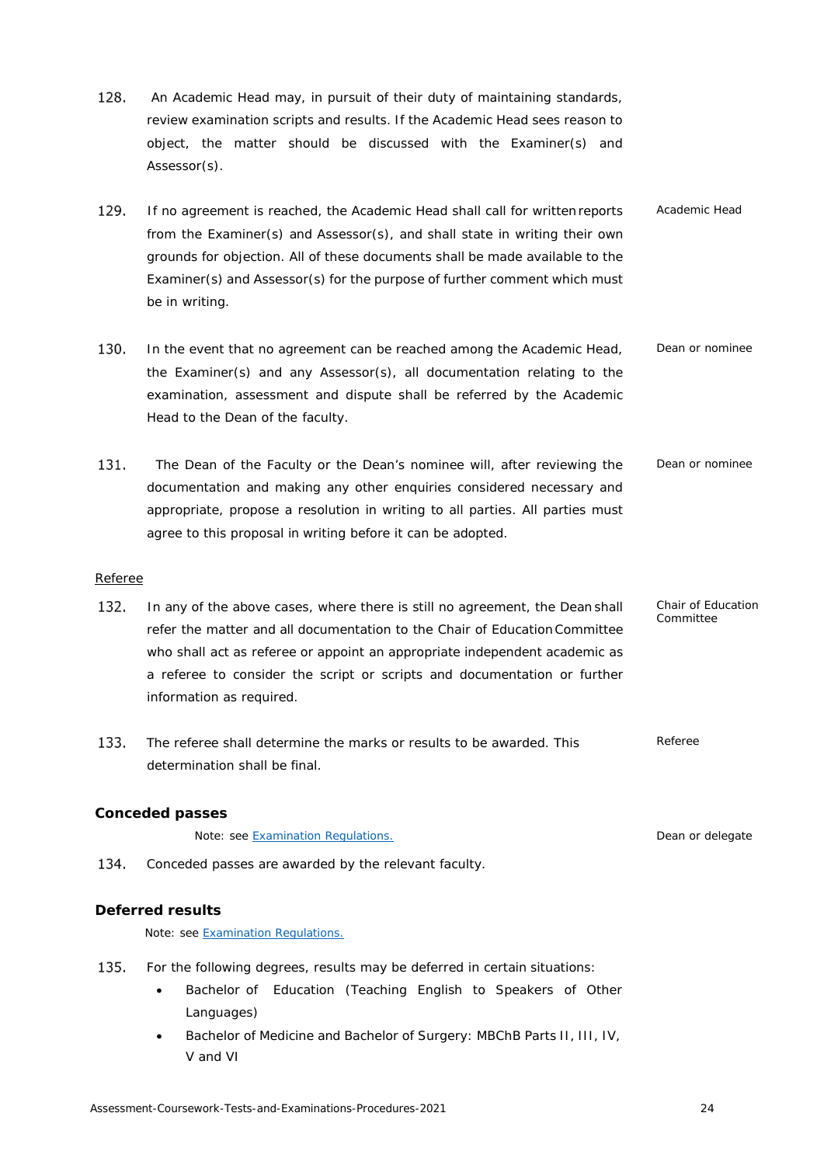- 128. An Academic Head may, in pursuit of their duty of maintaining standards, review examination scripts and results. If the Academic Head sees reason to object, the matter should be discussed with the Examiner(s) and Assessor(s).
- 129. *Academic Head* If no agreement is reached, the Academic Head shall call for written reports from the Examiner(s) and Assessor(s), and shall state in writing their own grounds for objection. All of these documents shall be made available to the Examiner(s) and Assessor(s) for the purpose of further comment which must be in writing.
- 130. *Dean or nominee* In the event that no agreement can be reached among the Academic Head, the Examiner(s) and any Assessor(s), all documentation relating to the examination, assessment and dispute shall be referred by the Academic Head to the Dean of the faculty.
- 131. The Dean of the Faculty or the Dean's nominee will, after reviewing the documentation and making any other enquiries considered necessary and appropriate, propose a resolution in writing to all parties. All parties must agree to this proposal in writing before it can be adopted. *Dean or nominee*

# <span id="page-23-0"></span>Referee

- 132. In any of the above cases, where there is still no agreement, the Dean shall refer the matter and all documentation to the Chair of EducationCommittee who shall act as referee or appoint an appropriate independent academic as a referee to consider the script or scripts and documentation or further information as required.
- 133. The referee shall determine the marks or results to be awarded. This *Referee* determination shall be final.

# <span id="page-23-1"></span>**Conceded passes**

Note: see [Examination Regulations.](https://www.calendar.auckland.ac.nz/en/genregs/examination.html) *Dean or delegate*

134. Conceded passes are awarded by the relevant faculty.

# <span id="page-23-2"></span>**Deferred results**

Note: see [Examination Regulations.](https://www.calendar.auckland.ac.nz/en/genregs/examination.html)

- 135. For the following degrees, results may be deferred in certain situations:
	- Bachelor of Education (Teaching English to Speakers of Other Languages)
	- Bachelor of Medicine and Bachelor of Surgery: MBChB Parts II, III, IV, V and VI

*Chair of Education Committee*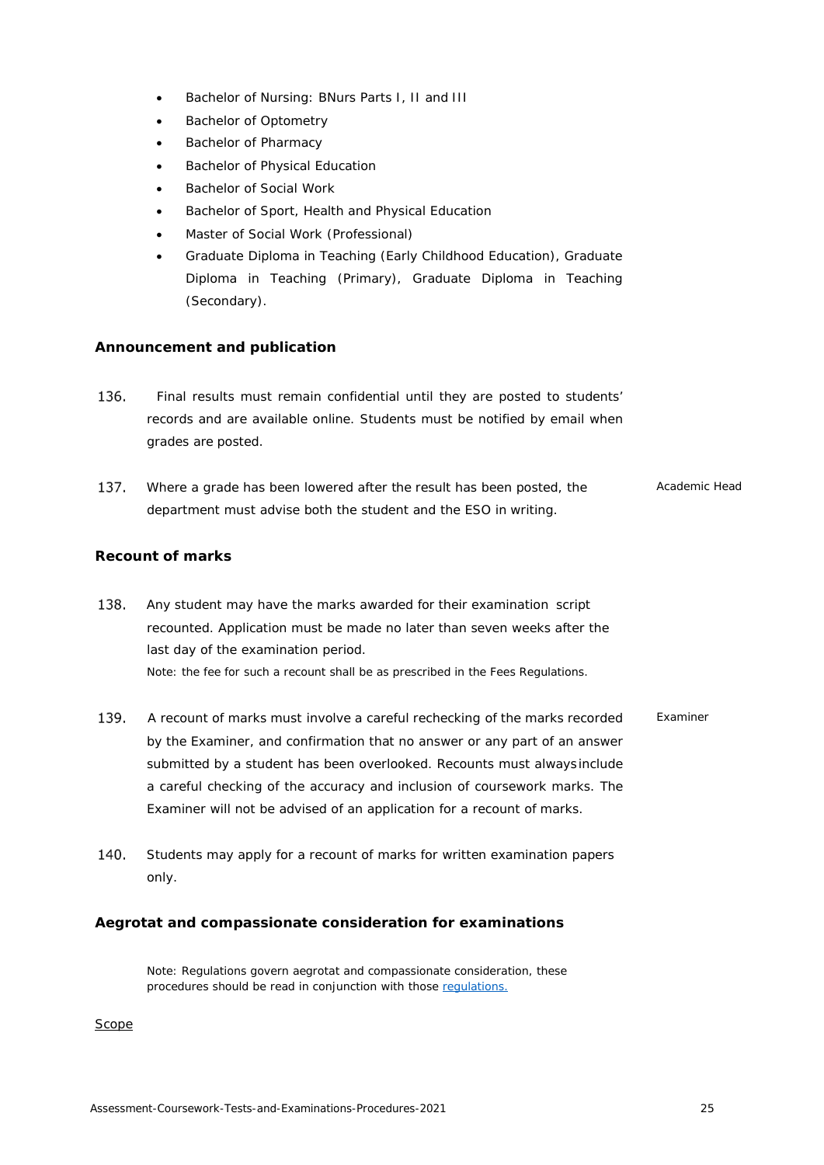- Bachelor of Nursing: BNurs Parts I, II and III
- **Bachelor of Optometry**
- Bachelor of Pharmacy
- Bachelor of Physical Education
- Bachelor of Social Work
- Bachelor of Sport, Health and Physical Education
- Master of Social Work (Professional)
- Graduate Diploma in Teaching (Early Childhood Education), Graduate Diploma in Teaching (Primary), Graduate Diploma in Teaching (Secondary).

# <span id="page-24-0"></span>**Announcement and publication**

- 136. Final results must remain confidential until they are posted to students' records and are available online. Students must be notified by email when grades are posted.
- 137. *Academic Head* Where a grade has been lowered after the result has been posted, the department must advise both the student and the ESO in writing.

# <span id="page-24-1"></span>**Recount of marks**

- 138. Any student may have the marks awarded for their examination script recounted. Application must be made no later than seven weeks after the last day of the examination period. Note: the fee for such a recount shall be as prescribed in the [Fees Regulations.](https://www.calendar.auckland.ac.nz/en/genregs/fees.html)
- 139. *Examiner* A recount of marks must involve a careful rechecking of the marks recorded by the Examiner, and confirmation that no answer or any part of an answer submitted by a student has been overlooked. Recounts must alwaysinclude a careful checking of the accuracy and inclusion of coursework marks. The Examiner will not be advised of an application for a recount of marks.
- 140. Students may apply for a recount of marks for written examination papers only.

# <span id="page-24-2"></span>**Aegrotat and compassionate consideration for examinations**

Note: Regulations govern aegrotat and compassionate consideration, these procedures should be read in conjunction with those [regulations.](https://www.calendar.auckland.ac.nz/en/genregs/examination.html)

<span id="page-24-3"></span>**Scope**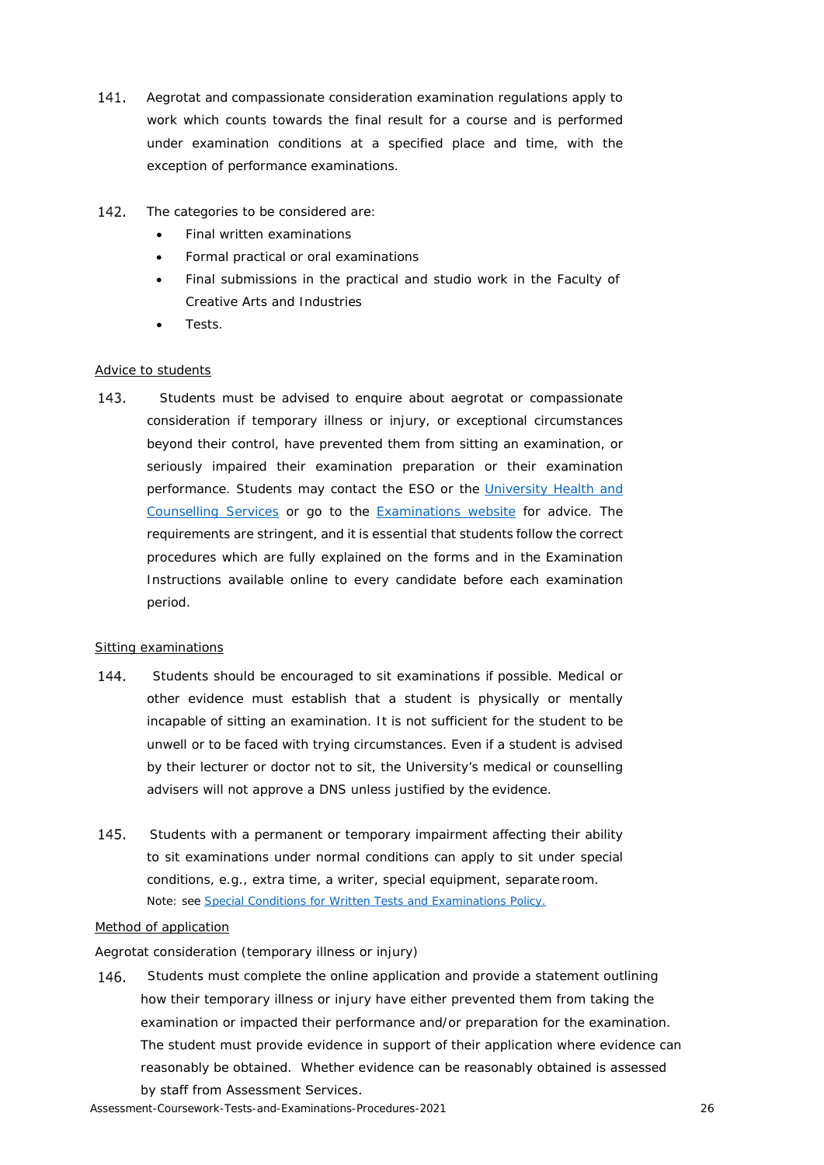- 141. Aegrotat and compassionate consideration examination regulations apply to work which counts towards the final result for a course and is performed under examination conditions at a specified place and time, with the exception of performance examinations.
- 142. The categories to be considered are:
	- Final written examinations
	- Formal practical or oral examinations
	- Final submissions in the practical and studio work in the Faculty of Creative Arts and Industries
	- Tests.

# <span id="page-25-0"></span>Advice to students

143. Students must be advised to enquire about aegrotat or compassionate consideration if temporary illness or injury, or exceptional circumstances beyond their control, have prevented them from sitting an examination, or seriously impaired their examination preparation or their examination performance. Students may contact the ESO or the [University Health and](https://www.auckland.ac.nz/en/on-campus/student-support/personal-support/student-health-counselling.html) [Counselling Services](https://www.auckland.ac.nz/en/on-campus/student-support/personal-support/student-health-counselling.html) or go to the [Examinations website](https://www.auckland.ac.nz/en/students/academic-information/exams-and-final-results.html) for advice. The requirements are stringent, and it is essential that students follow the correct procedures which are fully explained on the forms and in the Examination Instructions available online to every candidate before each examination period.

# <span id="page-25-1"></span>Sitting examinations

- 144. Students should be encouraged to sit examinations if possible. Medical or other evidence must establish that a student is physically or mentally incapable of sitting an examination. It is not sufficient for the student to be unwell or to be faced with trying circumstances. Even if a student is advised by their lecturer or doctor not to sit, the University's medical or counselling advisers will not approve a DNS unless justified by the evidence.
- 145. Students with a permanent or temporary impairment affecting their ability to sit examinations under normal conditions can apply to sit under special conditions, e.g., extra time, a writer, special equipment, separate room. Note: see [Special Conditions for Written Tests and Examinations Policy.](https://cdn.auckland.ac.nz/assets/auckland/students/academic-information/exams-and-final-results/before-your-exams/special-conditions-for-written-tests-and-examinations-policy.pdf)

#### <span id="page-25-2"></span>Method of application

# *Aegrotat consideration (temporary illness or injury)*

Students must complete the online application and provide a statement outlining 146. how their temporary illness or injury have either prevented them from taking the examination or impacted their performance and/or preparation for the examination. The student must provide evidence in support of their application where evidence can reasonably be obtained. Whether evidence can be reasonably obtained is assessed by staff from Assessment Services.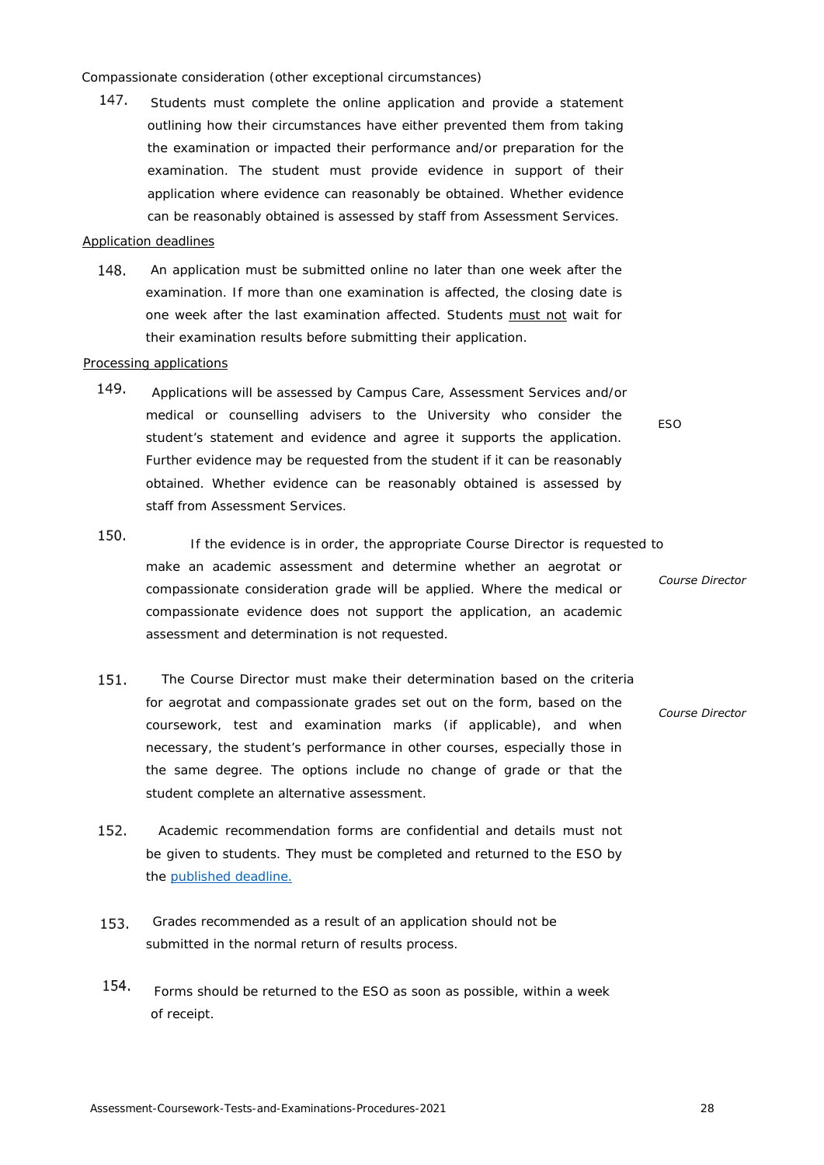#### *Compassionate consideration (other exceptional circumstances)*

147. Students must complete the online application and provide a statement outlining how their circumstances have either prevented them from taking the examination or impacted their performance and/or preparation for the examination. The student must provide evidence in support of their application where evidence can reasonably be obtained. Whether evidence can be reasonably obtained is assessed by staff from Assessment Services.

# Application deadlines

148. An application must be submitted online no later than one week after the examination. If more than one examination is affected, the closing date is one week after the last examination affected. Students must not wait for their examination results before submitting their application.

# <span id="page-26-0"></span>Processing applications

- 149. Applications will be assessed by Campus Care, Assessment Services and/or medical or counselling advisers to the University who consider the student's statement and evidence and agree it supports the application. Further evidence may be requested from the student if it can be reasonably obtained. Whether evidence can be reasonably obtained is assessed by staff from Assessment Services.
- <span id="page-26-1"></span>150. If the evidence is in order, the appropriate Course Director is requested to make an academic assessment and determine whether an aegrotat or *Course Director* compassionate consideration grade will be applied. Where the medical or compassionate evidence does not support the application, an academic assessment and determination is not requested.
- 151. The Course Director must make their determination based on the criteria for aegrotat and compassionate grades set out on the form, based on the *Course Director* coursework, test and examination marks (if applicable), and when necessary, the student's performance in other courses, especially those in the same degree. The options include no change of grade or that the student complete an alternative assessment.
- 152. Academic recommendation forms are confidential and details must not be given to students. They must be completed and returned to the ESO by the published deadline.
- 153. Grades recommended as a result of an application should not be submitted in the normal return of results process.
- 154. [Forms should be r](#page-3-0)eturned to the ESO as soon as possible, within a week of receipt.

*ESO*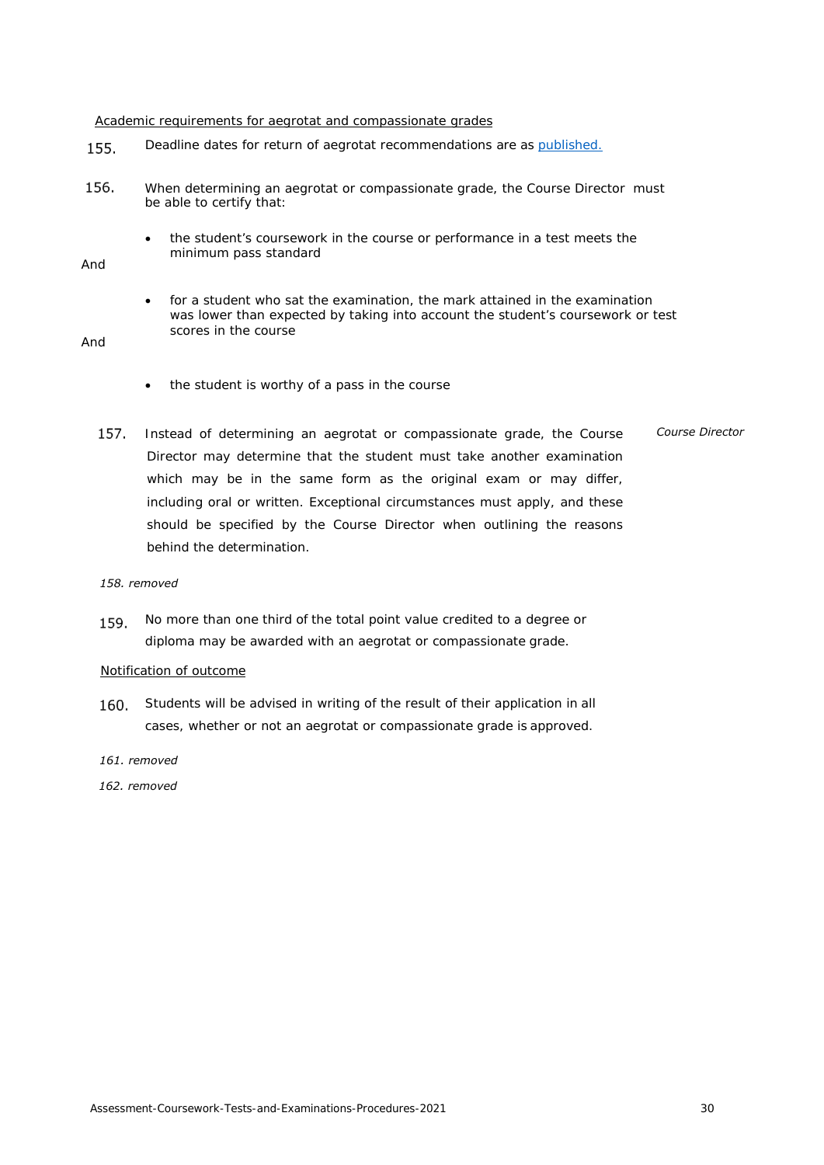<span id="page-27-0"></span>Academic requirements for aegrotat and compassionate grades

- Deadline dates for return of aegrotat recommendations are as [published.](#page-3-0) 155.
- 156. When determining an aegrotat or compassionate grade, the Course Director must be able to certify that:
	- the student's coursework in the course or performance in a test meets the minimum pass standard

And

• for a student who sat the examination, the mark attained in the examination was lower than expected by taking into account the student's coursework or test scores in the course

# And

- the student is worthy of a pass in the course
- 157. Instead of determining an aegrotat or compassionate grade, the Course Director may determine that the student must take another examination which may be in the same form as the original exam or may differ, including oral or written. Exceptional circumstances must apply, and these should be specified by the Course Director when outlining the reasons behind the determination. *Course Director*

#### *158. removed*

No more than one third of the total point value credited to a degree or 159. diploma may be awarded with an aegrotat or compassionate grade.

#### Notification of outcome

- 160. Students will be advised in writing of the result of their application in all cases, whether or not an aegrotat or compassionate grade is approved.
- *161. removed*

<span id="page-27-2"></span><span id="page-27-1"></span>*162. removed*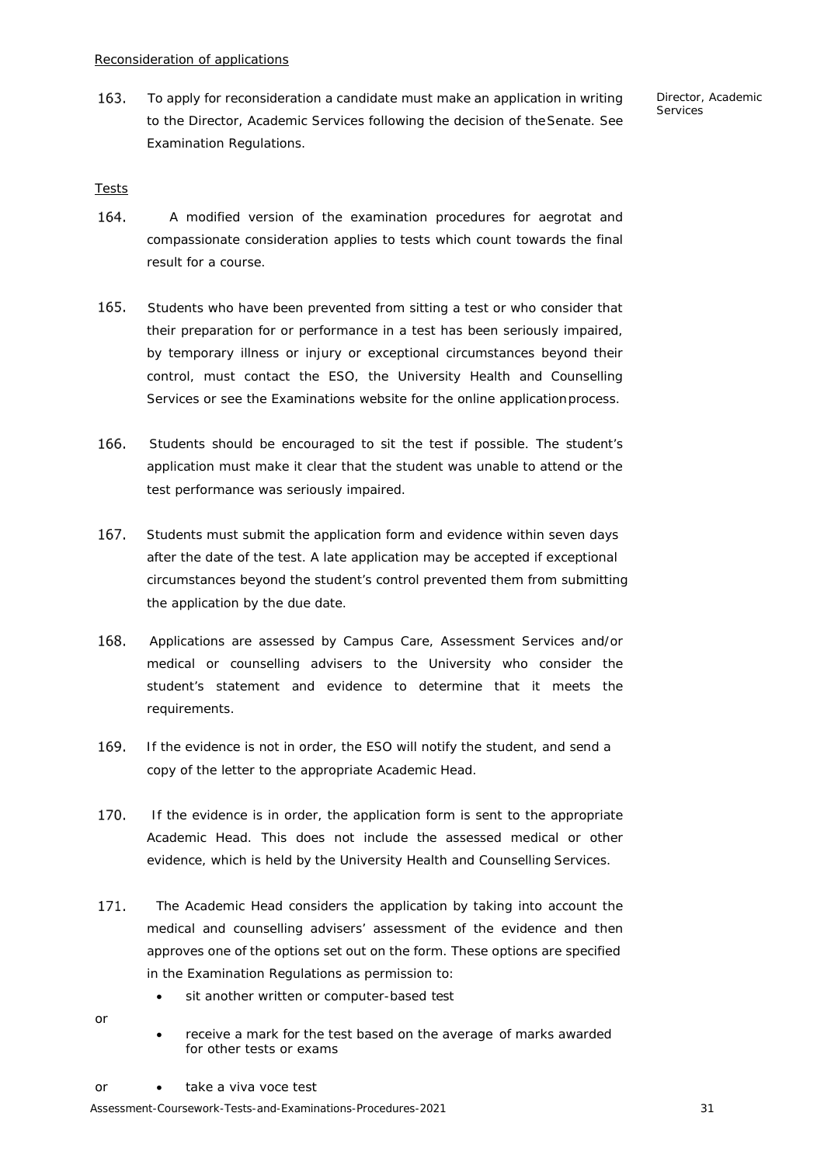163. To apply for reconsideration a candidate must make an application in writing to the Director, Academic Services following the decision of theSenate. See Examination Regulations.

*Director, Academic Services*

# <span id="page-28-0"></span>Tests

- 164. A modified version of the examination procedures for aegrotat and compassionate consideration applies to tests which count towards the final result for a course.
- 165. Students who have been prevented from sitting a test or who consider that their preparation for or performance in a test has been seriously impaired, by temporary illness or injury or exceptional circumstances beyond their control, must contact the ESO, the University Health and Counselling Services or see the Examinations website for the online applicationprocess.
- 166. Students should be encouraged to sit the test if possible. The student's application must make it clear that the student was unable to attend or the test performance was seriously impaired.
- 167. Students must submit the application form and evidence within seven days after the date of the test. A late application may be accepted if exceptional circumstances beyond the student's control prevented them from submitting the application by the due date.
- 168. Applications are assessed by Campus Care, Assessment Services and/or medical or counselling advisers to the University who consider the student's statement and evidence to determine that it meets the requirements.
- 169. If the evidence is not in order, the ESO will notify the student, and send a copy of the letter to the appropriate Academic Head.
- 170. If the evidence is in order, the application form is sent to the appropriate Academic Head. This does not include the assessed medical or other evidence, which is held by the University Health and Counselling Services.
- 171. The Academic Head considers the application by taking into account the medical and counselling advisers' assessment of the evidence and then approves one of the options set out on the form. These options are specified in the Examination Regulations as permission to:
	- sit another written or computer-based test
- or
- receive a mark for the test based on the average of marks awarded for other tests or exams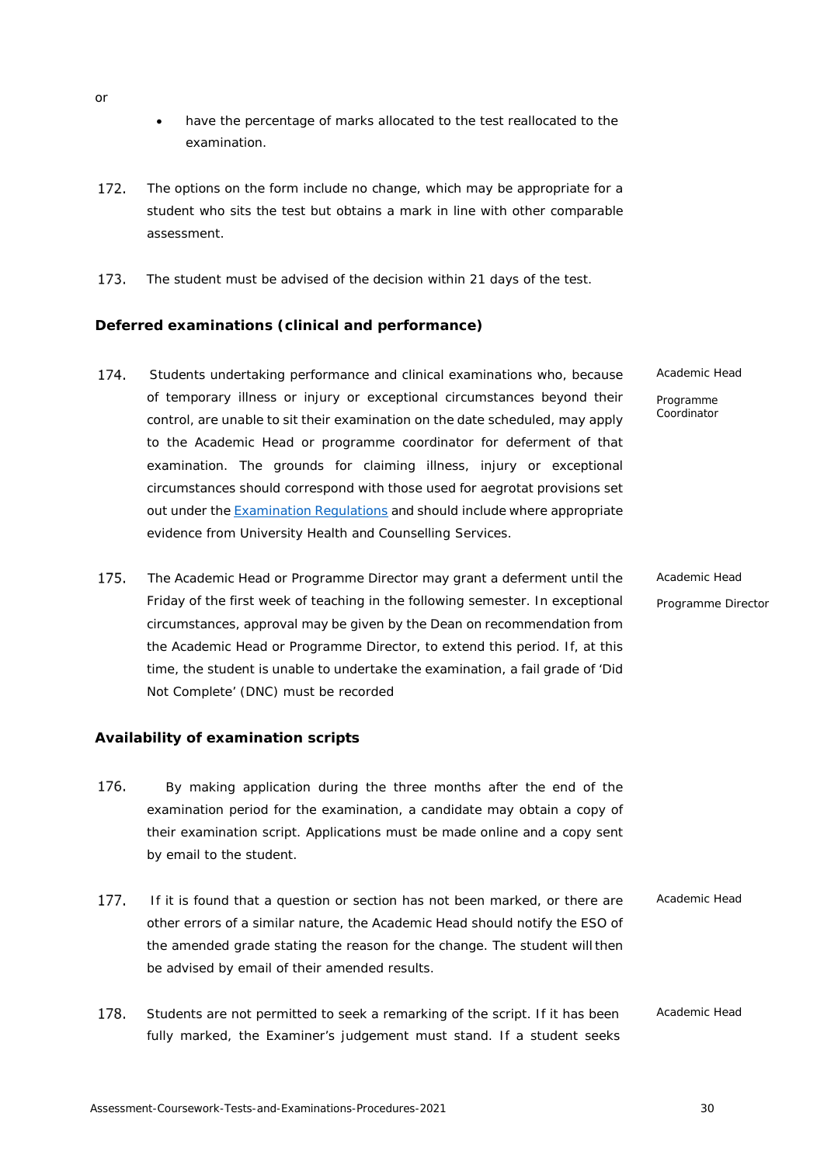- have the percentage of marks allocated to the test reallocated to the examination.
- 172. The options on the form include no change, which may be appropriate for a student who sits the test but obtains a mark in line with other comparable assessment.
- 173. The student must be advised of the decision within 21 days of the test.

# <span id="page-29-0"></span>**Deferred examinations (clinical and performance)**

- 174. Students undertaking performance and clinical examinations who, because of temporary illness or injury or exceptional circumstances beyond their control, are unable to sit their examination on the date scheduled, may apply to the Academic Head or programme coordinator for deferment of that examination. The grounds for claiming illness, injury or exceptional circumstances should correspond with those used for aegrotat provisions set out under the **[Examination](https://www.calendar.auckland.ac.nz/en/genregs/examination.html) Regulations** and should include where appropriate evidence from University Health and Counselling Services. *Academic Head Programme Coordinator*
- 175. *Academic Head*  The Academic Head or Programme Director may grant a deferment until the Friday of the first week of teaching in the following semester. In exceptional *Programme Director* circumstances, approval may be given by the Dean on recommendation from the Academic Head or Programme Director, to extend this period. If, at this time, the student is unable to undertake the examination, a fail grade of 'Did Not Complete' (DNC) must be recorded

# <span id="page-29-1"></span>**Availability of examination scripts**

- 176. By making application during the three months after the end of the examination period for the examination, a candidate may obtain a copy of their examination script. Applications must be made online and a copy sent by email to the student.
- 177. If it is found that a question or section has not been marked, or there are other errors of a similar nature, the Academic Head should notify the ESO of the amended grade stating the reason for the change. The student will then be advised by email of their amended results. *Academic Head*
- 178. Students are not permitted to seek a remarking of the script. If it has been *Academic Head*fully marked, the Examiner's judgement must stand. If a student seeks

or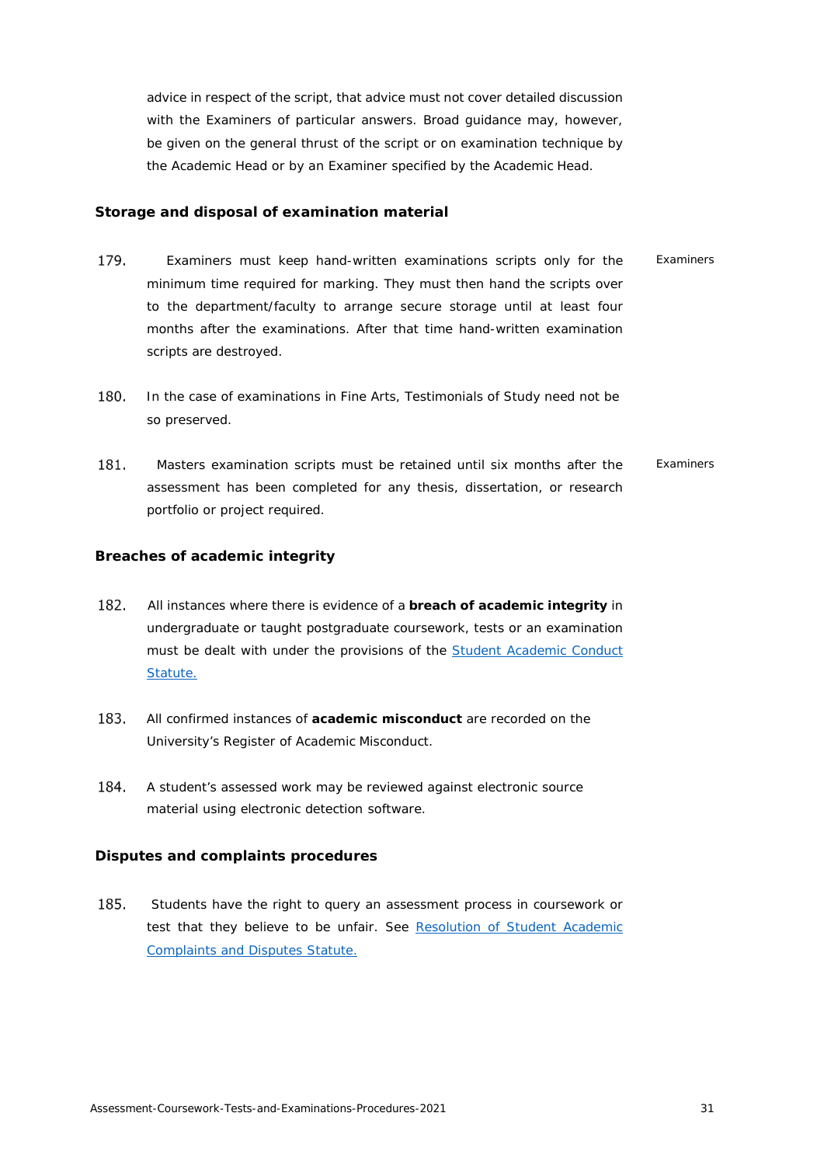advice in respect of the script, that advice must not cover detailed discussion with the Examiners of particular answers. Broad guidance may, however, be given on the general thrust of the script or on examination technique by the Academic Head or by an Examiner specified by the Academic Head.

# <span id="page-30-0"></span>**Storage and disposal of examination material**

- 179. Examiners must keep hand-written examinations scripts only for the minimum time required for marking. They must then hand the scripts over to the department/faculty to arrange secure storage until at least four months after the examinations. After that time hand-written examination scripts are destroyed. *Examiners*
- 180. In the case of examinations in Fine Arts, Testimonials of Study need not be so preserved.
- 181. Masters examination scripts must be retained until six months after the assessment has been completed for any thesis, dissertation, or research portfolio or project required. *Examiners*

# <span id="page-30-1"></span>**Breaches of academic integrity**

- All instances where there is evidence of a **breach of academic integrity** in undergraduate or taught postgraduate coursework, tests or an examination must be dealt with under the provisions of the [Student Academic Conduct](https://cdn.auckland.ac.nz/assets/central/about/the-university/how-the-university-works/policy-and-administration/Supervision/student-academic-conduct-statute.pdf) [Statute.](https://cdn.auckland.ac.nz/assets/central/about/the-university/how-the-university-works/policy-and-administration/Supervision/student-academic-conduct-statute.pdf)
- All confirmed instances of **academic misconduct** are recorded on the University's Register of Academic Misconduct.
- 184. A student's assessed work may be reviewed against electronic source material using electronic detection software.

# <span id="page-30-2"></span>**Disputes and complaints procedures**

185. Students have the right to query an assessment process in coursework or test that they believe to be unfair. See [Resolution of Student Academic](https://cdn.auckland.ac.nz/assets/central/about/the-university/how-the-university-works/policy-and-administration/Supervision/resolution-of-student-academic-complaints-and-disputes-statute.pdf) [Complaints and Disputes](https://cdn.auckland.ac.nz/assets/central/about/the-university/how-the-university-works/policy-and-administration/Supervision/resolution-of-student-academic-complaints-and-disputes-statute.pdf) Statute.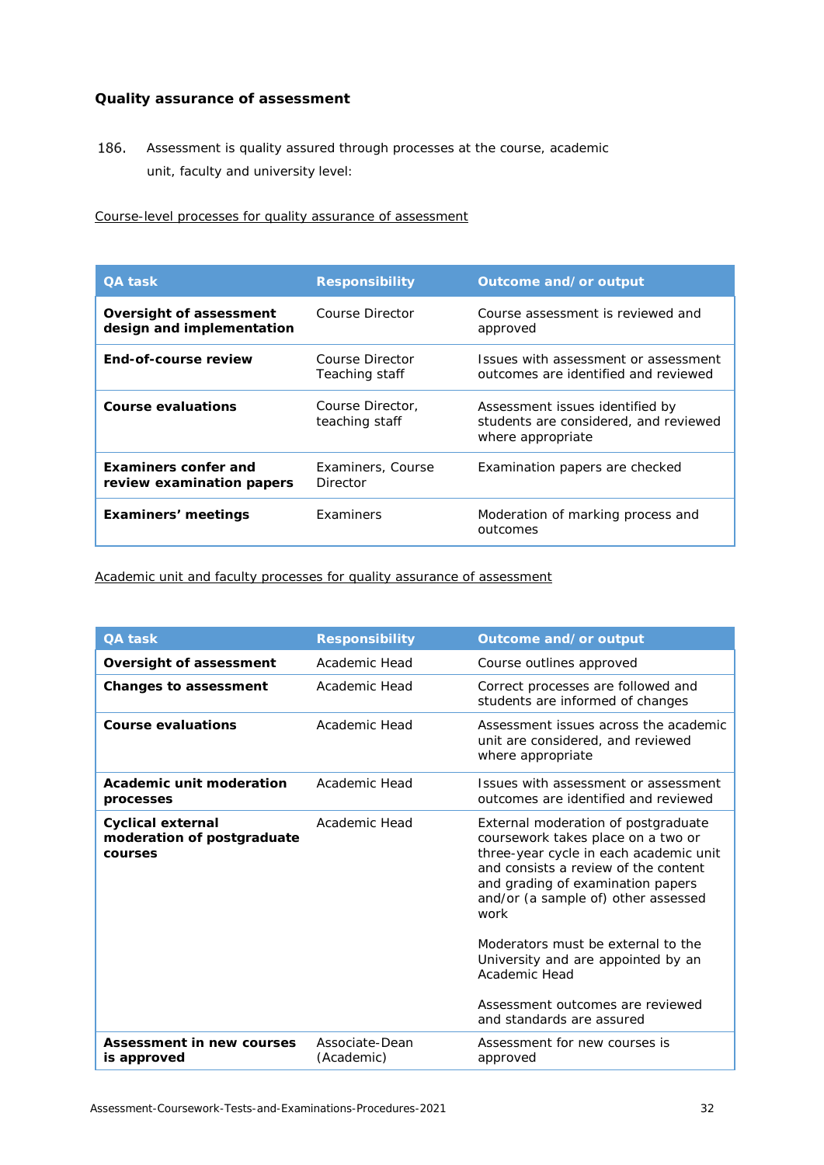# <span id="page-31-0"></span>**Quality assurance of assessment**

186. Assessment is quality assured through processes at the course, academic unit, faculty and university level:

<span id="page-31-1"></span>Course-level processes for quality assurance of assessment

| <b>QA task</b>                                           | <b>Responsibility</b>              | Outcome and/or output                                                                         |
|----------------------------------------------------------|------------------------------------|-----------------------------------------------------------------------------------------------|
| Oversight of assessment<br>design and implementation     | Course Director                    | Course assessment is reviewed and<br>approved                                                 |
| End-of-course review                                     | Course Director<br>Teaching staff  | Issues with assessment or assessment<br>outcomes are identified and reviewed                  |
| Course evaluations                                       | Course Director.<br>teaching staff | Assessment issues identified by<br>students are considered, and reviewed<br>where appropriate |
| <b>Examiners confer and</b><br>review examination papers | Examiners, Course<br>Director      | Examination papers are checked                                                                |
| Examiners' meetings                                      | Examiners                          | Moderation of marking process and<br>outcomes                                                 |

<span id="page-31-2"></span>Academic unit and faculty processes for quality assurance of assessment

| <b>QA task</b>                                                    | <b>Responsibility</b>        | Outcome and/or output                                                                                                                                                                                                                                                                                                                                                                                         |
|-------------------------------------------------------------------|------------------------------|---------------------------------------------------------------------------------------------------------------------------------------------------------------------------------------------------------------------------------------------------------------------------------------------------------------------------------------------------------------------------------------------------------------|
| Oversight of assessment                                           | Academic Head                | Course outlines approved                                                                                                                                                                                                                                                                                                                                                                                      |
| <b>Changes to assessment</b>                                      | Academic Head                | Correct processes are followed and<br>students are informed of changes                                                                                                                                                                                                                                                                                                                                        |
| <b>Course evaluations</b>                                         | Academic Head                | Assessment issues across the academic<br>unit are considered, and reviewed<br>where appropriate                                                                                                                                                                                                                                                                                                               |
| Academic unit moderation<br>processes                             | Academic Head                | Issues with assessment or assessment<br>outcomes are identified and reviewed                                                                                                                                                                                                                                                                                                                                  |
| <b>Cyclical external</b><br>moderation of postgraduate<br>courses | Academic Head                | External moderation of postgraduate<br>coursework takes place on a two or<br>three-year cycle in each academic unit<br>and consists a review of the content<br>and grading of examination papers<br>and/or (a sample of) other assessed<br>work<br>Moderators must be external to the<br>University and are appointed by an<br>Academic Head<br>Assessment outcomes are reviewed<br>and standards are assured |
| Assessment in new courses<br>is approved                          | Associate-Dean<br>(Academic) | Assessment for new courses is<br>approved                                                                                                                                                                                                                                                                                                                                                                     |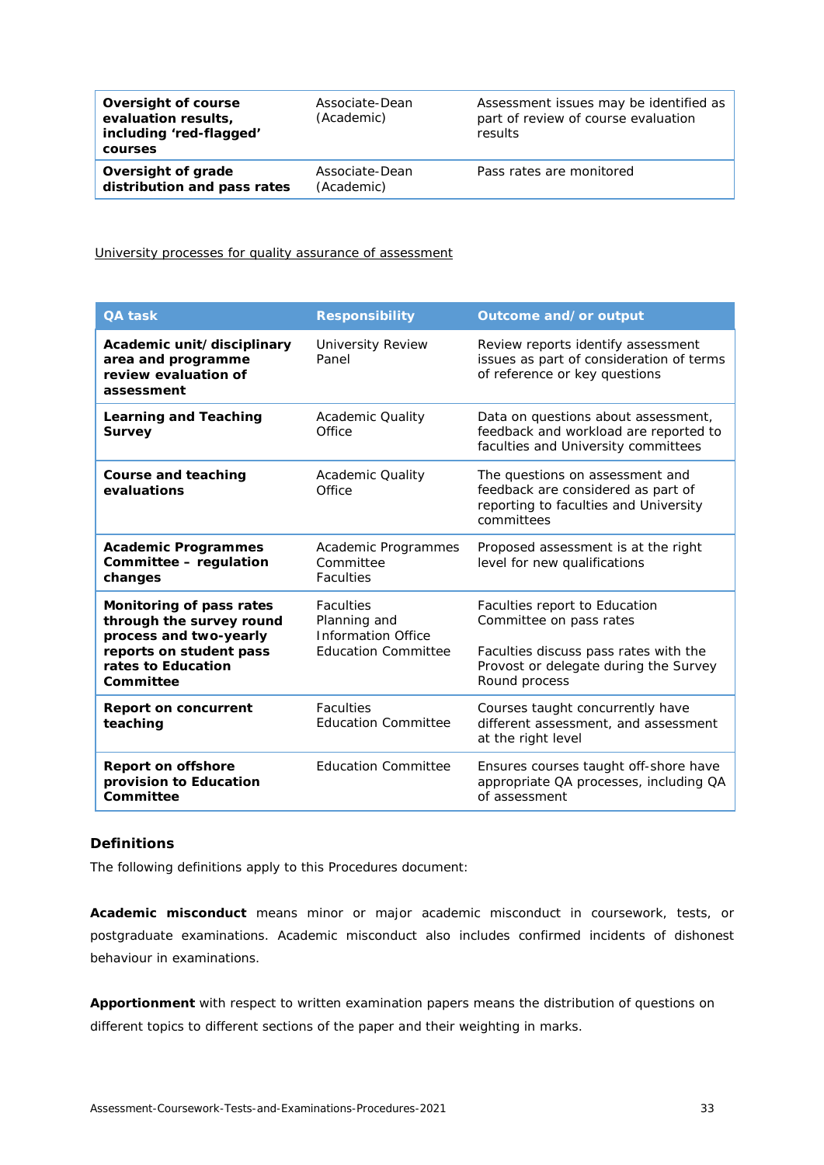| Oversight of course<br>evaluation results,<br>including 'red-flagged'<br>courses | Associate-Dean<br>(Academic) | Assessment issues may be identified as<br>part of review of course evaluation<br>results |
|----------------------------------------------------------------------------------|------------------------------|------------------------------------------------------------------------------------------|
| Oversight of grade<br>distribution and pass rates                                | Associate-Dean<br>(Academic) | Pass rates are monitored                                                                 |

<span id="page-32-0"></span>University processes for quality assurance of assessment

| <b>QA task</b>                                                                                                                               | <b>Responsibility</b>                                                                       | Outcome and/or output                                                                                                                                       |
|----------------------------------------------------------------------------------------------------------------------------------------------|---------------------------------------------------------------------------------------------|-------------------------------------------------------------------------------------------------------------------------------------------------------------|
| Academic unit/disciplinary<br>area and programme<br>review evaluation of<br>assessment                                                       | <b>University Review</b><br>Panel                                                           | Review reports identify assessment<br>issues as part of consideration of terms<br>of reference or key questions                                             |
| <b>Learning and Teaching</b><br><b>Survey</b>                                                                                                | Academic Quality<br>Office                                                                  | Data on questions about assessment,<br>feedback and workload are reported to<br>faculties and University committees                                         |
| <b>Course and teaching</b><br>evaluations                                                                                                    | <b>Academic Quality</b><br>Office                                                           | The questions on assessment and<br>feedback are considered as part of<br>reporting to faculties and University<br>committees                                |
| <b>Academic Programmes</b><br>Committee - regulation<br>changes                                                                              | Academic Programmes<br>Committee<br><b>Faculties</b>                                        | Proposed assessment is at the right<br>level for new qualifications                                                                                         |
| Monitoring of pass rates<br>through the survey round<br>process and two-yearly<br>reports on student pass<br>rates to Education<br>Committee | <b>Faculties</b><br>Planning and<br><b>Information Office</b><br><b>Education Committee</b> | Faculties report to Education<br>Committee on pass rates<br>Faculties discuss pass rates with the<br>Provost or delegate during the Survey<br>Round process |
| <b>Report on concurrent</b><br>teaching                                                                                                      | <b>Faculties</b><br><b>Education Committee</b>                                              | Courses taught concurrently have<br>different assessment, and assessment<br>at the right level                                                              |
| <b>Report on offshore</b><br>provision to Education<br>Committee                                                                             | <b>Education Committee</b>                                                                  | Ensures courses taught off-shore have<br>appropriate QA processes, including QA<br>of assessment                                                            |

# <span id="page-32-1"></span>**Definitions**

The following definitions apply to this Procedures document:

**Academic misconduct** means minor or major academic misconduct in coursework, tests, or postgraduate examinations. Academic misconduct also includes confirmed incidents of dishonest behaviour in examinations.

**Apportionment** with respect to written examination papers means the distribution of questions on different topics to different sections of the paper and their weighting in marks.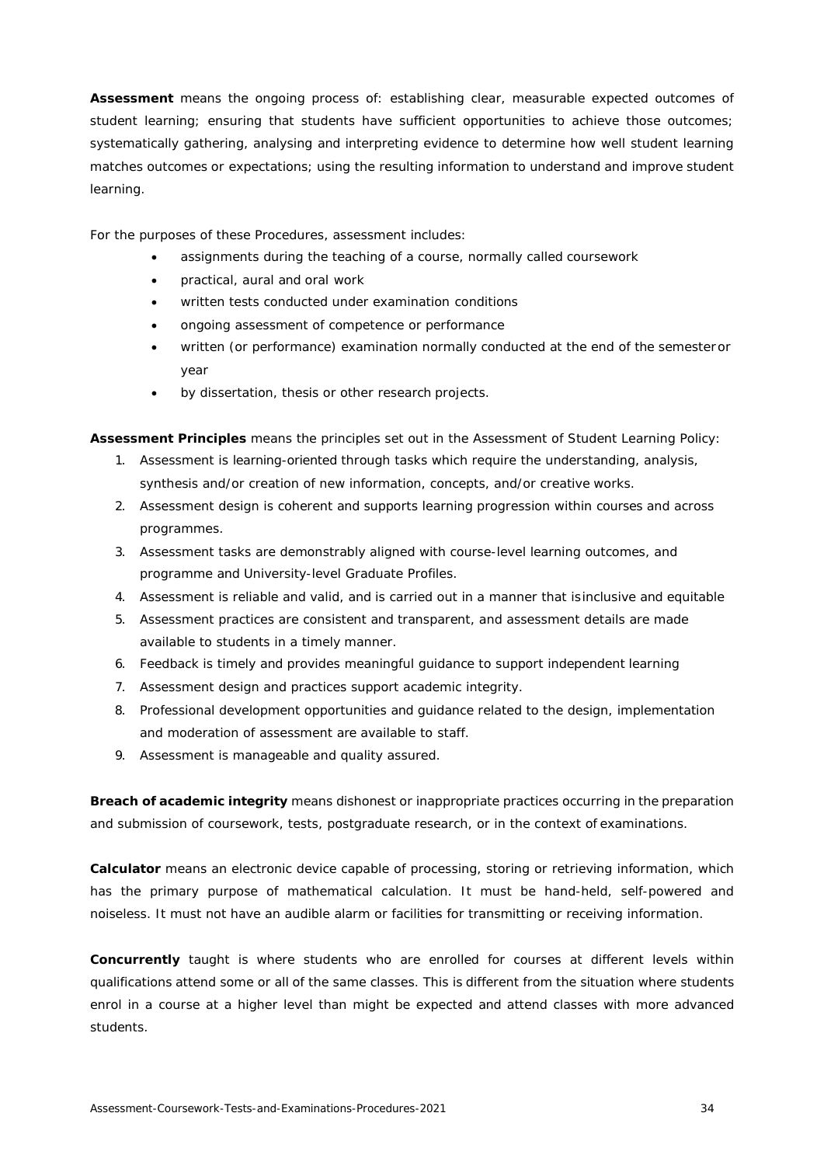**Assessment** means the ongoing process of: establishing clear, measurable expected outcomes of student learning; ensuring that students have sufficient opportunities to achieve those outcomes; systematically gathering, analysing and interpreting evidence to determine how well student learning matches outcomes or expectations; using the resulting information to understand and improve student learning.

For the purposes of these Procedures, assessment includes:

- assignments during the teaching of a course, normally called coursework
- practical, aural and oral work
- written tests conducted under examination conditions
- ongoing assessment of competence or performance
- written (or performance) examination normally conducted at the end of the semesteror year
- by dissertation, thesis or other research projects.

**Assessment Principles** means the principles set out in the Assessment of Student Learning Policy:

- 1. Assessment is learning-oriented through tasks which require the understanding, analysis, synthesis and/or creation of new information, concepts, and/or creative works.
- 2. Assessment design is coherent and supports learning progression within courses and across programmes.
- 3. Assessment tasks are demonstrably aligned with course-level learning outcomes, and programme and University-level Graduate Profiles.
- 4. Assessment is reliable and valid, and is carried out in a manner that isinclusive and equitable
- 5. Assessment practices are consistent and transparent, and assessment details are made available to students in a timely manner.
- 6. Feedback is timely and provides meaningful guidance to support independent learning
- 7. Assessment design and practices support academic integrity.
- 8. Professional development opportunities and guidance related to the design, implementation and moderation of assessment are available to staff.
- 9. Assessment is manageable and quality assured.

**Breach of academic integrity** means dishonest or inappropriate practices occurring in the preparation and submission of coursework, tests, postgraduate research, or in the context of examinations.

**Calculator** means an electronic device capable of processing, storing or retrieving information, which has the primary purpose of mathematical calculation. It must be hand-held, self-powered and noiseless. It must not have an audible alarm or facilities for transmitting or receiving information.

**Concurrently** taught is where students who are enrolled for courses at different levels within qualifications attend some or all of the same classes. This is different from the situation where students enrol in a course at a higher level than might be expected and attend classes with more advanced students.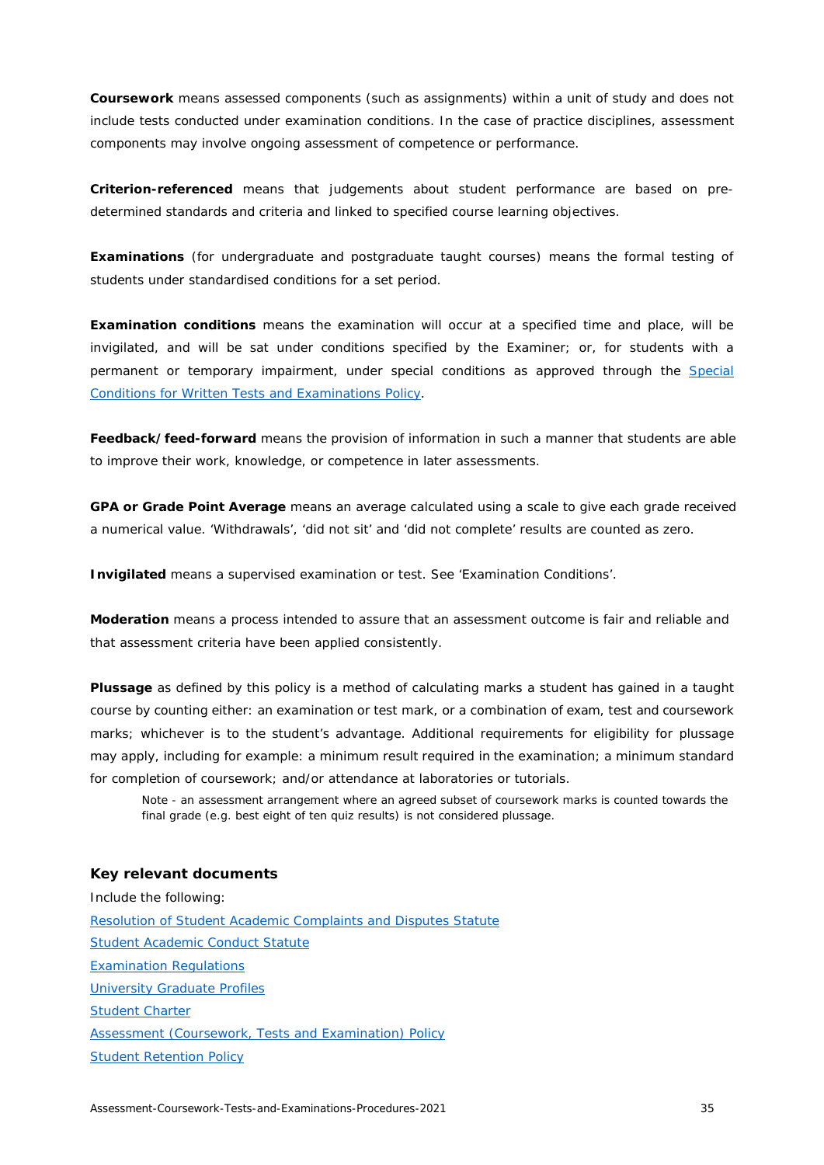**Coursework** means assessed components (such as assignments) within a unit of study and does not include tests conducted under examination conditions. In the case of practice disciplines, assessment components may involve ongoing assessment of competence or performance.

**Criterion-referenced** means that judgements about student performance are based on predetermined standards and criteria and linked to specified course learning objectives.

**Examinations** (for undergraduate and postgraduate taught courses) means the formal testing of students under standardised conditions for a set period.

**Examination conditions** means the examination will occur at a specified time and place, will be invigilated, and will be sat under conditions specified by the Examiner; or, for students with a permanent or temporary impairment, under special conditions as approved through the [Special](https://cdn.auckland.ac.nz/assets/auckland/students/academic-information/exams-and-final-results/before-your-exams/special-conditions-for-written-tests-and-examinations-policy.pdf) [Conditions for Written Tests and Examinations Policy.](https://cdn.auckland.ac.nz/assets/auckland/students/academic-information/exams-and-final-results/before-your-exams/special-conditions-for-written-tests-and-examinations-policy.pdf)

**Feedback/feed-forward** means the provision of information in such a manner that students are able to improve their work, knowledge, or competence in later assessments.

**GPA or Grade Point Average** means an average calculated using a scale to give each grade received a numerical value. 'Withdrawals', 'did not sit' and 'did not complete' results are counted as zero.

**Invigilated** means a supervised examination or test. See 'Examination Conditions'.

**Moderation** means a process intended to assure that an assessment outcome is fair and reliable and that assessment criteria have been applied consistently.

**Plussage** as defined by this policy is a method of calculating marks a student has gained in a taught course by counting either: an examination or test mark, or a combination of exam, test and coursework marks; whichever is to the student's advantage. Additional requirements for eligibility for plussage may apply, including for example: a minimum result required in the examination; a minimum standard for completion of coursework; and/or attendance at laboratories or tutorials.

Note - an assessment arrangement where an agreed subset of coursework marks is counted towards the final grade (e.g. best eight of ten quiz results) is not considered plussage.

### <span id="page-34-0"></span>**Key relevant documents**

Include the following: [Resolution of Student Academic Complaints and Disputes Statute](https://cdn.auckland.ac.nz/assets/central/about/the-university/how-the-university-works/policy-and-administration/Supervision/resolution-of-student-academic-complaints-and-disputes-statute.pdf) [Student Academic Conduct Statute](https://cdn.auckland.ac.nz/assets/central/about/the-university/how-the-university-works/policy-and-administration/Supervision/student-academic-conduct-statute.pdf) [Examination Regulations](https://www.calendar.auckland.ac.nz/en/genregs/examination.html) [University Graduate Profiles](https://www.auckland.ac.nz/en/students/forms-policies-and-guidelines/student-policies-and-guidelines/graduate-profile.html) [Student Charter](https://www.auckland.ac.nz/en/students/forms-policies-and-guidelines/student-policies-and-guidelines/student-charter.html) [Assessment \(Coursework, Tests and Examination\) Policy](https://www.auckland.ac.nz/en/about/the-university/how-university-works/policy-and-administration/teaching-and-learning/assessment/assessment--coursework--tests-and-examinations--policy--from-jan.html) [Student Retention Policy](https://www.auckland.ac.nz/en/about/the-university/how-university-works/policy-and-administration/teaching-and-learning/general/student-retention-policy.html)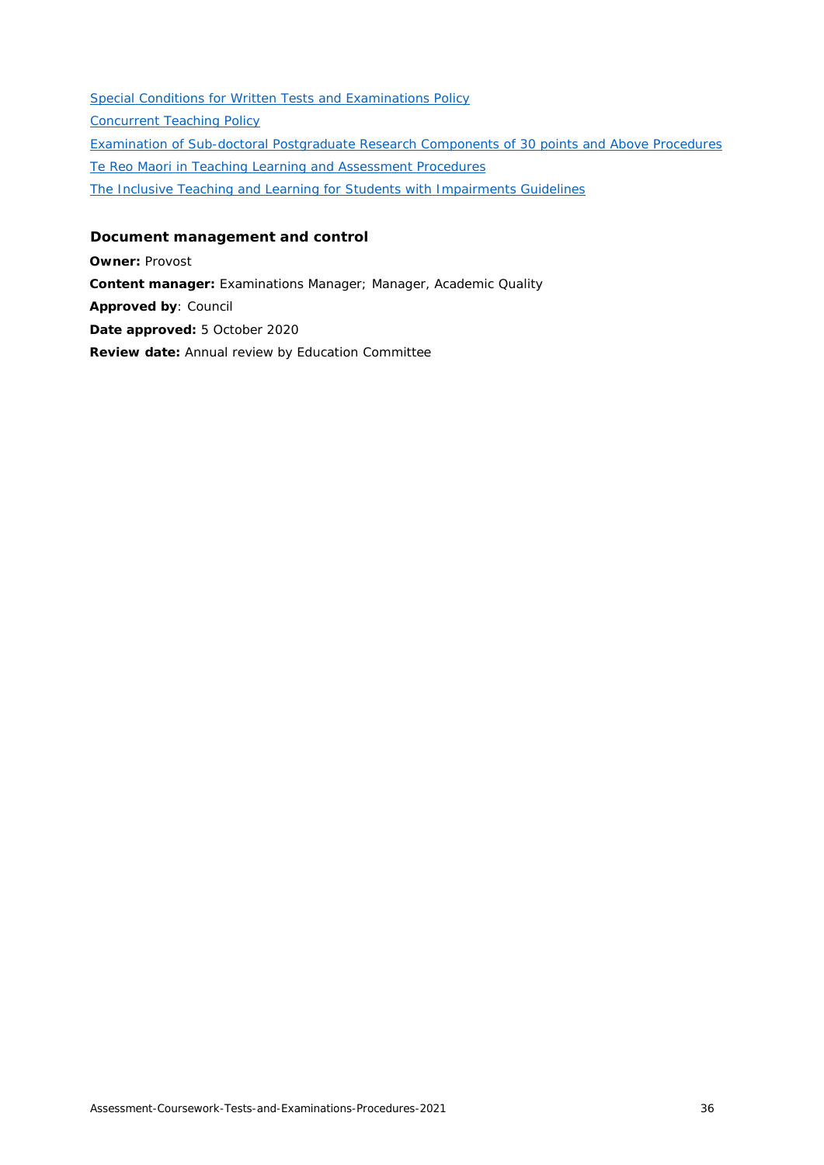[Special Conditions for Written Tests and Examinations Policy](https://www.auckland.ac.nz/en/about/the-university/how-university-works/policy-and-administration/teaching-and-learning/assessment/special-conditions-written-tests-examinations-policy.html) [Concurrent Teaching Policy](https://www.auckland.ac.nz/en/about/the-university/how-university-works/policy-and-administration/teaching-and-learning/general/concurrent-teaching-policy.html) [Examination of Sub-doctoral Postgraduate Research Components of 30 points and Above Procedures](https://www.auckland.ac.nz/en/about/the-university/how-university-works/policy-and-administration/teaching-and-learning/postgraduate-research.html) [Te Reo Maori in Teaching Learning and Assessment Procedures](https://www.auckland.ac.nz/en/about/the-university/how-university-works/policy-and-administration/teaching-and-learning/assessment/te-reo-maori-policy.html) [The Inclusive Teaching and Learning for Students with Impairments Guidelines](https://www.auckland.ac.nz/en/about/the-university/how-university-works/policy-and-administration/teaching-and-learning/general/inclusive-teaching-and-learning-guidelines.html)

# <span id="page-35-0"></span>**Document management and control**

**Owner:** Provost **Content manager:** Examinations Manager; Manager, Academic Quality **Approved by**: Council **Date approved:** 5 October 2020 **Review date:** Annual review by Education Committee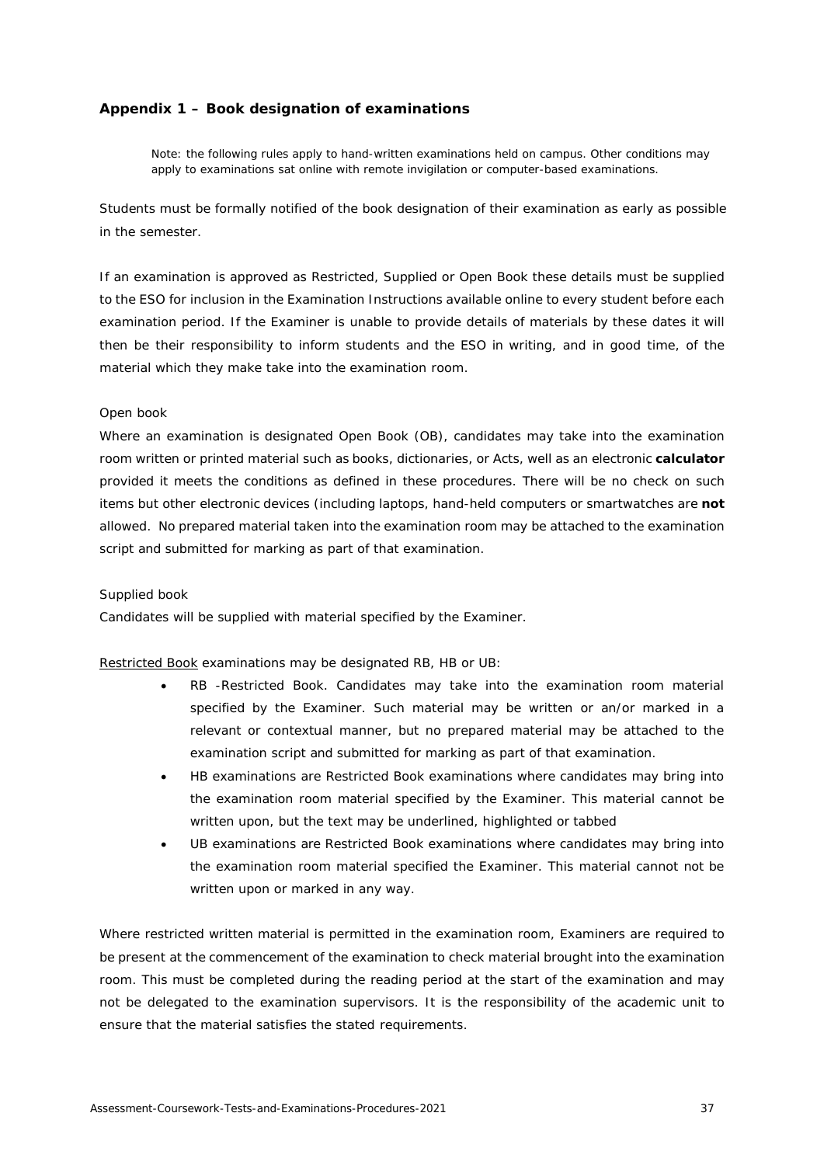# <span id="page-36-0"></span>**Appendix 1 – Book designation of examinations**

Note: the following rules apply to hand-written examinations held on campus. Other conditions may apply to examinations sat online with remote invigilation or computer-based examinations.

Students must be formally notified of the book designation of their examination as early as possible in the semester.

If an examination is approved as Restricted, Supplied or Open Book these details must be supplied to the ESO for inclusion in the Examination Instructions available online to every student before each examination period. If the Examiner is unable to provide details of materials by these dates it will then be their responsibility to inform students and the ESO in writing, and in good time, of the material which they make take into the examination room.

### *Open book*

Where an examination is designated Open Book (OB), candidates may take into the examination room written or printed material such as books, dictionaries, or Acts, well as an electronic **calculator**  provided it meets the conditions as defined in these procedures. There will be no check on such items but other electronic devices (including laptops, hand-held computers or smartwatches are **not**  allowed. No prepared material taken into the examination room may be attached to the examination script and submitted for marking as part of that examination.

# *Supplied book*

Candidates will be supplied with material specified by the Examiner.

Restricted Book examinations may be designated RB, HB or UB:

- RB -Restricted Book. Candidates may take into the examination room material specified by the Examiner. Such material may be written or an/or marked in a relevant or contextual manner, but no prepared material may be attached to the examination script and submitted for marking as part of that examination.
- HB examinations are Restricted Book examinations where candidates may bring into the examination room material specified by the Examiner. This material cannot be written upon, but the text may be underlined, highlighted or tabbed
- UB examinations are Restricted Book examinations where candidates may bring into the examination room material specified the Examiner. This material cannot not be written upon or marked in any way.

Where restricted written material is permitted in the examination room, Examiners are required to be present at the commencement of the examination to check material brought into the examination room. This must be completed during the reading period at the start of the examination and may not be delegated to the examination supervisors. It is the responsibility of the academic unit to ensure that the material satisfies the stated requirements.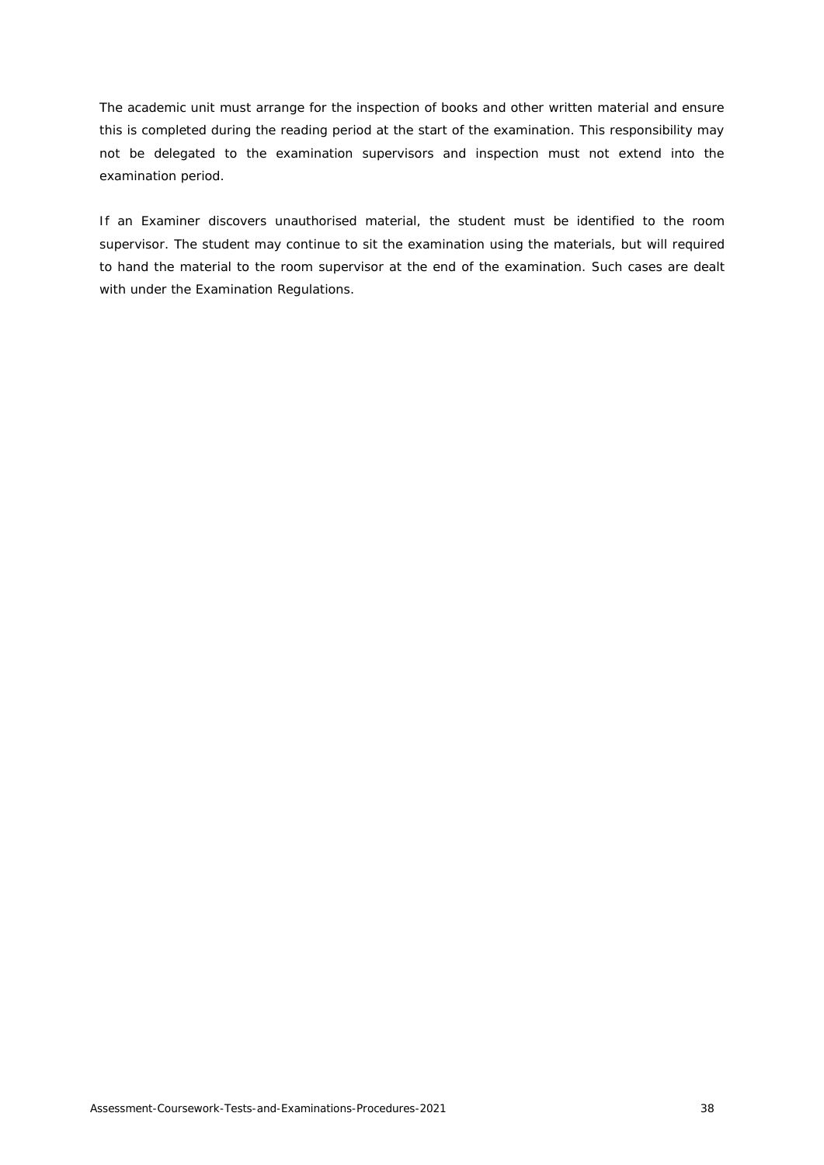The academic unit must arrange for the inspection of books and other written material and ensure this is completed during the reading period at the start of the examination. This responsibility may not be delegated to the examination supervisors and inspection must not extend into the examination period.

If an Examiner discovers unauthorised material, the student must be identified to the room supervisor. The student may continue to sit the examination using the materials, but will required to hand the material to the room supervisor at the end of the examination. Such cases are dealt with under the Examination Regulations.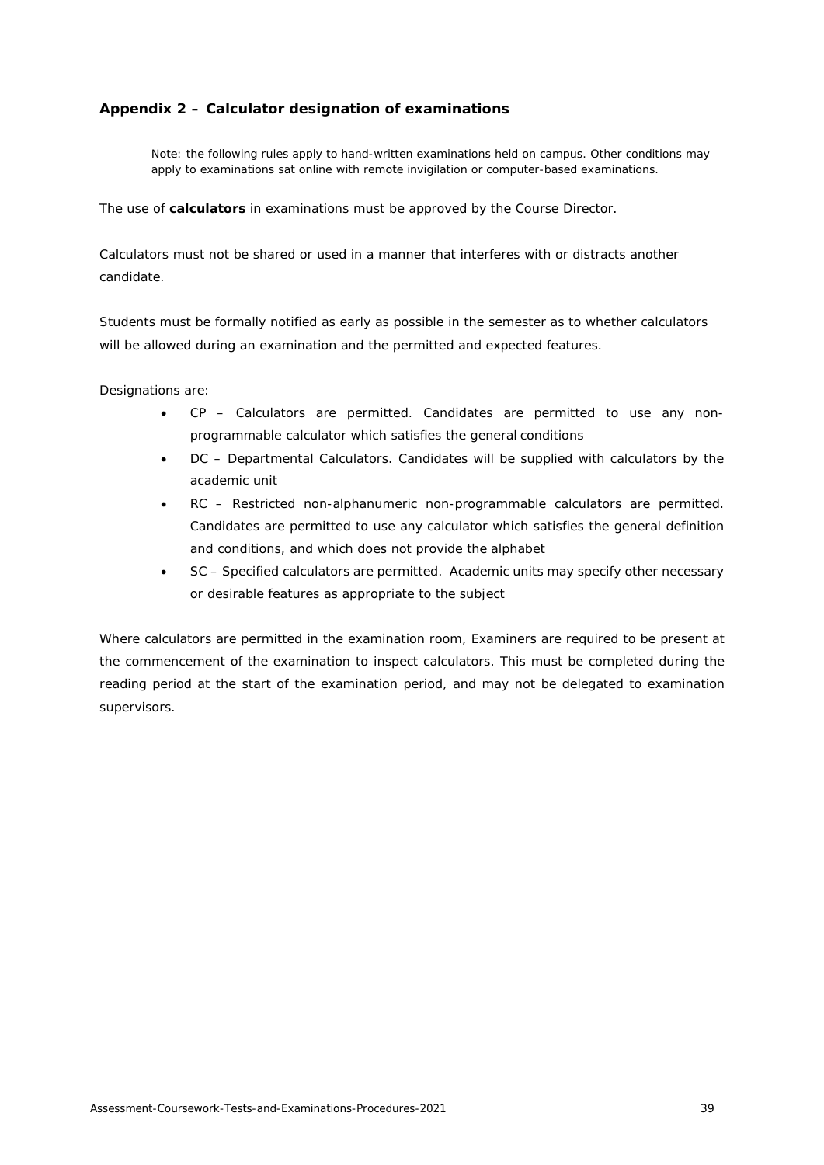# <span id="page-38-0"></span>**Appendix 2 – Calculator designation of examinations**

Note: the following rules apply to hand-written examinations held on campus. Other conditions may apply to examinations sat online with remote invigilation or computer-based examinations.

The use of **calculators** in examinations must be approved by the Course Director.

Calculators must not be shared or used in a manner that interferes with or distracts another candidate.

Students must be formally notified as early as possible in the semester as to whether calculators will be allowed during an examination and the permitted and expected features.

Designations are:

- CP Calculators are permitted. Candidates are permitted to use any nonprogrammable calculator which satisfies the general conditions
- DC Departmental Calculators. Candidates will be supplied with calculators by the academic unit
- RC Restricted non-alphanumeric non-programmable calculators are permitted. Candidates are permitted to use any calculator which satisfies the general definition and conditions, and which does not provide the alphabet
- SC Specified calculators are permitted. Academic units may specify other necessary or desirable features as appropriate to the subject

Where calculators are permitted in the examination room, Examiners are required to be present at the commencement of the examination to inspect calculators. This must be completed during the reading period at the start of the examination period, and may not be delegated to examination supervisors.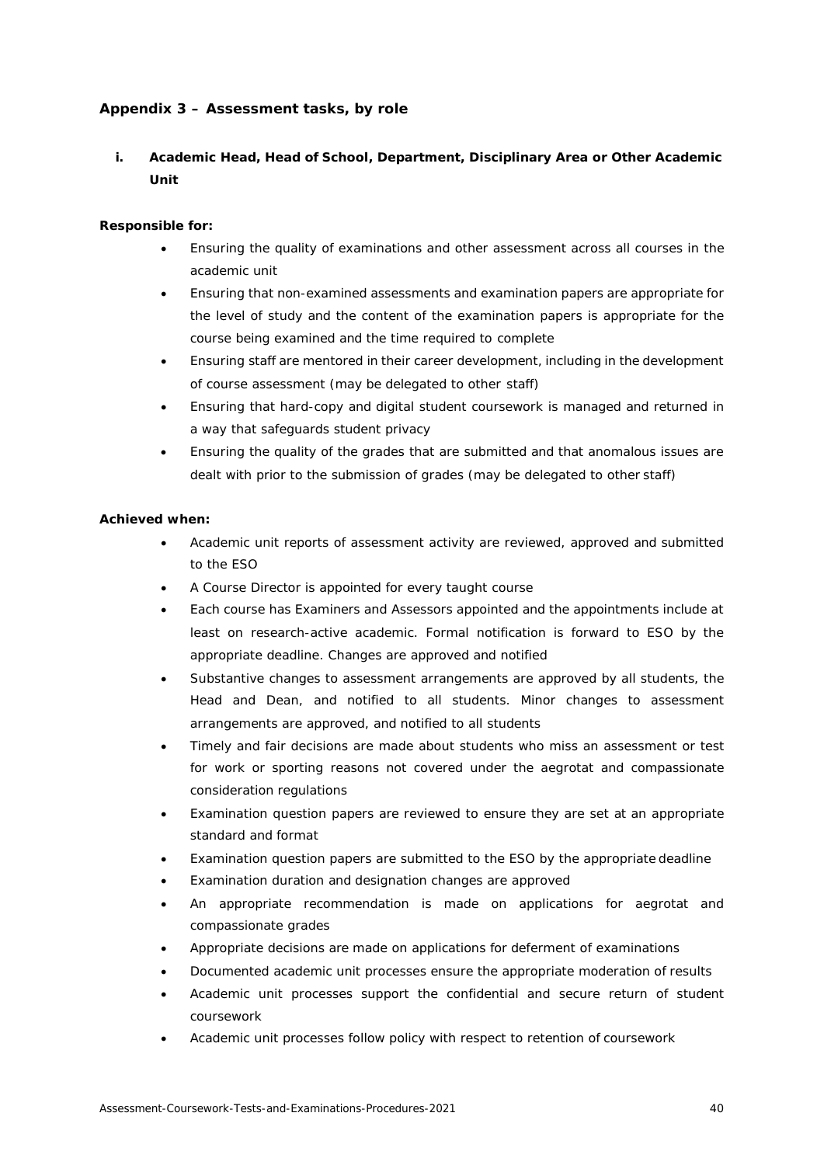# <span id="page-39-0"></span>**Appendix 3 – Assessment tasks, by role**

# **i. Academic Head, Head of School, Department, Disciplinary Area or Other Academic Unit**

# **Responsible for:**

- Ensuring the quality of examinations and other assessment across all courses in the academic unit
- Ensuring that non-examined assessments and examination papers are appropriate for the level of study and the content of the examination papers is appropriate for the course being examined and the time required to complete
- Ensuring staff are mentored in their career development, including in the development of course assessment (may be delegated to other staff)
- Ensuring that hard-copy and digital student coursework is managed and returned in a way that safeguards student privacy
- Ensuring the quality of the grades that are submitted and that anomalous issues are dealt with prior to the submission of grades (may be delegated to other staff)

# **Achieved when:**

- Academic unit reports of assessment activity are reviewed, approved and submitted to the ESO
- A Course Director is appointed for every taught course
- Each course has Examiners and Assessors appointed and the appointments include at least on research-active academic. Formal notification is forward to ESO by the appropriate deadline. Changes are approved and notified
- Substantive changes to assessment arrangements are approved by all students, the Head and Dean, and notified to all students. Minor changes to assessment arrangements are approved, and notified to all students
- Timely and fair decisions are made about students who miss an assessment or test for work or sporting reasons not covered under the aegrotat and compassionate consideration regulations
- Examination question papers are reviewed to ensure they are set at an appropriate standard and format
- Examination question papers are submitted to the ESO by the appropriate deadline
- Examination duration and designation changes are approved
- An appropriate recommendation is made on applications for aegrotat and compassionate grades
- Appropriate decisions are made on applications for deferment of examinations
- Documented academic unit processes ensure the appropriate moderation of results
- Academic unit processes support the confidential and secure return of student coursework
- Academic unit processes follow policy with respect to retention of coursework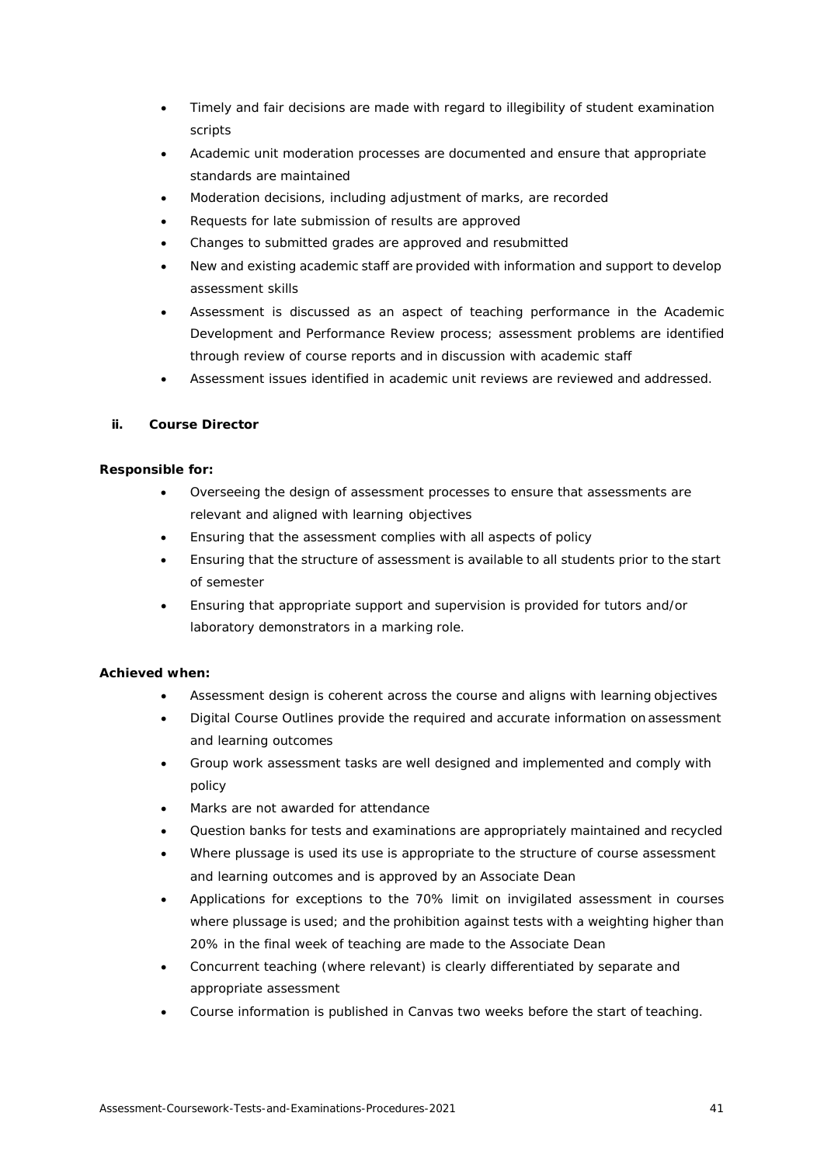- Timely and fair decisions are made with regard to illegibility of student examination scripts
- Academic unit moderation processes are documented and ensure that appropriate standards are maintained
- Moderation decisions, including adjustment of marks, are recorded
- Requests for late submission of results are approved
- Changes to submitted grades are approved and resubmitted
- New and existing academic staff are provided with information and support to develop assessment skills
- Assessment is discussed as an aspect of teaching performance in the Academic Development and Performance Review process; assessment problems are identified through review of course reports and in discussion with academic staff
- Assessment issues identified in academic unit reviews are reviewed and addressed.

# <span id="page-40-0"></span>**ii. Course Director**

# **Responsible for:**

- Overseeing the design of assessment processes to ensure that assessments are relevant and aligned with learning objectives
- Ensuring that the assessment complies with all aspects of policy
- Ensuring that the structure of assessment is available to all students prior to the start of semester
- Ensuring that appropriate support and supervision is provided for tutors and/or laboratory demonstrators in a marking role.

# **Achieved when:**

- Assessment design is coherent across the course and aligns with learning objectives
- Digital Course Outlines provide the required and accurate information onassessment and learning outcomes
- Group work assessment tasks are well designed and implemented and comply with policy
- Marks are not awarded for attendance
- Question banks for tests and examinations are appropriately maintained and recycled
- Where plussage is used its use is appropriate to the structure of course assessment and learning outcomes and is approved by an Associate Dean
- Applications for exceptions to the 70% limit on invigilated assessment in courses where plussage is used; and the prohibition against tests with a weighting higher than 20% in the final week of teaching are made to the Associate Dean
- Concurrent teaching (where relevant) is clearly differentiated by separate and appropriate assessment
- Course information is published in Canvas two weeks before the start of teaching.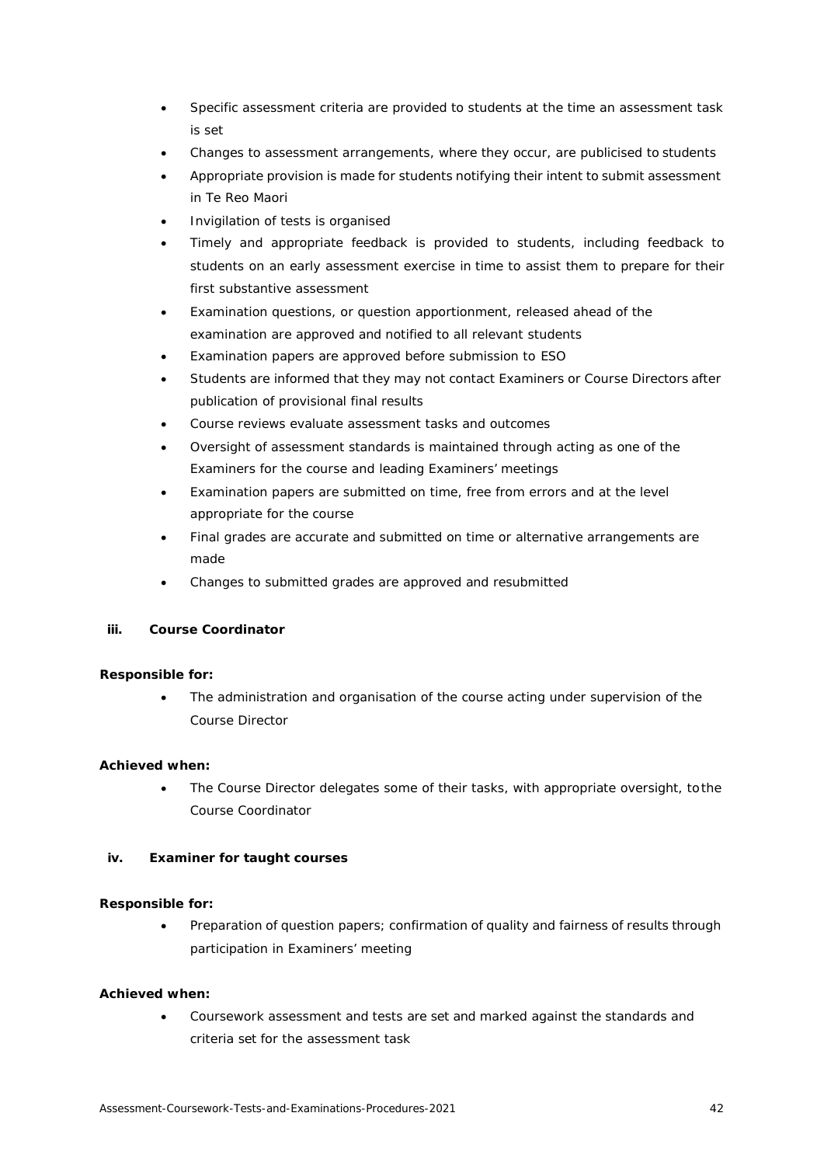- Specific assessment criteria are provided to students at the time an assessment task is set
- Changes to assessment arrangements, where they occur, are publicised to students
- Appropriate provision is made for students notifying their intent to submit assessment in Te Reo Maori
- Invigilation of tests is organised
- Timely and appropriate feedback is provided to students, including feedback to students on an early assessment exercise in time to assist them to prepare for their first substantive assessment
- Examination questions, or question apportionment, released ahead of the examination are approved and notified to all relevant students
- Examination papers are approved before submission to ESO
- Students are informed that they may not contact Examiners or Course Directors after publication of provisional final results
- Course reviews evaluate assessment tasks and outcomes
- Oversight of assessment standards is maintained through acting as one of the Examiners for the course and leading Examiners' meetings
- Examination papers are submitted on time, free from errors and at the level appropriate for the course
- Final grades are accurate and submitted on time or alternative arrangements are made
- Changes to submitted grades are approved and resubmitted

# **iii. Course Coordinator**

# **Responsible for:**

The administration and organisation of the course acting under supervision of the Course Director

# **Achieved when:**

The Course Director delegates some of their tasks, with appropriate oversight, tothe Course Coordinator

# **iv. Examiner for taught courses**

# **Responsible for:**

• Preparation of question papers; confirmation of quality and fairness of results through participation in Examiners' meeting

# **Achieved when:**

• Coursework assessment and tests are set and marked against the standards and criteria set for the assessment task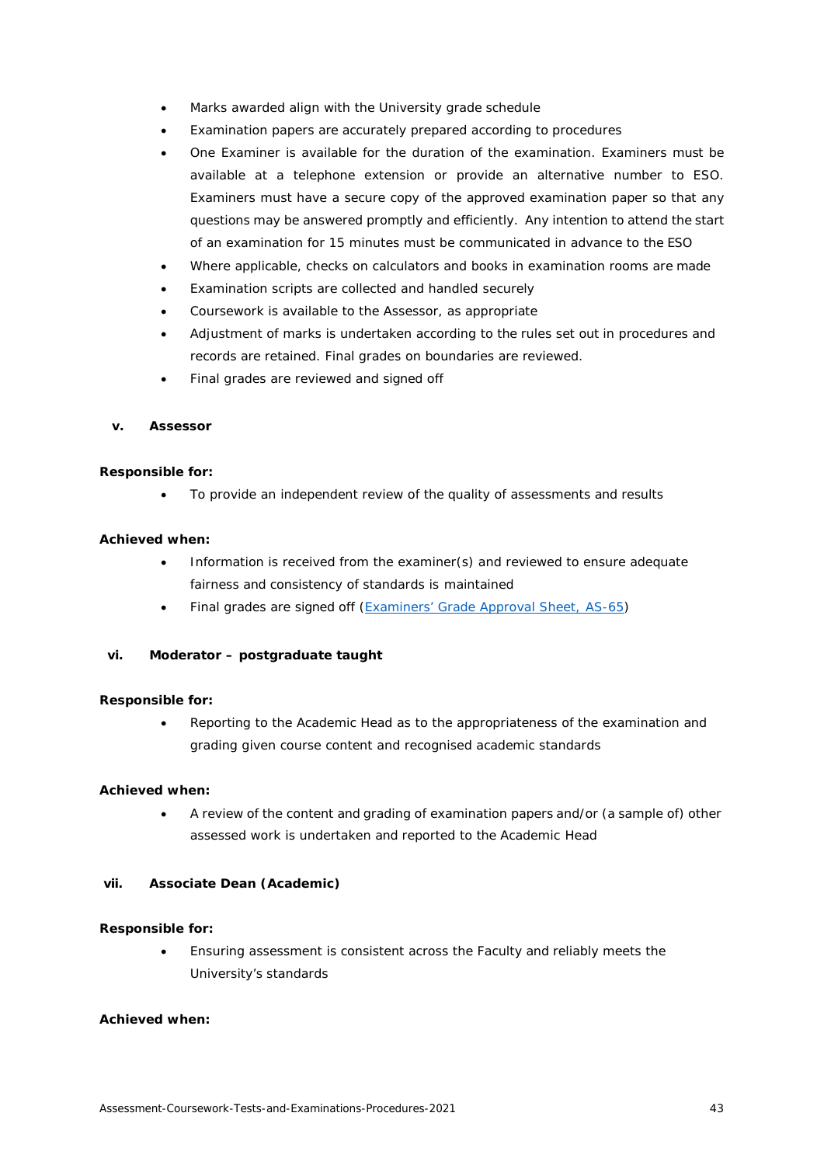- Marks awarded align with the University grade schedule
- Examination papers are accurately prepared according to procedures
- One Examiner is available for the duration of the examination. Examiners must be available at a telephone extension or provide an alternative number to ESO. Examiners must have a secure copy of the approved examination paper so that any questions may be answered promptly and efficiently. Any intention to attend the start of an examination for 15 minutes must be communicated in advance to the ESO
- Where applicable, checks on calculators and books in examination rooms are made
- Examination scripts are collected and handled securely
- Coursework is available to the Assessor, as appropriate
- Adjustment of marks is undertaken according to the rules set out in procedures and records are retained. Final grades on boundaries are reviewed.
- Final grades are reviewed and signed off

### **v. Assessor**

# **Responsible for:**

• To provide an independent review of the quality of assessments and results

# **Achieved when:**

- Information is received from the examiner(s) and reviewed to ensure adequate fairness and consistency of standards is maintained
- Final grades are signed off [\(Examiners' Grade Approval Sheet,](https://formspace.auckland.ac.nz/SitePages/Home.aspx) AS-65)

# **vi. Moderator – postgraduate taught**

# **Responsible for:**

• Reporting to the Academic Head as to the appropriateness of the examination and grading given course content and recognised academic standards

# **Achieved when:**

• A review of the content and grading of examination papers and/or (a sample of) other assessed work is undertaken and reported to the Academic Head

# **vii. Associate Dean (Academic)**

#### **Responsible for:**

• Ensuring assessment is consistent across the Faculty and reliably meets the University's standards

# **Achieved when:**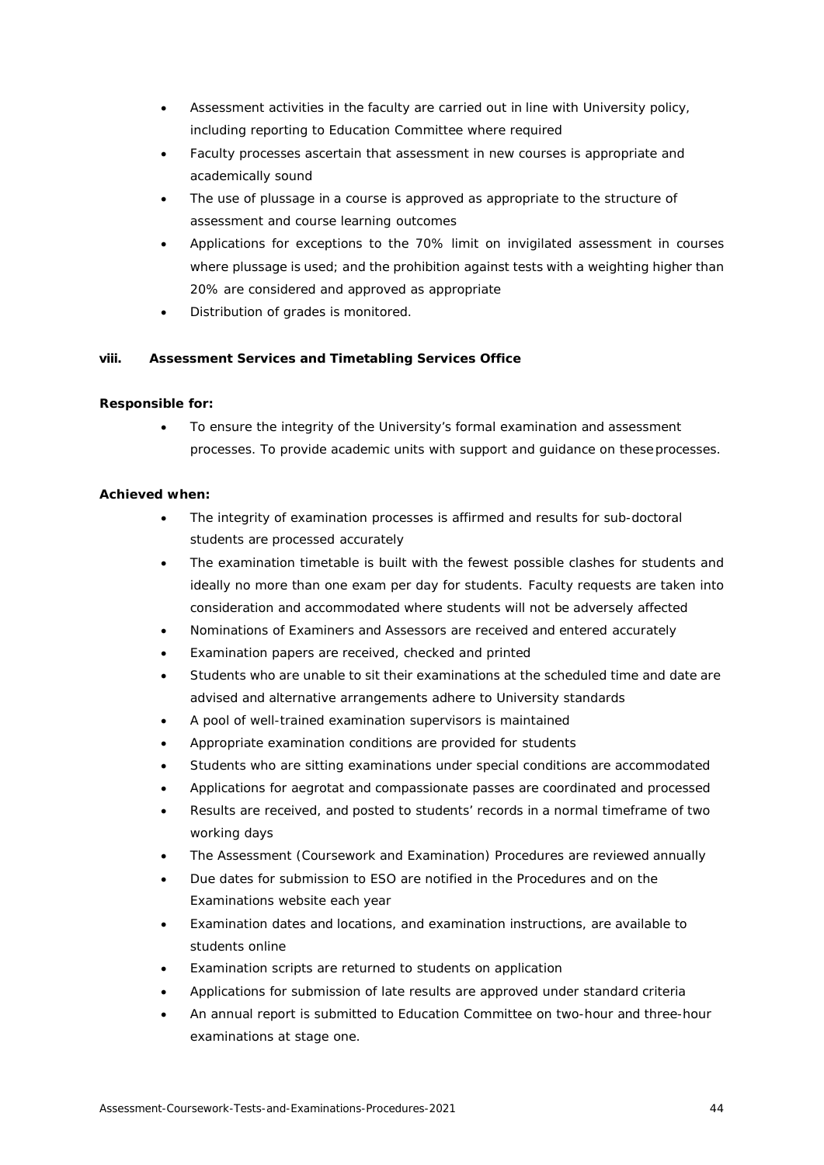- Assessment activities in the faculty are carried out in line with University policy, including reporting to Education Committee where required
- Faculty processes ascertain that assessment in new courses is appropriate and academically sound
- The use of plussage in a course is approved as appropriate to the structure of assessment and course learning outcomes
- Applications for exceptions to the 70% limit on invigilated assessment in courses where plussage is used; and the prohibition against tests with a weighting higher than 20% are considered and approved as appropriate
- Distribution of grades is monitored.

# **viii. Assessment Services and Timetabling Services Office**

# **Responsible for:**

• To ensure the integrity of the University's formal examination and assessment processes. To provide academic units with support and guidance on theseprocesses.

# **Achieved when:**

- The integrity of examination processes is affirmed and results for sub-doctoral students are processed accurately
- The examination timetable is built with the fewest possible clashes for students and ideally no more than one exam per day for students. Faculty requests are taken into consideration and accommodated where students will not be adversely affected
- Nominations of Examiners and Assessors are received and entered accurately
- Examination papers are received, checked and printed
- Students who are unable to sit their examinations at the scheduled time and date are advised and alternative arrangements adhere to University standards
- A pool of well-trained examination supervisors is maintained
- Appropriate examination conditions are provided for students
- Students who are sitting examinations under special conditions are accommodated
- Applications for aegrotat and compassionate passes are coordinated and processed
- Results are received, and posted to students' records in a normal timeframe of two working days
- The Assessment (Coursework and Examination) Procedures are reviewed annually
- Due dates for submission to ESO are notified in the Procedures and on the Examinations website each year
- Examination dates and locations, and examination instructions, are available to students online
- Examination scripts are returned to students on application
- Applications for submission of late results are approved under standard criteria
- An annual report is submitted to Education Committee on two-hour and three-hour examinations at stage one.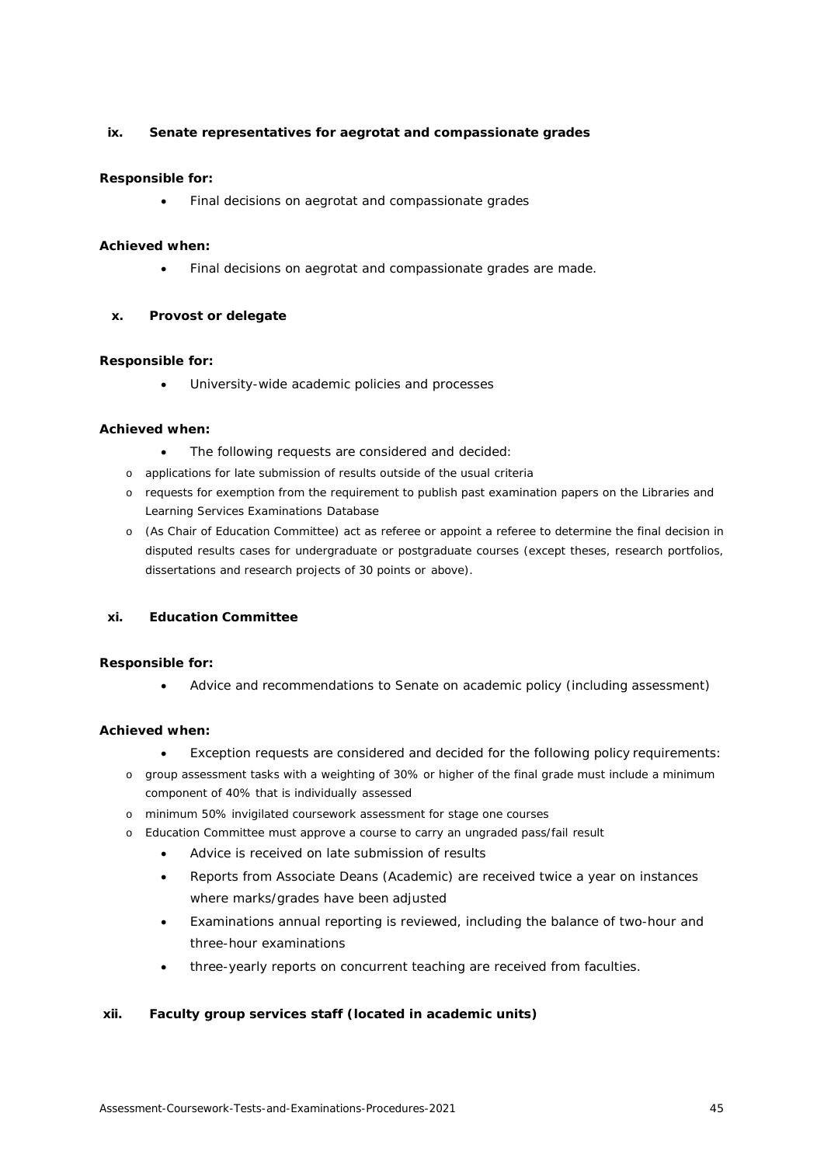# **ix. Senate representatives for aegrotat and compassionate grades**

# **Responsible for:**

• Final decisions on aegrotat and compassionate grades

# **Achieved when:**

• Final decisions on aegrotat and compassionate grades are made.

# **x. Provost or delegate**

# **Responsible for:**

University-wide academic policies and processes

# **Achieved when:**

- The following requests are considered and decided:
- o applications for late submission of results outside of the usual criteria
- o requests for exemption from the requirement to publish past examination papers on the Libraries and Learning Services Examinations Database
- o (As Chair of Education Committee) act as referee or appoint a referee to determine the final decision in disputed results cases for undergraduate or postgraduate courses (except theses, research portfolios, dissertations and research projects of 30 points or above).

# **xi. Education Committee**

# **Responsible for:**

• Advice and recommendations to Senate on academic policy (including assessment)

# **Achieved when:**

- Exception requests are considered and decided for the following policy requirements:
- o group assessment tasks with a weighting of 30% or higher of the final grade must include a minimum component of 40% that is individually assessed
- o minimum 50% invigilated coursework assessment for stage one courses
- o Education Committee must approve a course to carry an ungraded pass/fail result
	- Advice is received on late submission of results
	- Reports from Associate Deans (Academic) are received twice a year on instances where marks/grades have been adjusted
	- Examinations annual reporting is reviewed, including the balance of two-hour and three-hour examinations
	- three-yearly reports on concurrent teaching are received from faculties.

# **xii. Faculty group services staff (located in academic units)**